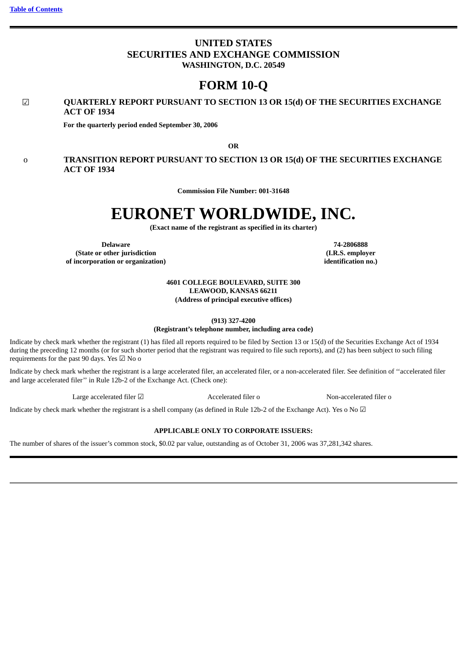# **UNITED STATES SECURITIES AND EXCHANGE COMMISSION WASHINGTON, D.C. 20549**

# **FORM 10-Q**

# ☑ **QUARTERLY REPORT PURSUANT TO SECTION 13 OR 15(d) OF THE SECURITIES EXCHANGE ACT OF 1934**

**For the quarterly period ended September 30, 2006**

**OR**

# o **TRANSITION REPORT PURSUANT TO SECTION 13 OR 15(d) OF THE SECURITIES EXCHANGE ACT OF 1934**

**Commission File Number: 001-31648**

# **EURONET WORLDWIDE, INC.**

**(Exact name of the registrant as specified in its charter)**

**Delaware 74-2806888 (State or other jurisdiction (I.R.S. employer of incorporation or organization) identification no.)**

# **4601 COLLEGE BOULEVARD, SUITE 300 LEAWOOD, KANSAS 66211 (Address of principal executive offices)**

**(913) 327-4200**

**(Registrant's telephone number, including area code)**

Indicate by check mark whether the registrant (1) has filed all reports required to be filed by Section 13 or 15(d) of the Securities Exchange Act of 1934 during the preceding 12 months (or for such shorter period that the registrant was required to file such reports), and (2) has been subject to such filing requirements for the past 90 days. Yes  $\boxtimes$  No o

Indicate by check mark whether the registrant is a large accelerated filer, an accelerated filer, or a non-accelerated filer. See definition of ''accelerated filer and large accelerated filer'' in Rule 12b-2 of the Exchange Act. (Check one):

Indicate by check mark whether the registrant is a shell company (as defined in Rule 12b-2 of the Exchange Act). Yes o No  $\Box$ 

# **APPLICABLE ONLY TO CORPORATE ISSUERS:**

The number of shares of the issuer's common stock, \$0.02 par value, outstanding as of October 31, 2006 was 37,281,342 shares.

Large accelerated filer ☑ Accelerated filer o Non-accelerated filer o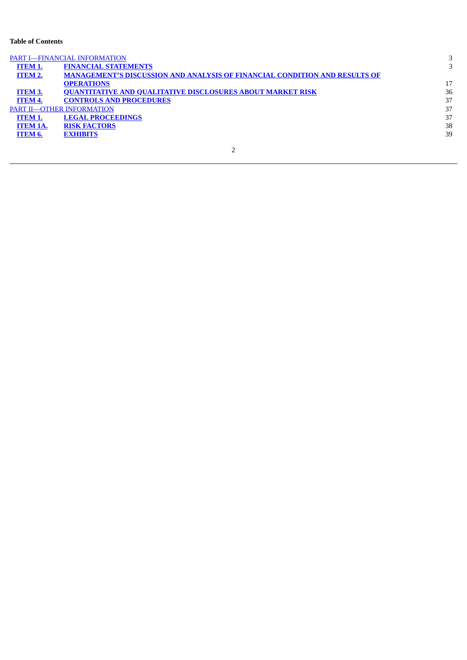# <span id="page-2-0"></span>**Table of Contents**

|                 | <b>PART I-FINANCIAL INFORMATION</b>                                               |    |
|-----------------|-----------------------------------------------------------------------------------|----|
| ITEM 1.         | <b>FINANCIAL STATEMENTS</b>                                                       | 3  |
| <b>ITEM 2.</b>  | <b>MANAGEMENT'S DISCUSSION AND ANALYSIS OF FINANCIAL CONDITION AND RESULTS OF</b> |    |
|                 | <b>OPERATIONS</b>                                                                 | 17 |
| <b>ITEM 3.</b>  | <b>QUANTITATIVE AND QUALITATIVE DISCLOSURES ABOUT MARKET RISK</b>                 | 36 |
| <b>ITEM 4.</b>  | <b>CONTROLS AND PROCEDURES</b>                                                    | 37 |
|                 | <b>PART II-OTHER INFORMATION</b>                                                  | 37 |
| ITEM 1.         | <b>LEGAL PROCEEDINGS</b>                                                          | 37 |
| <b>ITEM 1A.</b> | <b>RISK FACTORS</b>                                                               | 38 |
| ITEM 6.         | <b>EXHIBITS</b>                                                                   | 39 |
|                 |                                                                                   |    |
|                 | ി                                                                                 |    |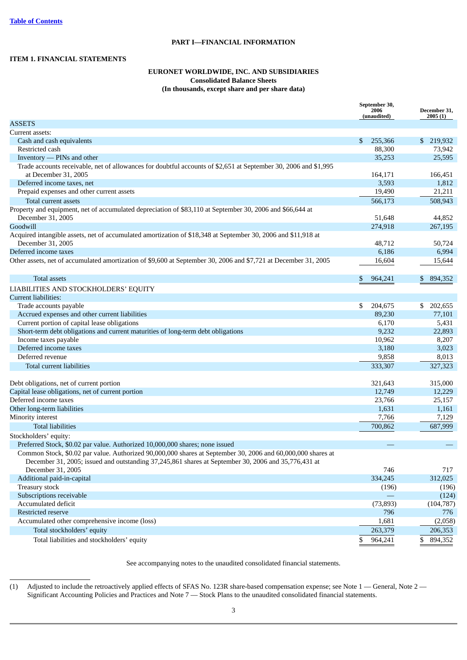# **PART I—FINANCIAL INFORMATION**

# <span id="page-3-1"></span><span id="page-3-0"></span>**ITEM 1. FINANCIAL STATEMENTS**

# **EURONET WORLDWIDE, INC. AND SUBSIDIARIES Consolidated Balance Sheets (In thousands, except share and per share data)**

| <b>ASSETS</b><br>Current assets:<br>Cash and cash equivalents<br>\$<br>255,366<br>\$ 219,932<br>Restricted cash<br>88,300<br>73,942<br>Inventory — PINs and other<br>35,253<br>25,595<br>Trade accounts receivable, net of allowances for doubtful accounts of \$2,651 at September 30, 2006 and \$1,995<br>at December 31, 2005<br>166,451<br>164,171<br>Deferred income taxes, net<br>3,593<br>1,812<br>Prepaid expenses and other current assets<br>19,490<br>21,211<br>566,173<br>508,943<br>Total current assets<br>Property and equipment, net of accumulated depreciation of \$83,110 at September 30, 2006 and \$66,644 at<br>December 31, 2005<br>51,648<br>44,852<br>Goodwill<br>274,918<br>267,195<br>Acquired intangible assets, net of accumulated amortization of \$18,348 at September 30, 2006 and \$11,918 at<br>December 31, 2005<br>48,712<br>50,724<br>Deferred income taxes<br>6,186<br>6,994<br>Other assets, net of accumulated amortization of \$9,600 at September 30, 2006 and \$7,721 at December 31, 2005<br>16.604<br>15,644<br><b>Total assets</b><br>\$<br>964,241<br>\$<br>894,352<br>LIABILITIES AND STOCKHOLDERS' EQUITY<br><b>Current liabilities:</b><br>Trade accounts payable<br>\$<br>204,675<br>202,655<br>\$<br>Accrued expenses and other current liabilities<br>89,230<br>77,101<br>Current portion of capital lease obligations<br>6,170<br>5,431<br>9,232<br>22,893<br>Short-term debt obligations and current maturities of long-term debt obligations<br>Income taxes payable<br>10,962<br>8,207<br>Deferred income taxes<br>3,180<br>3,023<br>Deferred revenue<br>8,013<br>9,858<br>333,307<br>327,323<br>Total current liabilities<br>Debt obligations, net of current portion<br>321,643<br>315,000<br>Capital lease obligations, net of current portion<br>12,749<br>12,229<br>Deferred income taxes<br>23,766<br>25,157<br>Other long-term liabilities<br>1,631<br>1,161<br>7,766<br>7,129<br>Minority interest<br><b>Total liabilities</b><br>700,862<br>687,999<br>Stockholders' equity:<br>Preferred Stock, \$0.02 par value. Authorized 10,000,000 shares; none issued<br>Common Stock, \$0.02 par value. Authorized 90,000,000 shares at September 30, 2006 and 60,000,000 shares at<br>December 31, 2005; issued and outstanding 37,245,861 shares at September 30, 2006 and 35,776,431 at<br>December 31, 2005<br>746<br>717<br>Additional paid-in-capital<br>334,245<br>312,025<br>Treasury stock<br>(196)<br>(196)<br>Subscriptions receivable<br>(124)<br>Accumulated deficit<br>(73, 893)<br>(104, 787)<br>Restricted reserve<br>796<br>776<br>Accumulated other comprehensive income (loss)<br>1,681<br>(2,058)<br>Total stockholders' equity<br>263,379<br>206,353<br>\$<br>\$ |                                            | September 30,<br>2006<br>(unaudited) | December 31,<br>2005(1) |
|-------------------------------------------------------------------------------------------------------------------------------------------------------------------------------------------------------------------------------------------------------------------------------------------------------------------------------------------------------------------------------------------------------------------------------------------------------------------------------------------------------------------------------------------------------------------------------------------------------------------------------------------------------------------------------------------------------------------------------------------------------------------------------------------------------------------------------------------------------------------------------------------------------------------------------------------------------------------------------------------------------------------------------------------------------------------------------------------------------------------------------------------------------------------------------------------------------------------------------------------------------------------------------------------------------------------------------------------------------------------------------------------------------------------------------------------------------------------------------------------------------------------------------------------------------------------------------------------------------------------------------------------------------------------------------------------------------------------------------------------------------------------------------------------------------------------------------------------------------------------------------------------------------------------------------------------------------------------------------------------------------------------------------------------------------------------------------------------------------------------------------------------------------------------------------------------------------------------------------------------------------------------------------------------------------------------------------------------------------------------------------------------------------------------------------------------------------------------------------------------------------------------------------------------------------------------------------------------------------------------------------------------------------------------------------------------------------------------------------------------------|--------------------------------------------|--------------------------------------|-------------------------|
|                                                                                                                                                                                                                                                                                                                                                                                                                                                                                                                                                                                                                                                                                                                                                                                                                                                                                                                                                                                                                                                                                                                                                                                                                                                                                                                                                                                                                                                                                                                                                                                                                                                                                                                                                                                                                                                                                                                                                                                                                                                                                                                                                                                                                                                                                                                                                                                                                                                                                                                                                                                                                                                                                                                                                 |                                            |                                      |                         |
|                                                                                                                                                                                                                                                                                                                                                                                                                                                                                                                                                                                                                                                                                                                                                                                                                                                                                                                                                                                                                                                                                                                                                                                                                                                                                                                                                                                                                                                                                                                                                                                                                                                                                                                                                                                                                                                                                                                                                                                                                                                                                                                                                                                                                                                                                                                                                                                                                                                                                                                                                                                                                                                                                                                                                 |                                            |                                      |                         |
|                                                                                                                                                                                                                                                                                                                                                                                                                                                                                                                                                                                                                                                                                                                                                                                                                                                                                                                                                                                                                                                                                                                                                                                                                                                                                                                                                                                                                                                                                                                                                                                                                                                                                                                                                                                                                                                                                                                                                                                                                                                                                                                                                                                                                                                                                                                                                                                                                                                                                                                                                                                                                                                                                                                                                 |                                            |                                      |                         |
|                                                                                                                                                                                                                                                                                                                                                                                                                                                                                                                                                                                                                                                                                                                                                                                                                                                                                                                                                                                                                                                                                                                                                                                                                                                                                                                                                                                                                                                                                                                                                                                                                                                                                                                                                                                                                                                                                                                                                                                                                                                                                                                                                                                                                                                                                                                                                                                                                                                                                                                                                                                                                                                                                                                                                 |                                            |                                      |                         |
|                                                                                                                                                                                                                                                                                                                                                                                                                                                                                                                                                                                                                                                                                                                                                                                                                                                                                                                                                                                                                                                                                                                                                                                                                                                                                                                                                                                                                                                                                                                                                                                                                                                                                                                                                                                                                                                                                                                                                                                                                                                                                                                                                                                                                                                                                                                                                                                                                                                                                                                                                                                                                                                                                                                                                 |                                            |                                      |                         |
|                                                                                                                                                                                                                                                                                                                                                                                                                                                                                                                                                                                                                                                                                                                                                                                                                                                                                                                                                                                                                                                                                                                                                                                                                                                                                                                                                                                                                                                                                                                                                                                                                                                                                                                                                                                                                                                                                                                                                                                                                                                                                                                                                                                                                                                                                                                                                                                                                                                                                                                                                                                                                                                                                                                                                 |                                            |                                      |                         |
|                                                                                                                                                                                                                                                                                                                                                                                                                                                                                                                                                                                                                                                                                                                                                                                                                                                                                                                                                                                                                                                                                                                                                                                                                                                                                                                                                                                                                                                                                                                                                                                                                                                                                                                                                                                                                                                                                                                                                                                                                                                                                                                                                                                                                                                                                                                                                                                                                                                                                                                                                                                                                                                                                                                                                 |                                            |                                      |                         |
|                                                                                                                                                                                                                                                                                                                                                                                                                                                                                                                                                                                                                                                                                                                                                                                                                                                                                                                                                                                                                                                                                                                                                                                                                                                                                                                                                                                                                                                                                                                                                                                                                                                                                                                                                                                                                                                                                                                                                                                                                                                                                                                                                                                                                                                                                                                                                                                                                                                                                                                                                                                                                                                                                                                                                 |                                            |                                      |                         |
|                                                                                                                                                                                                                                                                                                                                                                                                                                                                                                                                                                                                                                                                                                                                                                                                                                                                                                                                                                                                                                                                                                                                                                                                                                                                                                                                                                                                                                                                                                                                                                                                                                                                                                                                                                                                                                                                                                                                                                                                                                                                                                                                                                                                                                                                                                                                                                                                                                                                                                                                                                                                                                                                                                                                                 |                                            |                                      |                         |
|                                                                                                                                                                                                                                                                                                                                                                                                                                                                                                                                                                                                                                                                                                                                                                                                                                                                                                                                                                                                                                                                                                                                                                                                                                                                                                                                                                                                                                                                                                                                                                                                                                                                                                                                                                                                                                                                                                                                                                                                                                                                                                                                                                                                                                                                                                                                                                                                                                                                                                                                                                                                                                                                                                                                                 |                                            |                                      |                         |
|                                                                                                                                                                                                                                                                                                                                                                                                                                                                                                                                                                                                                                                                                                                                                                                                                                                                                                                                                                                                                                                                                                                                                                                                                                                                                                                                                                                                                                                                                                                                                                                                                                                                                                                                                                                                                                                                                                                                                                                                                                                                                                                                                                                                                                                                                                                                                                                                                                                                                                                                                                                                                                                                                                                                                 |                                            |                                      |                         |
|                                                                                                                                                                                                                                                                                                                                                                                                                                                                                                                                                                                                                                                                                                                                                                                                                                                                                                                                                                                                                                                                                                                                                                                                                                                                                                                                                                                                                                                                                                                                                                                                                                                                                                                                                                                                                                                                                                                                                                                                                                                                                                                                                                                                                                                                                                                                                                                                                                                                                                                                                                                                                                                                                                                                                 |                                            |                                      |                         |
|                                                                                                                                                                                                                                                                                                                                                                                                                                                                                                                                                                                                                                                                                                                                                                                                                                                                                                                                                                                                                                                                                                                                                                                                                                                                                                                                                                                                                                                                                                                                                                                                                                                                                                                                                                                                                                                                                                                                                                                                                                                                                                                                                                                                                                                                                                                                                                                                                                                                                                                                                                                                                                                                                                                                                 |                                            |                                      |                         |
|                                                                                                                                                                                                                                                                                                                                                                                                                                                                                                                                                                                                                                                                                                                                                                                                                                                                                                                                                                                                                                                                                                                                                                                                                                                                                                                                                                                                                                                                                                                                                                                                                                                                                                                                                                                                                                                                                                                                                                                                                                                                                                                                                                                                                                                                                                                                                                                                                                                                                                                                                                                                                                                                                                                                                 |                                            |                                      |                         |
|                                                                                                                                                                                                                                                                                                                                                                                                                                                                                                                                                                                                                                                                                                                                                                                                                                                                                                                                                                                                                                                                                                                                                                                                                                                                                                                                                                                                                                                                                                                                                                                                                                                                                                                                                                                                                                                                                                                                                                                                                                                                                                                                                                                                                                                                                                                                                                                                                                                                                                                                                                                                                                                                                                                                                 |                                            |                                      |                         |
|                                                                                                                                                                                                                                                                                                                                                                                                                                                                                                                                                                                                                                                                                                                                                                                                                                                                                                                                                                                                                                                                                                                                                                                                                                                                                                                                                                                                                                                                                                                                                                                                                                                                                                                                                                                                                                                                                                                                                                                                                                                                                                                                                                                                                                                                                                                                                                                                                                                                                                                                                                                                                                                                                                                                                 |                                            |                                      |                         |
|                                                                                                                                                                                                                                                                                                                                                                                                                                                                                                                                                                                                                                                                                                                                                                                                                                                                                                                                                                                                                                                                                                                                                                                                                                                                                                                                                                                                                                                                                                                                                                                                                                                                                                                                                                                                                                                                                                                                                                                                                                                                                                                                                                                                                                                                                                                                                                                                                                                                                                                                                                                                                                                                                                                                                 |                                            |                                      |                         |
|                                                                                                                                                                                                                                                                                                                                                                                                                                                                                                                                                                                                                                                                                                                                                                                                                                                                                                                                                                                                                                                                                                                                                                                                                                                                                                                                                                                                                                                                                                                                                                                                                                                                                                                                                                                                                                                                                                                                                                                                                                                                                                                                                                                                                                                                                                                                                                                                                                                                                                                                                                                                                                                                                                                                                 |                                            |                                      |                         |
|                                                                                                                                                                                                                                                                                                                                                                                                                                                                                                                                                                                                                                                                                                                                                                                                                                                                                                                                                                                                                                                                                                                                                                                                                                                                                                                                                                                                                                                                                                                                                                                                                                                                                                                                                                                                                                                                                                                                                                                                                                                                                                                                                                                                                                                                                                                                                                                                                                                                                                                                                                                                                                                                                                                                                 |                                            |                                      |                         |
|                                                                                                                                                                                                                                                                                                                                                                                                                                                                                                                                                                                                                                                                                                                                                                                                                                                                                                                                                                                                                                                                                                                                                                                                                                                                                                                                                                                                                                                                                                                                                                                                                                                                                                                                                                                                                                                                                                                                                                                                                                                                                                                                                                                                                                                                                                                                                                                                                                                                                                                                                                                                                                                                                                                                                 |                                            |                                      |                         |
|                                                                                                                                                                                                                                                                                                                                                                                                                                                                                                                                                                                                                                                                                                                                                                                                                                                                                                                                                                                                                                                                                                                                                                                                                                                                                                                                                                                                                                                                                                                                                                                                                                                                                                                                                                                                                                                                                                                                                                                                                                                                                                                                                                                                                                                                                                                                                                                                                                                                                                                                                                                                                                                                                                                                                 |                                            |                                      |                         |
|                                                                                                                                                                                                                                                                                                                                                                                                                                                                                                                                                                                                                                                                                                                                                                                                                                                                                                                                                                                                                                                                                                                                                                                                                                                                                                                                                                                                                                                                                                                                                                                                                                                                                                                                                                                                                                                                                                                                                                                                                                                                                                                                                                                                                                                                                                                                                                                                                                                                                                                                                                                                                                                                                                                                                 |                                            |                                      |                         |
|                                                                                                                                                                                                                                                                                                                                                                                                                                                                                                                                                                                                                                                                                                                                                                                                                                                                                                                                                                                                                                                                                                                                                                                                                                                                                                                                                                                                                                                                                                                                                                                                                                                                                                                                                                                                                                                                                                                                                                                                                                                                                                                                                                                                                                                                                                                                                                                                                                                                                                                                                                                                                                                                                                                                                 |                                            |                                      |                         |
|                                                                                                                                                                                                                                                                                                                                                                                                                                                                                                                                                                                                                                                                                                                                                                                                                                                                                                                                                                                                                                                                                                                                                                                                                                                                                                                                                                                                                                                                                                                                                                                                                                                                                                                                                                                                                                                                                                                                                                                                                                                                                                                                                                                                                                                                                                                                                                                                                                                                                                                                                                                                                                                                                                                                                 |                                            |                                      |                         |
|                                                                                                                                                                                                                                                                                                                                                                                                                                                                                                                                                                                                                                                                                                                                                                                                                                                                                                                                                                                                                                                                                                                                                                                                                                                                                                                                                                                                                                                                                                                                                                                                                                                                                                                                                                                                                                                                                                                                                                                                                                                                                                                                                                                                                                                                                                                                                                                                                                                                                                                                                                                                                                                                                                                                                 |                                            |                                      |                         |
|                                                                                                                                                                                                                                                                                                                                                                                                                                                                                                                                                                                                                                                                                                                                                                                                                                                                                                                                                                                                                                                                                                                                                                                                                                                                                                                                                                                                                                                                                                                                                                                                                                                                                                                                                                                                                                                                                                                                                                                                                                                                                                                                                                                                                                                                                                                                                                                                                                                                                                                                                                                                                                                                                                                                                 |                                            |                                      |                         |
|                                                                                                                                                                                                                                                                                                                                                                                                                                                                                                                                                                                                                                                                                                                                                                                                                                                                                                                                                                                                                                                                                                                                                                                                                                                                                                                                                                                                                                                                                                                                                                                                                                                                                                                                                                                                                                                                                                                                                                                                                                                                                                                                                                                                                                                                                                                                                                                                                                                                                                                                                                                                                                                                                                                                                 |                                            |                                      |                         |
|                                                                                                                                                                                                                                                                                                                                                                                                                                                                                                                                                                                                                                                                                                                                                                                                                                                                                                                                                                                                                                                                                                                                                                                                                                                                                                                                                                                                                                                                                                                                                                                                                                                                                                                                                                                                                                                                                                                                                                                                                                                                                                                                                                                                                                                                                                                                                                                                                                                                                                                                                                                                                                                                                                                                                 |                                            |                                      |                         |
|                                                                                                                                                                                                                                                                                                                                                                                                                                                                                                                                                                                                                                                                                                                                                                                                                                                                                                                                                                                                                                                                                                                                                                                                                                                                                                                                                                                                                                                                                                                                                                                                                                                                                                                                                                                                                                                                                                                                                                                                                                                                                                                                                                                                                                                                                                                                                                                                                                                                                                                                                                                                                                                                                                                                                 |                                            |                                      |                         |
|                                                                                                                                                                                                                                                                                                                                                                                                                                                                                                                                                                                                                                                                                                                                                                                                                                                                                                                                                                                                                                                                                                                                                                                                                                                                                                                                                                                                                                                                                                                                                                                                                                                                                                                                                                                                                                                                                                                                                                                                                                                                                                                                                                                                                                                                                                                                                                                                                                                                                                                                                                                                                                                                                                                                                 |                                            |                                      |                         |
|                                                                                                                                                                                                                                                                                                                                                                                                                                                                                                                                                                                                                                                                                                                                                                                                                                                                                                                                                                                                                                                                                                                                                                                                                                                                                                                                                                                                                                                                                                                                                                                                                                                                                                                                                                                                                                                                                                                                                                                                                                                                                                                                                                                                                                                                                                                                                                                                                                                                                                                                                                                                                                                                                                                                                 |                                            |                                      |                         |
|                                                                                                                                                                                                                                                                                                                                                                                                                                                                                                                                                                                                                                                                                                                                                                                                                                                                                                                                                                                                                                                                                                                                                                                                                                                                                                                                                                                                                                                                                                                                                                                                                                                                                                                                                                                                                                                                                                                                                                                                                                                                                                                                                                                                                                                                                                                                                                                                                                                                                                                                                                                                                                                                                                                                                 |                                            |                                      |                         |
|                                                                                                                                                                                                                                                                                                                                                                                                                                                                                                                                                                                                                                                                                                                                                                                                                                                                                                                                                                                                                                                                                                                                                                                                                                                                                                                                                                                                                                                                                                                                                                                                                                                                                                                                                                                                                                                                                                                                                                                                                                                                                                                                                                                                                                                                                                                                                                                                                                                                                                                                                                                                                                                                                                                                                 |                                            |                                      |                         |
|                                                                                                                                                                                                                                                                                                                                                                                                                                                                                                                                                                                                                                                                                                                                                                                                                                                                                                                                                                                                                                                                                                                                                                                                                                                                                                                                                                                                                                                                                                                                                                                                                                                                                                                                                                                                                                                                                                                                                                                                                                                                                                                                                                                                                                                                                                                                                                                                                                                                                                                                                                                                                                                                                                                                                 |                                            |                                      |                         |
|                                                                                                                                                                                                                                                                                                                                                                                                                                                                                                                                                                                                                                                                                                                                                                                                                                                                                                                                                                                                                                                                                                                                                                                                                                                                                                                                                                                                                                                                                                                                                                                                                                                                                                                                                                                                                                                                                                                                                                                                                                                                                                                                                                                                                                                                                                                                                                                                                                                                                                                                                                                                                                                                                                                                                 |                                            |                                      |                         |
|                                                                                                                                                                                                                                                                                                                                                                                                                                                                                                                                                                                                                                                                                                                                                                                                                                                                                                                                                                                                                                                                                                                                                                                                                                                                                                                                                                                                                                                                                                                                                                                                                                                                                                                                                                                                                                                                                                                                                                                                                                                                                                                                                                                                                                                                                                                                                                                                                                                                                                                                                                                                                                                                                                                                                 |                                            |                                      |                         |
|                                                                                                                                                                                                                                                                                                                                                                                                                                                                                                                                                                                                                                                                                                                                                                                                                                                                                                                                                                                                                                                                                                                                                                                                                                                                                                                                                                                                                                                                                                                                                                                                                                                                                                                                                                                                                                                                                                                                                                                                                                                                                                                                                                                                                                                                                                                                                                                                                                                                                                                                                                                                                                                                                                                                                 |                                            |                                      |                         |
|                                                                                                                                                                                                                                                                                                                                                                                                                                                                                                                                                                                                                                                                                                                                                                                                                                                                                                                                                                                                                                                                                                                                                                                                                                                                                                                                                                                                                                                                                                                                                                                                                                                                                                                                                                                                                                                                                                                                                                                                                                                                                                                                                                                                                                                                                                                                                                                                                                                                                                                                                                                                                                                                                                                                                 |                                            |                                      |                         |
|                                                                                                                                                                                                                                                                                                                                                                                                                                                                                                                                                                                                                                                                                                                                                                                                                                                                                                                                                                                                                                                                                                                                                                                                                                                                                                                                                                                                                                                                                                                                                                                                                                                                                                                                                                                                                                                                                                                                                                                                                                                                                                                                                                                                                                                                                                                                                                                                                                                                                                                                                                                                                                                                                                                                                 |                                            |                                      |                         |
|                                                                                                                                                                                                                                                                                                                                                                                                                                                                                                                                                                                                                                                                                                                                                                                                                                                                                                                                                                                                                                                                                                                                                                                                                                                                                                                                                                                                                                                                                                                                                                                                                                                                                                                                                                                                                                                                                                                                                                                                                                                                                                                                                                                                                                                                                                                                                                                                                                                                                                                                                                                                                                                                                                                                                 |                                            |                                      |                         |
|                                                                                                                                                                                                                                                                                                                                                                                                                                                                                                                                                                                                                                                                                                                                                                                                                                                                                                                                                                                                                                                                                                                                                                                                                                                                                                                                                                                                                                                                                                                                                                                                                                                                                                                                                                                                                                                                                                                                                                                                                                                                                                                                                                                                                                                                                                                                                                                                                                                                                                                                                                                                                                                                                                                                                 |                                            |                                      |                         |
|                                                                                                                                                                                                                                                                                                                                                                                                                                                                                                                                                                                                                                                                                                                                                                                                                                                                                                                                                                                                                                                                                                                                                                                                                                                                                                                                                                                                                                                                                                                                                                                                                                                                                                                                                                                                                                                                                                                                                                                                                                                                                                                                                                                                                                                                                                                                                                                                                                                                                                                                                                                                                                                                                                                                                 |                                            |                                      |                         |
|                                                                                                                                                                                                                                                                                                                                                                                                                                                                                                                                                                                                                                                                                                                                                                                                                                                                                                                                                                                                                                                                                                                                                                                                                                                                                                                                                                                                                                                                                                                                                                                                                                                                                                                                                                                                                                                                                                                                                                                                                                                                                                                                                                                                                                                                                                                                                                                                                                                                                                                                                                                                                                                                                                                                                 |                                            |                                      |                         |
|                                                                                                                                                                                                                                                                                                                                                                                                                                                                                                                                                                                                                                                                                                                                                                                                                                                                                                                                                                                                                                                                                                                                                                                                                                                                                                                                                                                                                                                                                                                                                                                                                                                                                                                                                                                                                                                                                                                                                                                                                                                                                                                                                                                                                                                                                                                                                                                                                                                                                                                                                                                                                                                                                                                                                 |                                            |                                      |                         |
|                                                                                                                                                                                                                                                                                                                                                                                                                                                                                                                                                                                                                                                                                                                                                                                                                                                                                                                                                                                                                                                                                                                                                                                                                                                                                                                                                                                                                                                                                                                                                                                                                                                                                                                                                                                                                                                                                                                                                                                                                                                                                                                                                                                                                                                                                                                                                                                                                                                                                                                                                                                                                                                                                                                                                 |                                            |                                      |                         |
|                                                                                                                                                                                                                                                                                                                                                                                                                                                                                                                                                                                                                                                                                                                                                                                                                                                                                                                                                                                                                                                                                                                                                                                                                                                                                                                                                                                                                                                                                                                                                                                                                                                                                                                                                                                                                                                                                                                                                                                                                                                                                                                                                                                                                                                                                                                                                                                                                                                                                                                                                                                                                                                                                                                                                 |                                            |                                      |                         |
|                                                                                                                                                                                                                                                                                                                                                                                                                                                                                                                                                                                                                                                                                                                                                                                                                                                                                                                                                                                                                                                                                                                                                                                                                                                                                                                                                                                                                                                                                                                                                                                                                                                                                                                                                                                                                                                                                                                                                                                                                                                                                                                                                                                                                                                                                                                                                                                                                                                                                                                                                                                                                                                                                                                                                 |                                            |                                      |                         |
|                                                                                                                                                                                                                                                                                                                                                                                                                                                                                                                                                                                                                                                                                                                                                                                                                                                                                                                                                                                                                                                                                                                                                                                                                                                                                                                                                                                                                                                                                                                                                                                                                                                                                                                                                                                                                                                                                                                                                                                                                                                                                                                                                                                                                                                                                                                                                                                                                                                                                                                                                                                                                                                                                                                                                 |                                            |                                      |                         |
|                                                                                                                                                                                                                                                                                                                                                                                                                                                                                                                                                                                                                                                                                                                                                                                                                                                                                                                                                                                                                                                                                                                                                                                                                                                                                                                                                                                                                                                                                                                                                                                                                                                                                                                                                                                                                                                                                                                                                                                                                                                                                                                                                                                                                                                                                                                                                                                                                                                                                                                                                                                                                                                                                                                                                 |                                            |                                      |                         |
|                                                                                                                                                                                                                                                                                                                                                                                                                                                                                                                                                                                                                                                                                                                                                                                                                                                                                                                                                                                                                                                                                                                                                                                                                                                                                                                                                                                                                                                                                                                                                                                                                                                                                                                                                                                                                                                                                                                                                                                                                                                                                                                                                                                                                                                                                                                                                                                                                                                                                                                                                                                                                                                                                                                                                 | Total liabilities and stockholders' equity | 964,241                              | 894,352                 |

See accompanying notes to the unaudited consolidated financial statements.

<sup>(1)</sup> Adjusted to include the retroactively applied effects of SFAS No. 123R share-based compensation expense; see Note 1 — General, Note 2 — Significant Accounting Policies and Practices and Note 7 — Stock Plans to the unaudited consolidated financial statements.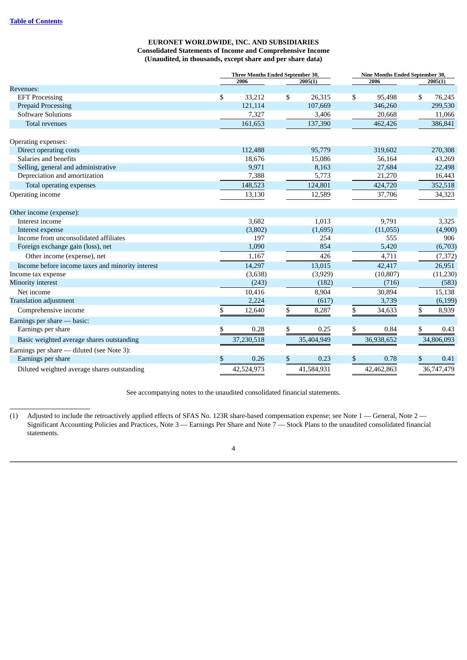# **EURONET WORLDWIDE, INC. AND SUBSIDIARIES Consolidated Statements of Income and Comprehensive Income (Unaudited, in thousands, except share and per share data)**

|                                                  | Three Months Ended September 30,<br>2006 | 2005(1)      | Nine Months Ended September 30,<br>2006<br>2005(1) |    |            |
|--------------------------------------------------|------------------------------------------|--------------|----------------------------------------------------|----|------------|
| <b>Revenues:</b>                                 |                                          |              |                                                    |    |            |
| <b>EFT</b> Processing                            | \$<br>33,212                             | \$<br>26,315 | \$<br>95,498                                       | \$ | 76,245     |
| <b>Prepaid Processing</b>                        | 121,114                                  | 107,669      | 346,260                                            |    | 299,530    |
| <b>Software Solutions</b>                        | 7,327                                    | 3,406        | 20,668                                             |    | 11,066     |
| <b>Total revenues</b>                            | 161,653                                  | 137,390      | 462,426                                            |    | 386,841    |
| Operating expenses:                              |                                          |              |                                                    |    |            |
| Direct operating costs                           | 112,488                                  | 95,779       | 319,602                                            |    | 270,308    |
| Salaries and benefits                            | 18,676                                   | 15,086       | 56,164                                             |    | 43,269     |
| Selling, general and administrative              | 9,971                                    | 8,163        | 27,684                                             |    | 22,498     |
| Depreciation and amortization                    | 7,388                                    | 5,773        | 21,270                                             |    | 16,443     |
| <b>Total operating expenses</b>                  | 148,523                                  | 124,801      | 424,720                                            |    | 352,518    |
| Operating income                                 | 13,130                                   | 12,589       | 37,706                                             |    | 34,323     |
| Other income (expense):                          |                                          |              |                                                    |    |            |
| Interest income                                  | 3,682                                    | 1,013        | 9,791                                              |    | 3,325      |
| Interest expense                                 | (3,802)                                  | (1,695)      | (11,055)                                           |    | (4,900)    |
| Income from unconsolidated affiliates            | 197                                      | 254          | 555                                                |    | 906        |
| Foreign exchange gain (loss), net                | 1,090                                    | 854          | 5,420                                              |    | (6,703)    |
| Other income (expense), net                      | 1,167                                    | 426          | 4,711                                              |    | (7, 372)   |
| Income before income taxes and minority interest | 14,297                                   | 13,015       | 42,417                                             |    | 26,951     |
| Income tax expense                               | (3,638)                                  | (3,929)      | (10, 807)                                          |    | (11,230)   |
| Minority interest                                | (243)                                    | (182)        | (716)                                              |    | (583)      |
| Net income                                       | 10,416                                   | 8,904        | 30,894                                             |    | 15,138     |
| <b>Translation adjustment</b>                    | 2,224                                    | (617)        | 3,739                                              |    | (6, 199)   |
| Comprehensive income                             | \$<br>12,640                             | \$<br>8,287  | \$<br>34,633                                       | \$ | 8,939      |
| Earnings per share - basic:                      |                                          |              |                                                    |    |            |
| Earnings per share                               | \$<br>0.28                               | \$<br>0.25   | \$<br>0.84                                         | \$ | 0.43       |
| Basic weighted average shares outstanding        | 37,230,518                               | 35,404,949   | 36,938,652                                         |    | 34,806,093 |
| Earnings per share - diluted (see Note 3):       |                                          |              |                                                    |    |            |
| Earnings per share                               | \$<br>0.26                               | \$<br>0.23   | \$<br>0.78                                         | \$ | 0.41       |
| Diluted weighted average shares outstanding      | 42,524,973                               | 41,584,931   | 42,462,863                                         |    | 36,747,479 |

See accompanying notes to the unaudited consolidated financial statements.

<sup>(1)</sup> Adjusted to include the retroactively applied effects of SFAS No. 123R share-based compensation expense; see Note 1 — General, Note 2 — Significant Accounting Policies and Practices, Note 3 — Earnings Per Share and Note 7 — Stock Plans to the unaudited consolidated financial statements.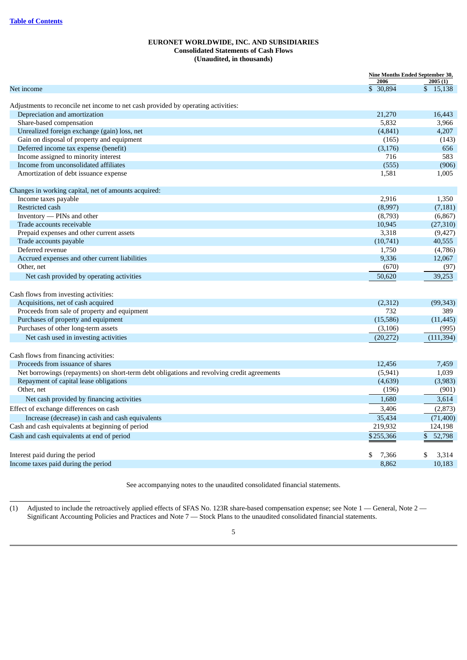# **EURONET WORLDWIDE, INC. AND SUBSIDIARIES Consolidated Statements of Cash Flows (Unaudited, in thousands)**

|                                                                                            | 2006        | Nine Months Ended September 30,<br>2005(1) |
|--------------------------------------------------------------------------------------------|-------------|--------------------------------------------|
| Net income                                                                                 | \$ 30,894   | \$15,138                                   |
|                                                                                            |             |                                            |
| Adjustments to reconcile net income to net cash provided by operating activities:          |             |                                            |
| Depreciation and amortization                                                              | 21,270      | 16,443                                     |
| Share-based compensation                                                                   | 5,832       | 3,966                                      |
| Unrealized foreign exchange (gain) loss, net                                               | (4,841)     | 4,207                                      |
| Gain on disposal of property and equipment                                                 | (165)       | (143)                                      |
| Deferred income tax expense (benefit)                                                      | (3, 176)    | 656                                        |
| Income assigned to minority interest                                                       | 716         | 583                                        |
| Income from unconsolidated affiliates                                                      | (555)       | (906)                                      |
| Amortization of debt issuance expense                                                      | 1,581       | 1,005                                      |
| Changes in working capital, net of amounts acquired:                                       |             |                                            |
| Income taxes payable                                                                       | 2,916       | 1,350                                      |
| Restricted cash                                                                            | (8,997)     | (7, 181)                                   |
| Inventory — PINs and other                                                                 | (8,793)     | (6, 867)                                   |
| Trade accounts receivable                                                                  | 10,945      | (27, 310)                                  |
| Prepaid expenses and other current assets                                                  | 3,318       | (9, 427)                                   |
| Trade accounts payable                                                                     | (10,741)    | 40,555                                     |
| Deferred revenue                                                                           | 1,750       | (4,786)                                    |
| Accrued expenses and other current liabilities                                             | 9,336       | 12,067                                     |
| Other, net                                                                                 | (670)       | (97)                                       |
| Net cash provided by operating activities                                                  | 50,620      | 39,253                                     |
|                                                                                            |             |                                            |
| Cash flows from investing activities:                                                      |             |                                            |
| Acquisitions, net of cash acquired                                                         | (2,312)     | (99, 343)                                  |
| Proceeds from sale of property and equipment                                               | 732         | 389                                        |
| Purchases of property and equipment                                                        | (15, 586)   | (11, 445)                                  |
| Purchases of other long-term assets                                                        | (3, 106)    | (995)                                      |
| Net cash used in investing activities                                                      | (20, 272)   | (111, 394)                                 |
| Cash flows from financing activities:                                                      |             |                                            |
| Proceeds from issuance of shares                                                           | 12,456      | 7,459                                      |
| Net borrowings (repayments) on short-term debt obligations and revolving credit agreements | (5,941)     | 1,039                                      |
| Repayment of capital lease obligations                                                     | (4,639)     | (3,983)                                    |
| Other, net                                                                                 | (196)       | (901)                                      |
| Net cash provided by financing activities                                                  | 1,680       | 3,614                                      |
| Effect of exchange differences on cash                                                     | 3,406       | (2, 873)                                   |
|                                                                                            |             |                                            |
| Increase (decrease) in cash and cash equivalents                                           | 35,434      | (71, 400)                                  |
| Cash and cash equivalents at beginning of period                                           | 219,932     | 124,198                                    |
| Cash and cash equivalents at end of period                                                 | \$255,366   | \$<br>52,798                               |
| Interest paid during the period                                                            | \$<br>7,366 | \$<br>3,314                                |
| Income taxes paid during the period                                                        | 8,862       | 10,183                                     |
|                                                                                            |             |                                            |

See accompanying notes to the unaudited consolidated financial statements.

(1) Adjusted to include the retroactively applied effects of SFAS No. 123R share-based compensation expense; see Note  $1$  — General, Note  $2$  — Significant Accounting Policies and Practices and Note 7 — Stock Plans to the unaudited consolidated financial statements.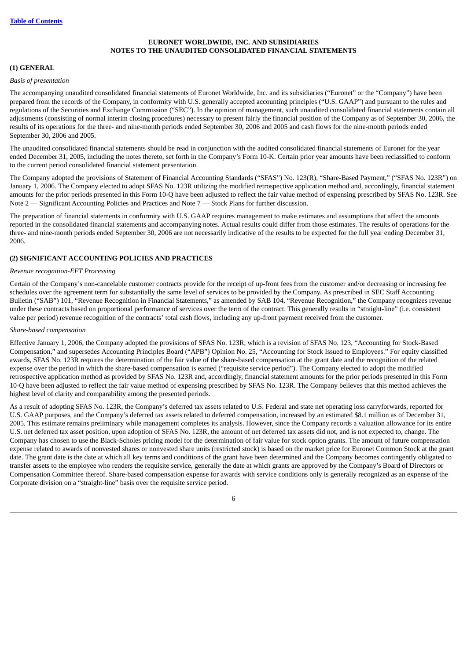# **EURONET WORLDWIDE, INC. AND SUBSIDIARIES NOTES TO THE UNAUDITED CONSOLIDATED FINANCIAL STATEMENTS**

# **(1) GENERAL**

#### *Basis of presentation*

The accompanying unaudited consolidated financial statements of Euronet Worldwide, Inc. and its subsidiaries ("Euronet" or the "Company") have been prepared from the records of the Company, in conformity with U.S. generally accepted accounting principles ("U.S. GAAP") and pursuant to the rules and regulations of the Securities and Exchange Commission ("SEC"). In the opinion of management, such unaudited consolidated financial statements contain all adjustments (consisting of normal interim closing procedures) necessary to present fairly the financial position of the Company as of September 30, 2006, the results of its operations for the three- and nine-month periods ended September 30, 2006 and 2005 and cash flows for the nine-month periods ended September 30, 2006 and 2005.

The unaudited consolidated financial statements should be read in conjunction with the audited consolidated financial statements of Euronet for the year ended December 31, 2005, including the notes thereto, set forth in the Company's Form 10-K. Certain prior year amounts have been reclassified to conform to the current period consolidated financial statement presentation.

The Company adopted the provisions of Statement of Financial Accounting Standards ("SFAS") No. 123(R), "Share-Based Payment," ("SFAS No. 123R") on January 1, 2006. The Company elected to adopt SFAS No. 123R utilizing the modified retrospective application method and, accordingly, financial statement amounts for the prior periods presented in this Form 10-Q have been adjusted to reflect the fair value method of expensing prescribed by SFAS No. 123R. See Note 2 — Significant Accounting Policies and Practices and Note 7 — Stock Plans for further discussion.

The preparation of financial statements in conformity with U.S. GAAP requires management to make estimates and assumptions that affect the amounts reported in the consolidated financial statements and accompanying notes. Actual results could differ from those estimates. The results of operations for the three- and nine-month periods ended September 30, 2006 are not necessarily indicative of the results to be expected for the full year ending December 31, 2006.

# **(2) SIGNIFICANT ACCOUNTING POLICIES AND PRACTICES**

# *Revenue recognition-EFT Processing*

Certain of the Company's non-cancelable customer contracts provide for the receipt of up-front fees from the customer and/or decreasing or increasing fee schedules over the agreement term for substantially the same level of services to be provided by the Company. As prescribed in SEC Staff Accounting Bulletin ("SAB") 101, "Revenue Recognition in Financial Statements," as amended by SAB 104, "Revenue Recognition," the Company recognizes revenue under these contracts based on proportional performance of services over the term of the contract. This generally results in "straight-line" (i.e. consistent value per period) revenue recognition of the contracts' total cash flows, including any up-front payment received from the customer.

# *Share-based compensation*

Effective January 1, 2006, the Company adopted the provisions of SFAS No. 123R, which is a revision of SFAS No. 123, "Accounting for Stock-Based Compensation," and supersedes Accounting Principles Board ("APB") Opinion No. 25, "Accounting for Stock Issued to Employees." For equity classified awards, SFAS No. 123R requires the determination of the fair value of the share-based compensation at the grant date and the recognition of the related expense over the period in which the share-based compensation is earned ("requisite service period"). The Company elected to adopt the modified retrospective application method as provided by SFAS No. 123R and, accordingly, financial statement amounts for the prior periods presented in this Form 10-Q have been adjusted to reflect the fair value method of expensing prescribed by SFAS No. 123R. The Company believes that this method achieves the highest level of clarity and comparability among the presented periods.

As a result of adopting SFAS No. 123R, the Company's deferred tax assets related to U.S. Federal and state net operating loss carryforwards, reported for U.S. GAAP purposes, and the Company's deferred tax assets related to deferred compensation, increased by an estimated \$8.1 million as of December 31, 2005. This estimate remains preliminary while management completes its analysis. However, since the Company records a valuation allowance for its entire U.S. net deferred tax asset position, upon adoption of SFAS No. 123R, the amount of net deferred tax assets did not, and is not expected to, change. The Company has chosen to use the Black-Scholes pricing model for the determination of fair value for stock option grants. The amount of future compensation expense related to awards of nonvested shares or nonvested share units (restricted stock) is based on the market price for Euronet Common Stock at the grant date. The grant date is the date at which all key terms and conditions of the grant have been determined and the Company becomes contingently obligated to transfer assets to the employee who renders the requisite service, generally the date at which grants are approved by the Company's Board of Directors or Compensation Committee thereof. Share-based compensation expense for awards with service conditions only is generally recognized as an expense of the Corporate division on a "straight-line" basis over the requisite service period.

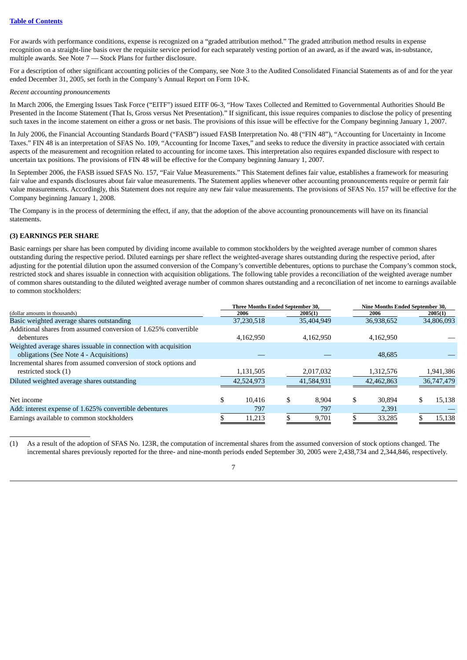For awards with performance conditions, expense is recognized on a "graded attribution method." The graded attribution method results in expense recognition on a straight-line basis over the requisite service period for each separately vesting portion of an award, as if the award was, in-substance, multiple awards. See Note 7 — Stock Plans for further disclosure.

For a description of other significant accounting policies of the Company, see Note 3 to the Audited Consolidated Financial Statements as of and for the year ended December 31, 2005, set forth in the Company's Annual Report on Form 10-K.

#### *Recent accounting pronouncements*

In March 2006, the Emerging Issues Task Force ("EITF") issued EITF 06-3, "How Taxes Collected and Remitted to Governmental Authorities Should Be Presented in the Income Statement (That Is, Gross versus Net Presentation)." If significant, this issue requires companies to disclose the policy of presenting such taxes in the income statement on either a gross or net basis. The provisions of this issue will be effective for the Company beginning January 1, 2007.

In July 2006, the Financial Accounting Standards Board ("FASB") issued FASB Interpretation No. 48 ("FIN 48"), "Accounting for Uncertainty in Income Taxes." FIN 48 is an interpretation of SFAS No. 109, "Accounting for Income Taxes," and seeks to reduce the diversity in practice associated with certain aspects of the measurement and recognition related to accounting for income taxes. This interpretation also requires expanded disclosure with respect to uncertain tax positions. The provisions of FIN 48 will be effective for the Company beginning January 1, 2007.

In September 2006, the FASB issued SFAS No. 157, "Fair Value Measurements." This Statement defines fair value, establishes a framework for measuring fair value and expands disclosures about fair value measurements. The Statement applies whenever other accounting pronouncements require or permit fair value measurements. Accordingly, this Statement does not require any new fair value measurements. The provisions of SFAS No. 157 will be effective for the Company beginning January 1, 2008.

The Company is in the process of determining the effect, if any, that the adoption of the above accounting pronouncements will have on its financial statements.

# **(3) EARNINGS PER SHARE**

Basic earnings per share has been computed by dividing income available to common stockholders by the weighted average number of common shares outstanding during the respective period. Diluted earnings per share reflect the weighted-average shares outstanding during the respective period, after adjusting for the potential dilution upon the assumed conversion of the Company's convertible debentures, options to purchase the Company's common stock, restricted stock and shares issuable in connection with acquisition obligations. The following table provides a reconciliation of the weighted average number of common shares outstanding to the diluted weighted average number of common shares outstanding and a reconciliation of net income to earnings available to common stockholders:

|                                                                 |   | <b>Three Months Ended September 30,</b> |    |            |   | Nine Months Ended September 30, |   |            |
|-----------------------------------------------------------------|---|-----------------------------------------|----|------------|---|---------------------------------|---|------------|
| (dollar amounts in thousands)                                   |   | 2006                                    |    | 2005(1)    |   | 2006                            |   | 2005(1)    |
| Basic weighted average shares outstanding                       |   | 37,230,518                              |    | 35,404,949 |   | 36,938,652                      |   | 34,806,093 |
| Additional shares from assumed conversion of 1.625% convertible |   |                                         |    |            |   |                                 |   |            |
| debentures                                                      |   | 4,162,950                               |    | 4,162,950  |   | 4,162,950                       |   |            |
| Weighted average shares issuable in connection with acquisition |   |                                         |    |            |   |                                 |   |            |
| obligations (See Note 4 - Acquisitions)                         |   |                                         |    |            |   | 48.685                          |   |            |
| Incremental shares from assumed conversion of stock options and |   |                                         |    |            |   |                                 |   |            |
| restricted stock (1)                                            |   | 1,131,505                               |    | 2,017,032  |   | 1,312,576                       |   | 1,941,386  |
| Diluted weighted average shares outstanding                     |   | 42,524,973                              |    | 41,584,931 |   | 42,462,863                      |   | 36,747,479 |
|                                                                 |   |                                         |    |            |   |                                 |   |            |
| Net income                                                      | S | 10.416                                  | \$ | 8.904      | S | 30,894                          | S | 15,138     |
| Add: interest expense of 1.625% convertible debentures          |   | 797                                     |    | 797        |   | 2,391                           |   |            |
| Earnings available to common stockholders                       |   | 11,213                                  |    | 9,701      |   | 33,285                          |   | 15,138     |

(1) As a result of the adoption of SFAS No. 123R, the computation of incremental shares from the assumed conversion of stock options changed. The incremental shares previously reported for the three- and nine-month periods ended September 30, 2005 were 2,438,734 and 2,344,846, respectively.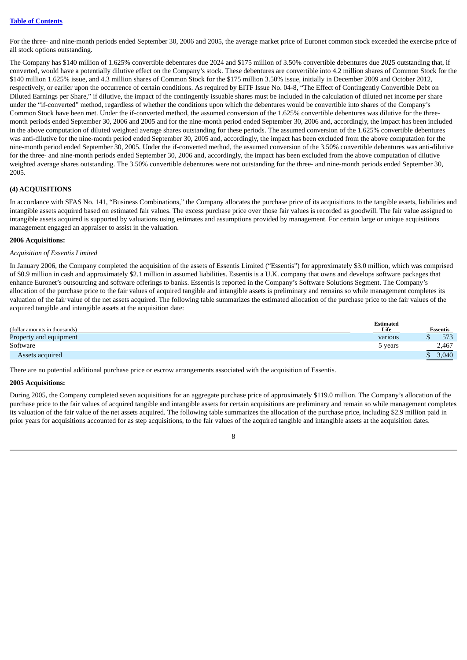## **Table of [Contents](#page-2-0)**

For the three- and nine-month periods ended September 30, 2006 and 2005, the average market price of Euronet common stock exceeded the exercise price of all stock options outstanding.

The Company has \$140 million of 1.625% convertible debentures due 2024 and \$175 million of 3.50% convertible debentures due 2025 outstanding that, if converted, would have a potentially dilutive effect on the Company's stock. These debentures are convertible into 4.2 million shares of Common Stock for the \$140 million 1.625% issue, and 4.3 million shares of Common Stock for the \$175 million 3.50% issue, initially in December 2009 and October 2012, respectively, or earlier upon the occurrence of certain conditions. As required by EITF Issue No. 04-8, "The Effect of Contingently Convertible Debt on Diluted Earnings per Share," if dilutive, the impact of the contingently issuable shares must be included in the calculation of diluted net income per share under the "if-converted" method, regardless of whether the conditions upon which the debentures would be convertible into shares of the Company's Common Stock have been met. Under the if-converted method, the assumed conversion of the 1.625% convertible debentures was dilutive for the threemonth periods ended September 30, 2006 and 2005 and for the nine-month period ended September 30, 2006 and, accordingly, the impact has been included in the above computation of diluted weighted average shares outstanding for these periods. The assumed conversion of the 1.625% convertible debentures was anti-dilutive for the nine-month period ended September 30, 2005 and, accordingly, the impact has been excluded from the above computation for the nine-month period ended September 30, 2005. Under the if-converted method, the assumed conversion of the 3.50% convertible debentures was anti-dilutive for the three- and nine-month periods ended September 30, 2006 and, accordingly, the impact has been excluded from the above computation of dilutive weighted average shares outstanding. The 3.50% convertible debentures were not outstanding for the three- and nine-month periods ended September 30, 2005.

# **(4) ACQUISITIONS**

In accordance with SFAS No. 141, "Business Combinations," the Company allocates the purchase price of its acquisitions to the tangible assets, liabilities and intangible assets acquired based on estimated fair values. The excess purchase price over those fair values is recorded as goodwill. The fair value assigned to intangible assets acquired is supported by valuations using estimates and assumptions provided by management. For certain large or unique acquisitions management engaged an appraiser to assist in the valuation.

# **2006 Acquisitions:**

# *Acquisition of Essentis Limited*

In January 2006, the Company completed the acquisition of the assets of Essentis Limited ("Essentis") for approximately \$3.0 million, which was comprised of \$0.9 million in cash and approximately \$2.1 million in assumed liabilities. Essentis is a U.K. company that owns and develops software packages that enhance Euronet's outsourcing and software offerings to banks. Essentis is reported in the Company's Software Solutions Segment. The Company's allocation of the purchase price to the fair values of acquired tangible and intangible assets is preliminary and remains so while management completes its valuation of the fair value of the net assets acquired. The following table summarizes the estimated allocation of the purchase price to the fair values of the acquired tangible and intangible assets at the acquisition date:

| (dollar amounts in thousands) | Estimated<br>Life | <b>Essentis</b> |
|-------------------------------|-------------------|-----------------|
| Property and equipment        | various           | 573             |
| Software                      | 5 years           | 2,467           |
| Assets acquired               |                   | 3,040           |
|                               |                   |                 |

There are no potential additional purchase price or escrow arrangements associated with the acquisition of Essentis.

#### **2005 Acquisitions:**

During 2005, the Company completed seven acquisitions for an aggregate purchase price of approximately \$119.0 million. The Company's allocation of the purchase price to the fair values of acquired tangible and intangible assets for certain acquisitions are preliminary and remain so while management completes its valuation of the fair value of the net assets acquired. The following table summarizes the allocation of the purchase price, including \$2.9 million paid in prior years for acquisitions accounted for as step acquisitions, to the fair values of the acquired tangible and intangible assets at the acquisition dates.

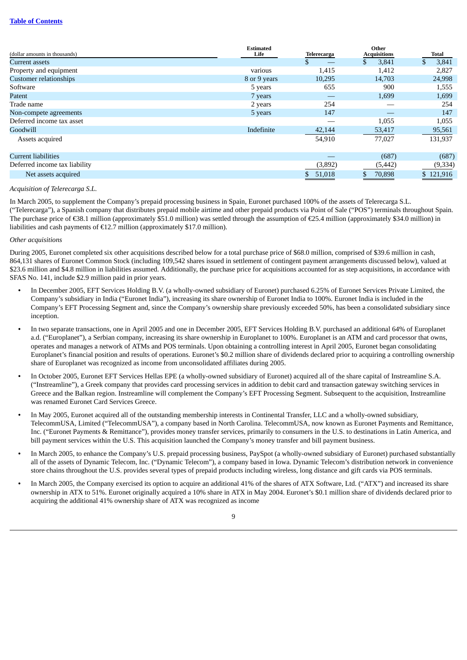| (dollar amounts in thousands) | <b>Estimated</b><br>Life | Telerecarga  | Other<br><b>Acquisitions</b> | Total      |
|-------------------------------|--------------------------|--------------|------------------------------|------------|
| Current assets                |                          | S            | 3,841<br>\$                  | 3,841<br>S |
| Property and equipment        | various                  | 1,415        | 1,412                        | 2,827      |
| Customer relationships        | 8 or 9 years             | 10,295       | 14,703                       | 24,998     |
| Software                      | 5 years                  | 655          | 900                          | 1,555      |
| Patent                        | 7 years                  |              | 1,699                        | 1,699      |
| Trade name                    | 2 years                  | 254          |                              | 254        |
| Non-compete agreements        | 5 years                  | 147          |                              | 147        |
| Deferred income tax asset     |                          |              | 1,055                        | 1,055      |
| Goodwill                      | Indefinite               | 42,144       | 53,417                       | 95,561     |
| Assets acquired               |                          | 54,910       | 77,027                       | 131,937    |
| Current liabilities           |                          |              | (687)                        | (687)      |
| Deferred income tax liability |                          | (3,892)      | (5, 442)                     | (9, 334)   |
| Net assets acquired           |                          | \$<br>51,018 | 70,898<br>\$                 | \$121,916  |
|                               |                          |              |                              |            |

#### *Acquisition of Telerecarga S.L.*

In March 2005, to supplement the Company's prepaid processing business in Spain, Euronet purchased 100% of the assets of Telerecarga S.L. ("Telerecarga"), a Spanish company that distributes prepaid mobile airtime and other prepaid products via Point of Sale ("POS") terminals throughout Spain. The purchase price of €38.1 million (approximately \$51.0 million) was settled through the assumption of €25.4 million (approximately \$34.0 million) in liabilities and cash payments of €12.7 million (approximately \$17.0 million).

# *Other acquisitions*

During 2005, Euronet completed six other acquisitions described below for a total purchase price of \$68.0 million, comprised of \$39.6 million in cash, 864,131 shares of Euronet Common Stock (including 109,542 shares issued in settlement of contingent payment arrangements discussed below), valued at \$23.6 million and \$4.8 million in liabilities assumed. Additionally, the purchase price for acquisitions accounted for as step acquisitions, in accordance with SFAS No. 141, include \$2.9 million paid in prior years.

- **•** In December 2005, EFT Services Holding B.V. (a wholly-owned subsidiary of Euronet) purchased 6.25% of Euronet Services Private Limited, the Company's subsidiary in India ("Euronet India"), increasing its share ownership of Euronet India to 100%. Euronet India is included in the Company's EFT Processing Segment and, since the Company's ownership share previously exceeded 50%, has been a consolidated subsidiary since inception.
- **•** In two separate transactions, one in April 2005 and one in December 2005, EFT Services Holding B.V. purchased an additional 64% of Europlanet a.d. ("Europlanet"), a Serbian company, increasing its share ownership in Europlanet to 100%. Europlanet is an ATM and card processor that owns, operates and manages a network of ATMs and POS terminals. Upon obtaining a controlling interest in April 2005, Euronet began consolidating Europlanet's financial position and results of operations. Euronet's \$0.2 million share of dividends declared prior to acquiring a controlling ownership share of Europlanet was recognized as income from unconsolidated affiliates during 2005.
- **•** In October 2005, Euronet EFT Services Hellas EPE (a wholly-owned subsidiary of Euronet) acquired all of the share capital of Instreamline S.A. ("Instreamline"), a Greek company that provides card processing services in addition to debit card and transaction gateway switching services in Greece and the Balkan region. Instreamline will complement the Company's EFT Processing Segment. Subsequent to the acquisition, Instreamline was renamed Euronet Card Services Greece.
- **•** In May 2005, Euronet acquired all of the outstanding membership interests in Continental Transfer, LLC and a wholly-owned subsidiary, TelecommUSA, Limited ("TelecommUSA"), a company based in North Carolina. TelecommUSA, now known as Euronet Payments and Remittance, Inc. ("Euronet Payments & Remittance"), provides money transfer services, primarily to consumers in the U.S. to destinations in Latin America, and bill payment services within the U.S. This acquisition launched the Company's money transfer and bill payment business.
- **•** In March 2005, to enhance the Company's U.S. prepaid processing business, PaySpot (a wholly-owned subsidiary of Euronet) purchased substantially all of the assets of Dynamic Telecom, Inc. ("Dynamic Telecom"), a company based in Iowa. Dynamic Telecom's distribution network in convenience store chains throughout the U.S. provides several types of prepaid products including wireless, long distance and gift cards via POS terminals.
- **•** In March 2005, the Company exercised its option to acquire an additional 41% of the shares of ATX Software, Ltd. ("ATX") and increased its share ownership in ATX to 51%. Euronet originally acquired a 10% share in ATX in May 2004. Euronet's \$0.1 million share of dividends declared prior to acquiring the additional 41% ownership share of ATX was recognized as income

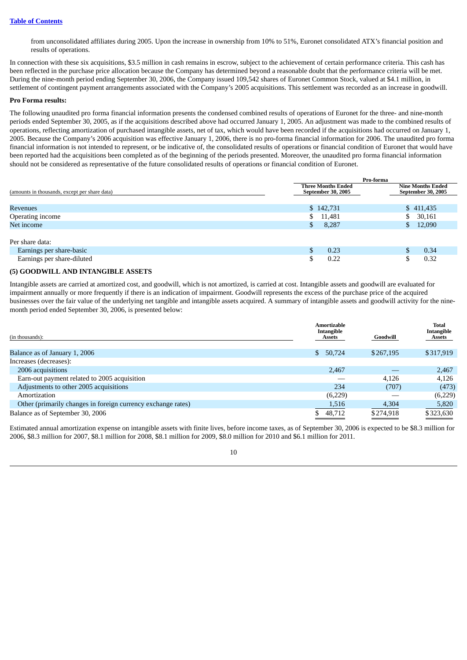from unconsolidated affiliates during 2005. Upon the increase in ownership from 10% to 51%, Euronet consolidated ATX's financial position and results of operations.

In connection with these six acquisitions, \$3.5 million in cash remains in escrow, subject to the achievement of certain performance criteria. This cash has been reflected in the purchase price allocation because the Company has determined beyond a reasonable doubt that the performance criteria will be met. During the nine-month period ending September 30, 2006, the Company issued 109,542 shares of Euronet Common Stock, valued at \$4.1 million, in settlement of contingent payment arrangements associated with the Company's 2005 acquisitions. This settlement was recorded as an increase in goodwill.

# **Pro Forma results:**

The following unaudited pro forma financial information presents the condensed combined results of operations of Euronet for the three- and nine-month periods ended September 30, 2005, as if the acquisitions described above had occurred January 1, 2005. An adjustment was made to the combined results of operations, reflecting amortization of purchased intangible assets, net of tax, which would have been recorded if the acquisitions had occurred on January 1, 2005. Because the Company's 2006 acquisition was effective January 1, 2006, there is no pro-forma financial information for 2006. The unaudited pro forma financial information is not intended to represent, or be indicative of, the consolidated results of operations or financial condition of Euronet that would have been reported had the acquisitions been completed as of the beginning of the periods presented. Moreover, the unaudited pro forma financial information should not be considered as representative of the future consolidated results of operations or financial condition of Euronet.

|                                               | Pro-forma                                              |                                                       |  |  |
|-----------------------------------------------|--------------------------------------------------------|-------------------------------------------------------|--|--|
| (amounts in thousands, except per share data) | <b>Three Months Ended</b><br><b>September 30, 2005</b> | <b>Nine Months Ended</b><br><b>September 30, 2005</b> |  |  |
|                                               |                                                        |                                                       |  |  |
| Revenues                                      | \$142,731                                              | \$411,435                                             |  |  |
| Operating income                              | \$<br>11,481                                           | 30,161<br>\$                                          |  |  |
| Net income                                    | 8,287<br>\$                                            | 12,090<br>\$                                          |  |  |
|                                               |                                                        |                                                       |  |  |
| Per share data:                               |                                                        |                                                       |  |  |
| Earnings per share-basic                      | 0.23                                                   | 0.34<br>\$                                            |  |  |
| Earnings per share-diluted                    | 0.22                                                   | 0.32<br>S                                             |  |  |

# **(5) GOODWILL AND INTANGIBLE ASSETS**

Intangible assets are carried at amortized cost, and goodwill, which is not amortized, is carried at cost. Intangible assets and goodwill are evaluated for impairment annually or more frequently if there is an indication of impairment. Goodwill represents the excess of the purchase price of the acquired businesses over the fair value of the underlying net tangible and intangible assets acquired. A summary of intangible assets and goodwill activity for the ninemonth period ended September 30, 2006, is presented below:

| (in thousands):                                              | <b>Amortizable</b><br>Intangible<br>Assets | Goodwill  | <b>Total</b><br>Intangible<br>Assets |
|--------------------------------------------------------------|--------------------------------------------|-----------|--------------------------------------|
| Balance as of January 1, 2006                                | $\mathbb{S}$<br>50,724                     | \$267,195 | \$317,919                            |
| Increases (decreases):                                       |                                            |           |                                      |
| 2006 acquisitions                                            | 2,467                                      |           | 2,467                                |
| Earn-out payment related to 2005 acquisition                 |                                            | 4.126     | 4.126                                |
| Adjustments to other 2005 acquisitions                       | 234                                        | (707)     | (473)                                |
| Amortization                                                 | (6,229)                                    |           | (6,229)                              |
| Other (primarily changes in foreign currency exchange rates) | 1,516                                      | 4,304     | 5,820                                |
| Balance as of September 30, 2006                             | 48,712                                     | \$274,918 | \$323,630                            |

Estimated annual amortization expense on intangible assets with finite lives, before income taxes, as of September 30, 2006 is expected to be \$8.3 million for 2006, \$8.3 million for 2007, \$8.1 million for 2008, \$8.1 million for 2009, \$8.0 million for 2010 and \$6.1 million for 2011.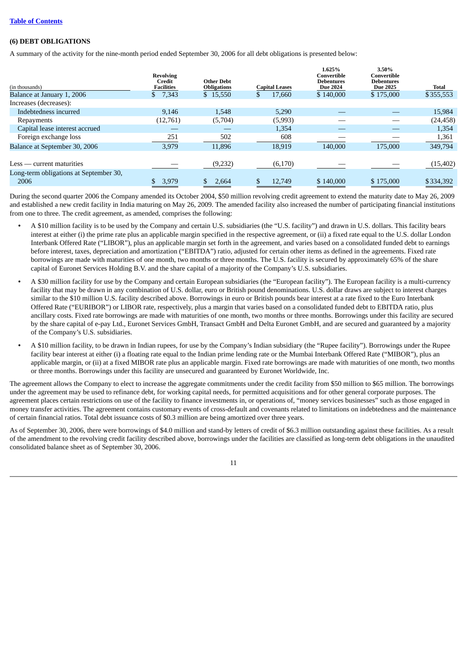# **(6) DEBT OBLIGATIONS**

A summary of the activity for the nine-month period ended September 30, 2006 for all debt obligations is presented below:

| (in thousands)                            | <b>Revolving</b><br><b>Credit</b><br><b>Facilities</b> | Other Debt<br><b>Obligations</b> | <b>Capital Leases</b> | 1.625%<br>Convertible<br><b>Debentures</b><br><b>Due 2024</b> | 3.50%<br>Convertible<br><b>Debentures</b><br><b>Due 2025</b> | <b>Total</b> |
|-------------------------------------------|--------------------------------------------------------|----------------------------------|-----------------------|---------------------------------------------------------------|--------------------------------------------------------------|--------------|
| Balance at January 1, 2006                | 7,343                                                  | \$15,550                         | 17,660                | \$140,000                                                     | \$175,000                                                    | \$355,553    |
| Increases (decreases):                    |                                                        |                                  |                       |                                                               |                                                              |              |
| Indebtedness incurred                     | 9,146                                                  | 1,548                            | 5,290                 |                                                               |                                                              | 15,984       |
| Repayments                                | (12,761)                                               | (5,704)                          | (5,993)               |                                                               |                                                              | (24, 458)    |
| Capital lease interest accrued            |                                                        |                                  | 1,354                 |                                                               |                                                              | 1,354        |
| Foreign exchange loss                     | 251                                                    | 502                              | 608                   |                                                               |                                                              | 1,361        |
| Balance at September 30, 2006             | 3,979                                                  | 11,896                           | 18,919                | 140,000                                                       | 175,000                                                      | 349,794      |
|                                           |                                                        |                                  |                       |                                                               |                                                              |              |
| $Less \longrightarrow current$ maturities |                                                        | (9,232)                          | (6,170)               |                                                               |                                                              | (15, 402)    |
| Long-term obligations at September 30,    |                                                        |                                  |                       |                                                               |                                                              |              |
| 2006                                      | 3.979                                                  | 2,664                            | 12,749                | \$140,000                                                     | \$175,000                                                    | \$334,392    |
|                                           |                                                        |                                  |                       |                                                               |                                                              |              |

During the second quarter 2006 the Company amended its October 2004, \$50 million revolving credit agreement to extend the maturity date to May 26, 2009 and established a new credit facility in India maturing on May 26, 2009. The amended facility also increased the number of participating financial institutions from one to three. The credit agreement, as amended, comprises the following:

- **•** A \$10 million facility is to be used by the Company and certain U.S. subsidiaries (the "U.S. facility") and drawn in U.S. dollars. This facility bears interest at either (i) the prime rate plus an applicable margin specified in the respective agreement, or (ii) a fixed rate equal to the U.S. dollar London Interbank Offered Rate ("LIBOR"), plus an applicable margin set forth in the agreement, and varies based on a consolidated funded debt to earnings before interest, taxes, depreciation and amortization ("EBITDA") ratio, adjusted for certain other items as defined in the agreements. Fixed rate borrowings are made with maturities of one month, two months or three months. The U.S. facility is secured by approximately 65% of the share capital of Euronet Services Holding B.V. and the share capital of a majority of the Company's U.S. subsidiaries.
- **•** A \$30 million facility for use by the Company and certain European subsidiaries (the "European facility"). The European facility is a multi-currency facility that may be drawn in any combination of U.S. dollar, euro or British pound denominations. U.S. dollar draws are subject to interest charges similar to the \$10 million U.S. facility described above. Borrowings in euro or British pounds bear interest at a rate fixed to the Euro Interbank Offered Rate ("EURIBOR") or LIBOR rate, respectively, plus a margin that varies based on a consolidated funded debt to EBITDA ratio, plus ancillary costs. Fixed rate borrowings are made with maturities of one month, two months or three months. Borrowings under this facility are secured by the share capital of e-pay Ltd., Euronet Services GmbH, Transact GmbH and Delta Euronet GmbH, and are secured and guaranteed by a majority of the Company's U.S. subsidiaries.
- **•** A \$10 million facility, to be drawn in Indian rupees, for use by the Company's Indian subsidiary (the "Rupee facility"). Borrowings under the Rupee facility bear interest at either (i) a floating rate equal to the Indian prime lending rate or the Mumbai Interbank Offered Rate ("MIBOR"), plus an applicable margin, or (ii) at a fixed MIBOR rate plus an applicable margin. Fixed rate borrowings are made with maturities of one month, two months or three months. Borrowings under this facility are unsecured and guaranteed by Euronet Worldwide, Inc.

The agreement allows the Company to elect to increase the aggregate commitments under the credit facility from \$50 million to \$65 million. The borrowings under the agreement may be used to refinance debt, for working capital needs, for permitted acquisitions and for other general corporate purposes. The agreement places certain restrictions on use of the facility to finance investments in, or operations of, "money services businesses" such as those engaged in money transfer activities. The agreement contains customary events of cross-default and covenants related to limitations on indebtedness and the maintenance of certain financial ratios. Total debt issuance costs of \$0.3 million are being amortized over three years.

As of September 30, 2006, there were borrowings of \$4.0 million and stand-by letters of credit of \$6.3 million outstanding against these facilities. As a result of the amendment to the revolving credit facility described above, borrowings under the facilities are classified as long-term debt obligations in the unaudited consolidated balance sheet as of September 30, 2006.

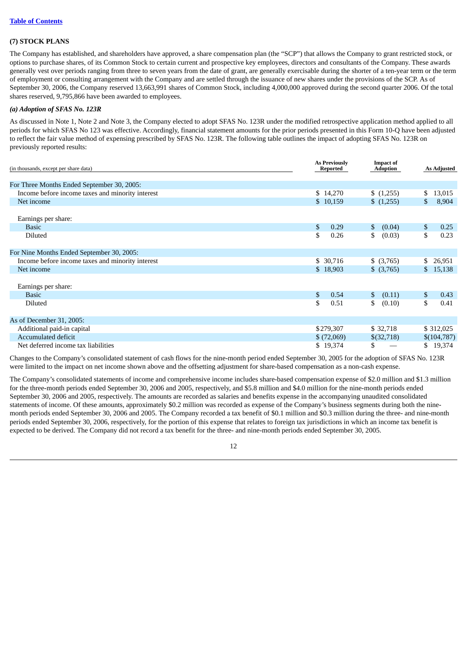# **(7) STOCK PLANS**

The Company has established, and shareholders have approved, a share compensation plan (the "SCP") that allows the Company to grant restricted stock, or options to purchase shares, of its Common Stock to certain current and prospective key employees, directors and consultants of the Company. These awards generally vest over periods ranging from three to seven years from the date of grant, are generally exercisable during the shorter of a ten-year term or the term of employment or consulting arrangement with the Company and are settled through the issuance of new shares under the provisions of the SCP. As of September 30, 2006, the Company reserved 13,663,991 shares of Common Stock, including 4,000,000 approved during the second quarter 2006. Of the total shares reserved, 9,795,866 have been awarded to employees.

# *(a) Adoption of SFAS No. 123R*

As discussed in Note 1, Note 2 and Note 3, the Company elected to adopt SFAS No. 123R under the modified retrospective application method applied to all periods for which SFAS No 123 was effective. Accordingly, financial statement amounts for the prior periods presented in this Form 10-Q have been adjusted to reflect the fair value method of expensing prescribed by SFAS No. 123R. The following table outlines the impact of adopting SFAS No. 123R on previously reported results:

| (in thousands, except per share data)            | <b>As Previously</b><br>Reported | <b>Impact of</b><br><b>Adoption</b> | <b>As Adjusted</b> |
|--------------------------------------------------|----------------------------------|-------------------------------------|--------------------|
| For Three Months Ended September 30, 2005:       |                                  |                                     |                    |
| Income before income taxes and minority interest | \$14,270                         | (1,255)                             | \$<br>13,015       |
| Net income                                       | \$10,159                         | (1,255)                             | 8,904<br>\$        |
| Earnings per share:                              |                                  |                                     |                    |
| <b>Basic</b>                                     | \$<br>0.29                       | $\mathfrak{L}$<br>(0.04)            | \$<br>0.25         |
| Diluted                                          | \$<br>0.26                       | \$<br>(0.03)                        | \$<br>0.23         |
| For Nine Months Ended September 30, 2005:        |                                  |                                     |                    |
| Income before income taxes and minority interest | \$ 30,716                        | $$$ (3,765)                         | 26,951<br>\$       |
| Net income                                       | \$18,903                         | \$ (3,765)                          | 15,138<br>\$.      |
| Earnings per share:                              |                                  |                                     |                    |
| <b>Basic</b>                                     | \$<br>0.54                       | $\mathbb{S}$<br>(0.11)              | \$<br>0.43         |
| Diluted                                          | \$<br>0.51                       | \$<br>(0.10)                        | \$<br>0.41         |
| As of December 31, 2005:                         |                                  |                                     |                    |
| Additional paid-in capital                       | \$279,307                        | \$32,718                            | \$312,025          |
| Accumulated deficit                              | \$(72,069)                       | \$(32,718)                          | \$(104,787)        |
| Net deferred income tax liabilities              | \$19,374                         | \$                                  | 19,374<br>\$       |

Changes to the Company's consolidated statement of cash flows for the nine-month period ended September 30, 2005 for the adoption of SFAS No. 123R were limited to the impact on net income shown above and the offsetting adjustment for share-based compensation as a non-cash expense.

The Company's consolidated statements of income and comprehensive income includes share-based compensation expense of \$2.0 million and \$1.3 million for the three-month periods ended September 30, 2006 and 2005, respectively, and \$5.8 million and \$4.0 million for the nine-month periods ended September 30, 2006 and 2005, respectively. The amounts are recorded as salaries and benefits expense in the accompanying unaudited consolidated statements of income. Of these amounts, approximately \$0.2 million was recorded as expense of the Company's business segments during both the ninemonth periods ended September 30, 2006 and 2005. The Company recorded a tax benefit of \$0.1 million and \$0.3 million during the three- and nine-month periods ended September 30, 2006, respectively, for the portion of this expense that relates to foreign tax jurisdictions in which an income tax benefit is expected to be derived. The Company did not record a tax benefit for the three- and nine-month periods ended September 30, 2005.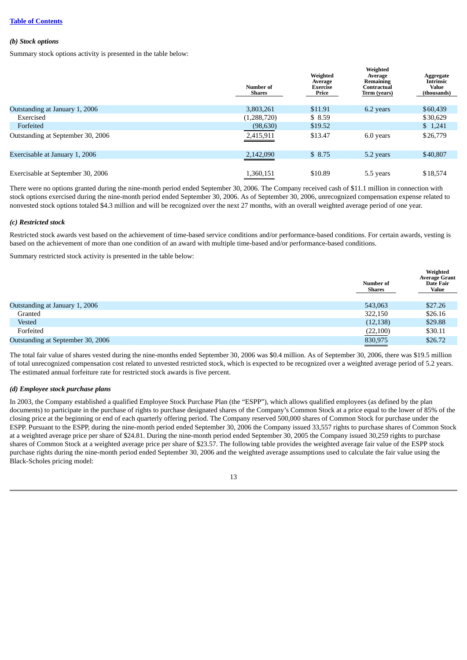# *(b) Stock options*

Summary stock options activity is presented in the table below:

|                                   | <b>Number of</b><br><b>Shares</b> | Weighted<br>Average<br><b>Exercise</b><br>Price | Weighted<br>Average<br><b>Remaining</b><br>Contractual<br>Term (years) | Aggregate<br><b>Intrinsic</b><br><b>Value</b><br>(thousands) |
|-----------------------------------|-----------------------------------|-------------------------------------------------|------------------------------------------------------------------------|--------------------------------------------------------------|
|                                   |                                   |                                                 |                                                                        |                                                              |
| Outstanding at January 1, 2006    | 3,803,261                         | \$11.91                                         | 6.2 years                                                              | \$60,439                                                     |
| Exercised                         | (1,288,720)                       | \$8.59                                          |                                                                        | \$30,629                                                     |
| Forfeited                         | (98, 630)                         | \$19.52                                         |                                                                        | \$1,241                                                      |
| Outstanding at September 30, 2006 | 2,415,911                         | \$13.47                                         | 6.0 years                                                              | \$26,779                                                     |
| Exercisable at January 1, 2006    | 2,142,090                         | \$8.75                                          | 5.2 years                                                              | \$40,807                                                     |
| Exercisable at September 30, 2006 | 1,360,151                         | \$10.89                                         | 5.5 years                                                              | \$18,574                                                     |

There were no options granted during the nine-month period ended September 30, 2006. The Company received cash of \$11.1 million in connection with stock options exercised during the nine-month period ended September 30, 2006. As of September 30, 2006, unrecognized compensation expense related to nonvested stock options totaled \$4.3 million and will be recognized over the next 27 months, with an overall weighted average period of one year.

#### *(c) Restricted stock*

Restricted stock awards vest based on the achievement of time-based service conditions and/or performance-based conditions. For certain awards, vesting is based on the achievement of more than one condition of an award with multiple time-based and/or performance-based conditions.

Summary restricted stock activity is presented in the table below:

|                                   | Number of<br>Shares | Weighted<br><b>Average Grant</b><br>Date Fair<br>Value |
|-----------------------------------|---------------------|--------------------------------------------------------|
| Outstanding at January 1, 2006    | 543,063             | \$27.26                                                |
| Granted                           | 322,150             | \$26.16                                                |
| <b>Vested</b>                     | (12, 138)           | \$29.88                                                |
| Forfeited                         | (22, 100)           | \$30.11                                                |
| Outstanding at September 30, 2006 | 830,975             | \$26.72                                                |
|                                   |                     |                                                        |

The total fair value of shares vested during the nine-months ended September 30, 2006 was \$0.4 million. As of September 30, 2006, there was \$19.5 million of total unrecognized compensation cost related to unvested restricted stock, which is expected to be recognized over a weighted average period of 5.2 years. The estimated annual forfeiture rate for restricted stock awards is five percent.

## *(d) Employee stock purchase plans*

In 2003, the Company established a qualified Employee Stock Purchase Plan (the "ESPP"), which allows qualified employees (as defined by the plan documents) to participate in the purchase of rights to purchase designated shares of the Company's Common Stock at a price equal to the lower of 85% of the closing price at the beginning or end of each quarterly offering period. The Company reserved 500,000 shares of Common Stock for purchase under the ESPP. Pursuant to the ESPP, during the nine-month period ended September 30, 2006 the Company issued 33,557 rights to purchase shares of Common Stock at a weighted average price per share of \$24.81. During the nine-month period ended September 30, 2005 the Company issued 30,259 rights to purchase shares of Common Stock at a weighted average price per share of \$23.57. The following table provides the weighted average fair value of the ESPP stock purchase rights during the nine-month period ended September 30, 2006 and the weighted average assumptions used to calculate the fair value using the Black-Scholes pricing model:

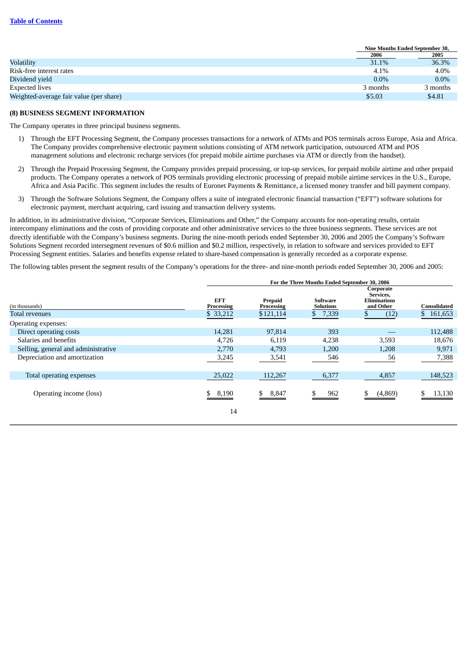|                                         |          | Nine Months Ended September 30, |
|-----------------------------------------|----------|---------------------------------|
|                                         | 2006     | 2005                            |
| Volatility                              | 31.1%    | 36.3%                           |
| Risk-free interest rates                | 4.1%     | 4.0%                            |
| Dividend yield                          | $0.0\%$  | $0.0\%$                         |
| <b>Expected lives</b>                   | 3 months | 3 months                        |
| Weighted-average fair value (per share) | \$5.03   | \$4.81                          |

# **(8) BUSINESS SEGMENT INFORMATION**

The Company operates in three principal business segments.

- 1) Through the EFT Processing Segment, the Company processes transactions for a network of ATMs and POS terminals across Europe, Asia and Africa. The Company provides comprehensive electronic payment solutions consisting of ATM network participation, outsourced ATM and POS management solutions and electronic recharge services (for prepaid mobile airtime purchases via ATM or directly from the handset).
- 2) Through the Prepaid Processing Segment, the Company provides prepaid processing, or top-up services, for prepaid mobile airtime and other prepaid products. The Company operates a network of POS terminals providing electronic processing of prepaid mobile airtime services in the U.S., Europe, Africa and Asia Pacific. This segment includes the results of Euronet Payments & Remittance, a licensed money transfer and bill payment company.
- 3) Through the Software Solutions Segment, the Company offers a suite of integrated electronic financial transaction ("EFT") software solutions for electronic payment, merchant acquiring, card issuing and transaction delivery systems.

In addition, in its administrative division, "Corporate Services, Eliminations and Other," the Company accounts for non-operating results, certain intercompany eliminations and the costs of providing corporate and other administrative services to the three business segments. These services are not directly identifiable with the Company's business segments. During the nine-month periods ended September 30, 2006 and 2005 the Company's Software Solutions Segment recorded intersegment revenues of \$0.6 million and \$0.2 million, respectively, in relation to software and services provided to EFT Processing Segment entities. Salaries and benefits expense related to share-based compensation is generally recorded as a corporate expense.

The following tables present the segment results of the Company's operations for the three- and nine-month periods ended September 30, 2006 and 2005:

|                                     |                          |                       | For the Three Months Ended September 30, 2006 |                                                            |              |
|-------------------------------------|--------------------------|-----------------------|-----------------------------------------------|------------------------------------------------------------|--------------|
| (in thousands)                      | <b>EFT</b><br>Processing | Prepaid<br>Processing | <b>Software</b><br><b>Solutions</b>           | Corporate<br>Services,<br><b>Eliminations</b><br>and Other | Consolidated |
| Total revenues                      | \$ 33,212                | \$121,114             | 7,339                                         | (12)                                                       | 161,653<br>S |
| Operating expenses:                 |                          |                       |                                               |                                                            |              |
| Direct operating costs              | 14,281                   | 97,814                | 393                                           |                                                            | 112,488      |
| Salaries and benefits               | 4,726                    | 6,119                 | 4,238                                         | 3,593                                                      | 18,676       |
| Selling, general and administrative | 2,770                    | 4,793                 | 1,200                                         | 1,208                                                      | 9,971        |
| Depreciation and amortization       | 3,245                    | 3,541                 | 546                                           | 56                                                         | 7,388        |
| Total operating expenses            | 25,022                   | 112,267               | 6,377                                         | 4,857                                                      | 148,523      |
| Operating income (loss)             | 8,190                    | 8,847<br>\$           | 962                                           | (4,869)<br>\$                                              | 13,130       |
|                                     | 14                       |                       |                                               |                                                            |              |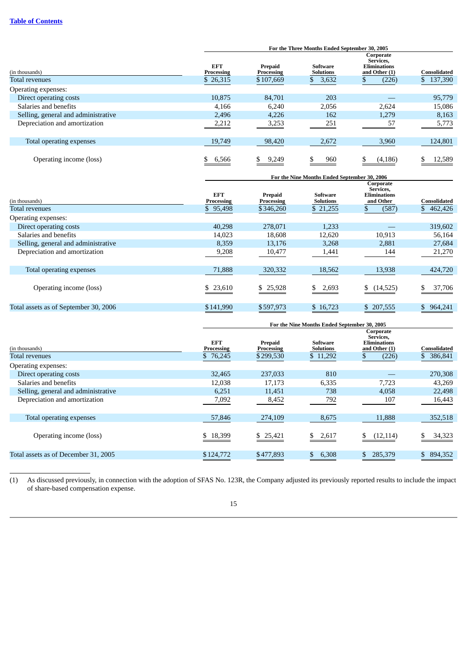# **Table of [Contents](#page-2-0)**

|                                     | For the Three Months Ended September 30, 2005 |                              |                                     |                                                                |              |  |  |  |
|-------------------------------------|-----------------------------------------------|------------------------------|-------------------------------------|----------------------------------------------------------------|--------------|--|--|--|
| (in thousands)                      | <b>EFT</b><br>Processing                      | Prepaid<br><b>Processing</b> | <b>Software</b><br><b>Solutions</b> | Corporate<br>Services,<br><b>Eliminations</b><br>and Other (1) | Consolidated |  |  |  |
| Total revenues                      | \$ 26,315                                     | \$107,669                    | 3,632<br>\$                         | (226)                                                          | 137,390      |  |  |  |
| Operating expenses:                 |                                               |                              |                                     |                                                                |              |  |  |  |
| Direct operating costs              | 10,875                                        | 84,701                       | 203                                 |                                                                | 95,779       |  |  |  |
| Salaries and benefits               | 4,166                                         | 6,240                        | 2,056                               | 2,624                                                          | 15,086       |  |  |  |
| Selling, general and administrative | 2,496                                         | 4,226                        | 162                                 | 1,279                                                          | 8,163        |  |  |  |
| Depreciation and amortization       | 2,212                                         | 3,253                        | 251                                 | 57                                                             | 5,773        |  |  |  |
| Total operating expenses            | 19,749                                        | 98,420                       | 2,672                               | 3,960                                                          | 124,801      |  |  |  |
| Operating income (loss)             | 6,566                                         | 9,249                        | 960                                 | (4,186)                                                        | 12,589       |  |  |  |

|                                       | For the Nine Months Ended September 30, 2006 |                       |                              |                                                            |               |  |  |  |
|---------------------------------------|----------------------------------------------|-----------------------|------------------------------|------------------------------------------------------------|---------------|--|--|--|
| (in thousands)                        | <b>EFT</b><br>Processing                     | Prepaid<br>Processing | Software<br><b>Solutions</b> | Corporate<br>Services,<br><b>Eliminations</b><br>and Other | Consolidated  |  |  |  |
| <b>Total revenues</b>                 | \$95,498                                     | \$346,260             | \$21,255                     | (587)                                                      | 462,426       |  |  |  |
| Operating expenses:                   |                                              |                       |                              |                                                            |               |  |  |  |
| Direct operating costs                | 40,298                                       | 278,071               | 1,233                        |                                                            | 319,602       |  |  |  |
| Salaries and benefits                 | 14,023                                       | 18,608                | 12,620                       | 10,913                                                     | 56,164        |  |  |  |
| Selling, general and administrative   | 8,359                                        | 13,176                | 3,268                        | 2,881                                                      | 27,684        |  |  |  |
| Depreciation and amortization         | 9,208                                        | 10,477                | 1,441                        | 144                                                        | 21,270        |  |  |  |
|                                       |                                              |                       |                              |                                                            |               |  |  |  |
| Total operating expenses              | 71,888                                       | 320,332               | 18,562                       | 13,938                                                     | 424,720       |  |  |  |
|                                       |                                              |                       |                              |                                                            |               |  |  |  |
| Operating income (loss)               | \$23,610                                     | \$25,928              | \$<br>2,693                  | \$(14,525)                                                 | 37,706        |  |  |  |
|                                       |                                              |                       |                              |                                                            |               |  |  |  |
| Total assets as of September 30, 2006 | \$141,990                                    | \$597,973             | \$16,723                     | \$ 207,555                                                 | \$<br>964,241 |  |  |  |

|                                      |                   |                       |                                     | For the Nine Months Ended September 30, 2005                   |               |  |  |
|--------------------------------------|-------------------|-----------------------|-------------------------------------|----------------------------------------------------------------|---------------|--|--|
| (in thousands)                       | EFT<br>Processing | Prepaid<br>Processing | <b>Software</b><br><b>Solutions</b> | Corporate<br>Services,<br><b>Eliminations</b><br>and Other (1) | Consolidated  |  |  |
| Total revenues                       | 76,245            | \$299,530             | \$11,292                            | \$<br>(226)                                                    | 386,841<br>\$ |  |  |
| Operating expenses:                  |                   |                       |                                     |                                                                |               |  |  |
| Direct operating costs               | 32,465            | 237,033               | 810                                 |                                                                | 270,308       |  |  |
| Salaries and benefits                | 12,038            | 17,173                | 6,335                               | 7,723                                                          | 43,269        |  |  |
| Selling, general and administrative  | 6,251             | 11,451                | 738                                 | 4,058                                                          | 22,498        |  |  |
| Depreciation and amortization        | 7,092             | 8,452                 | 792                                 | 107                                                            | 16,443        |  |  |
| Total operating expenses             | 57,846            | 274,109               | 8,675                               | 11,888                                                         | 352,518       |  |  |
| Operating income (loss)              | \$18,399          | \$25,421              | 2,617<br>S.                         | (12, 114)<br>S                                                 | 34,323        |  |  |
| Total assets as of December 31, 2005 | \$124,772         | \$477,893             | 6,308                               | 285,379<br>\$                                                  | 894,352       |  |  |

(1) As discussed previously, in connection with the adoption of SFAS No. 123R, the Company adjusted its previously reported results to include the impact of share-based compensation expense.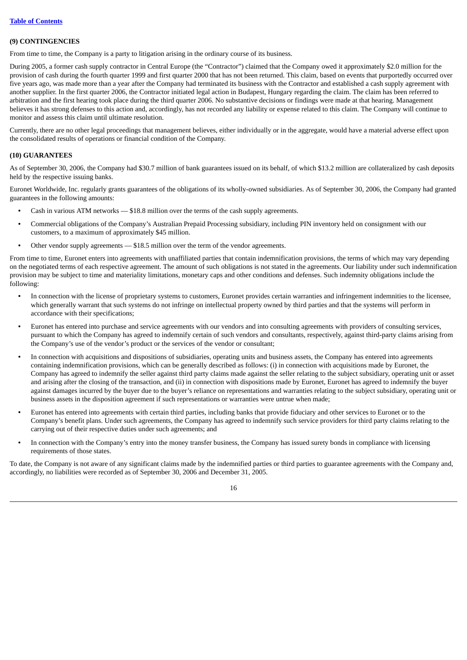# **(9) CONTINGENCIES**

From time to time, the Company is a party to litigation arising in the ordinary course of its business.

During 2005, a former cash supply contractor in Central Europe (the "Contractor") claimed that the Company owed it approximately \$2.0 million for the provision of cash during the fourth quarter 1999 and first quarter 2000 that has not been returned. This claim, based on events that purportedly occurred over five years ago, was made more than a year after the Company had terminated its business with the Contractor and established a cash supply agreement with another supplier. In the first quarter 2006, the Contractor initiated legal action in Budapest, Hungary regarding the claim. The claim has been referred to arbitration and the first hearing took place during the third quarter 2006. No substantive decisions or findings were made at that hearing. Management believes it has strong defenses to this action and, accordingly, has not recorded any liability or expense related to this claim. The Company will continue to monitor and assess this claim until ultimate resolution.

Currently, there are no other legal proceedings that management believes, either individually or in the aggregate, would have a material adverse effect upon the consolidated results of operations or financial condition of the Company.

#### **(10) GUARANTEES**

As of September 30, 2006, the Company had \$30.7 million of bank guarantees issued on its behalf, of which \$13.2 million are collateralized by cash deposits held by the respective issuing banks.

Euronet Worldwide, Inc. regularly grants guarantees of the obligations of its wholly-owned subsidiaries. As of September 30, 2006, the Company had granted guarantees in the following amounts:

- **•** Cash in various ATM networks \$18.8 million over the terms of the cash supply agreements.
- **•** Commercial obligations of the Company's Australian Prepaid Processing subsidiary, including PIN inventory held on consignment with our customers, to a maximum of approximately \$45 million.
- **•** Other vendor supply agreements \$18.5 million over the term of the vendor agreements.

From time to time, Euronet enters into agreements with unaffiliated parties that contain indemnification provisions, the terms of which may vary depending on the negotiated terms of each respective agreement. The amount of such obligations is not stated in the agreements. Our liability under such indemnification provision may be subject to time and materiality limitations, monetary caps and other conditions and defenses. Such indemnity obligations include the following:

- **•** In connection with the license of proprietary systems to customers, Euronet provides certain warranties and infringement indemnities to the licensee, which generally warrant that such systems do not infringe on intellectual property owned by third parties and that the systems will perform in accordance with their specifications;
- **•** Euronet has entered into purchase and service agreements with our vendors and into consulting agreements with providers of consulting services, pursuant to which the Company has agreed to indemnify certain of such vendors and consultants, respectively, against third-party claims arising from the Company's use of the vendor's product or the services of the vendor or consultant;
- **•** In connection with acquisitions and dispositions of subsidiaries, operating units and business assets, the Company has entered into agreements containing indemnification provisions, which can be generally described as follows: (i) in connection with acquisitions made by Euronet, the Company has agreed to indemnify the seller against third party claims made against the seller relating to the subject subsidiary, operating unit or asset and arising after the closing of the transaction, and (ii) in connection with dispositions made by Euronet, Euronet has agreed to indemnify the buyer against damages incurred by the buyer due to the buyer's reliance on representations and warranties relating to the subject subsidiary, operating unit or business assets in the disposition agreement if such representations or warranties were untrue when made;
- **•** Euronet has entered into agreements with certain third parties, including banks that provide fiduciary and other services to Euronet or to the Company's benefit plans. Under such agreements, the Company has agreed to indemnify such service providers for third party claims relating to the carrying out of their respective duties under such agreements; and
- **•** In connection with the Company's entry into the money transfer business, the Company has issued surety bonds in compliance with licensing requirements of those states.

To date, the Company is not aware of any significant claims made by the indemnified parties or third parties to guarantee agreements with the Company and, accordingly, no liabilities were recorded as of September 30, 2006 and December 31, 2005.

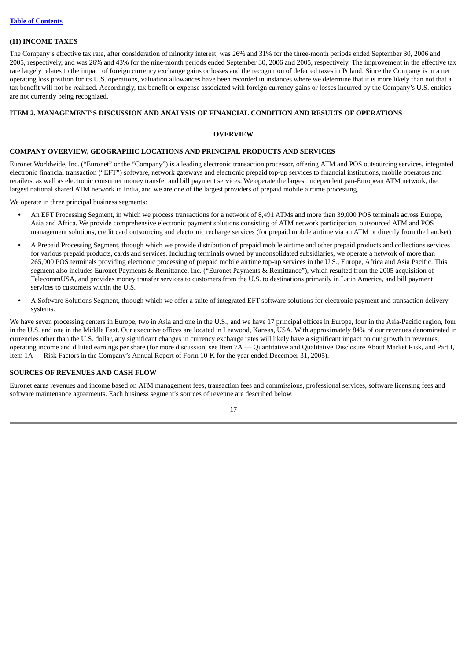# **(11) INCOME TAXES**

The Company's effective tax rate, after consideration of minority interest, was 26% and 31% for the three-month periods ended September 30, 2006 and 2005, respectively, and was 26% and 43% for the nine-month periods ended September 30, 2006 and 2005, respectively. The improvement in the effective tax rate largely relates to the impact of foreign currency exchange gains or losses and the recognition of deferred taxes in Poland. Since the Company is in a net operating loss position for its U.S. operations, valuation allowances have been recorded in instances where we determine that it is more likely than not that a tax benefit will not be realized. Accordingly, tax benefit or expense associated with foreign currency gains or losses incurred by the Company's U.S. entities are not currently being recognized.

# <span id="page-17-0"></span>**ITEM 2. MANAGEMENT'S DISCUSSION AND ANALYSIS OF FINANCIAL CONDITION AND RESULTS OF OPERATIONS**

#### **OVERVIEW**

#### **COMPANY OVERVIEW, GEOGRAPHIC LOCATIONS AND PRINCIPAL PRODUCTS AND SERVICES**

Euronet Worldwide, Inc. ("Euronet" or the "Company") is a leading electronic transaction processor, offering ATM and POS outsourcing services, integrated electronic financial transaction ("EFT") software, network gateways and electronic prepaid top-up services to financial institutions, mobile operators and retailers, as well as electronic consumer money transfer and bill payment services. We operate the largest independent pan-European ATM network, the largest national shared ATM network in India, and we are one of the largest providers of prepaid mobile airtime processing.

We operate in three principal business segments:

- **•** An EFT Processing Segment, in which we process transactions for a network of 8,491 ATMs and more than 39,000 POS terminals across Europe, Asia and Africa. We provide comprehensive electronic payment solutions consisting of ATM network participation, outsourced ATM and POS management solutions, credit card outsourcing and electronic recharge services (for prepaid mobile airtime via an ATM or directly from the handset).
- **•** A Prepaid Processing Segment, through which we provide distribution of prepaid mobile airtime and other prepaid products and collections services for various prepaid products, cards and services. Including terminals owned by unconsolidated subsidiaries, we operate a network of more than 265,000 POS terminals providing electronic processing of prepaid mobile airtime top-up services in the U.S., Europe, Africa and Asia Pacific. This segment also includes Euronet Payments & Remittance, Inc. ("Euronet Payments & Remittance"), which resulted from the 2005 acquisition of TelecommUSA, and provides money transfer services to customers from the U.S. to destinations primarily in Latin America, and bill payment services to customers within the U.S.
- **•** A Software Solutions Segment, through which we offer a suite of integrated EFT software solutions for electronic payment and transaction delivery systems.

We have seven processing centers in Europe, two in Asia and one in the U.S., and we have 17 principal offices in Europe, four in the Asia-Pacific region, four in the U.S. and one in the Middle East. Our executive offices are located in Leawood, Kansas, USA. With approximately 84% of our revenues denominated in currencies other than the U.S. dollar, any significant changes in currency exchange rates will likely have a significant impact on our growth in revenues, operating income and diluted earnings per share (for more discussion, see Item 7A — Quantitative and Qualitative Disclosure About Market Risk, and Part I, Item 1A — Risk Factors in the Company's Annual Report of Form 10-K for the year ended December 31, 2005).

# **SOURCES OF REVENUES AND CASH FLOW**

Euronet earns revenues and income based on ATM management fees, transaction fees and commissions, professional services, software licensing fees and software maintenance agreements. Each business segment's sources of revenue are described below.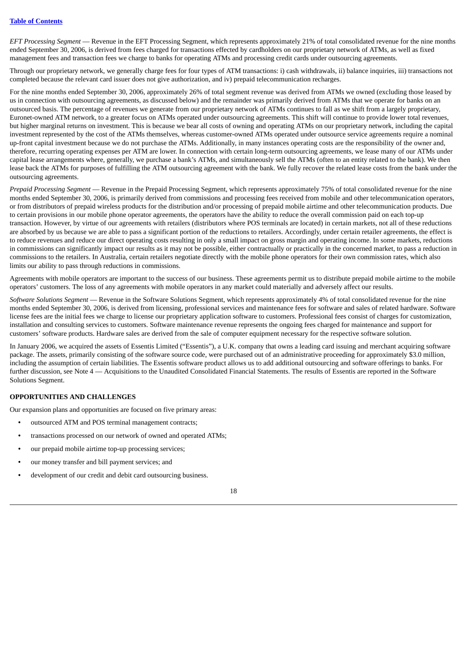*EFT Processing Segment* — Revenue in the EFT Processing Segment, which represents approximately 21% of total consolidated revenue for the nine months ended September 30, 2006, is derived from fees charged for transactions effected by cardholders on our proprietary network of ATMs, as well as fixed management fees and transaction fees we charge to banks for operating ATMs and processing credit cards under outsourcing agreements.

Through our proprietary network, we generally charge fees for four types of ATM transactions: i) cash withdrawals, ii) balance inquiries, iii) transactions not completed because the relevant card issuer does not give authorization, and iv) prepaid telecommunication recharges.

For the nine months ended September 30, 2006, approximately 26% of total segment revenue was derived from ATMs we owned (excluding those leased by us in connection with outsourcing agreements, as discussed below) and the remainder was primarily derived from ATMs that we operate for banks on an outsourced basis. The percentage of revenues we generate from our proprietary network of ATMs continues to fall as we shift from a largely proprietary, Euronet-owned ATM network, to a greater focus on ATMs operated under outsourcing agreements. This shift will continue to provide lower total revenues, but higher marginal returns on investment. This is because we bear all costs of owning and operating ATMs on our proprietary network, including the capital investment represented by the cost of the ATMs themselves, whereas customer-owned ATMs operated under outsource service agreements require a nominal up-front capital investment because we do not purchase the ATMs. Additionally, in many instances operating costs are the responsibility of the owner and, therefore, recurring operating expenses per ATM are lower. In connection with certain long-term outsourcing agreements, we lease many of our ATMs under capital lease arrangements where, generally, we purchase a bank's ATMs, and simultaneously sell the ATMs (often to an entity related to the bank). We then lease back the ATMs for purposes of fulfilling the ATM outsourcing agreement with the bank. We fully recover the related lease costs from the bank under the outsourcing agreements.

*Prepaid Processing Segment* — Revenue in the Prepaid Processing Segment, which represents approximately 75% of total consolidated revenue for the nine months ended September 30, 2006, is primarily derived from commissions and processing fees received from mobile and other telecommunication operators, or from distributors of prepaid wireless products for the distribution and/or processing of prepaid mobile airtime and other telecommunication products. Due to certain provisions in our mobile phone operator agreements, the operators have the ability to reduce the overall commission paid on each top-up transaction. However, by virtue of our agreements with retailers (distributors where POS terminals are located) in certain markets, not all of these reductions are absorbed by us because we are able to pass a significant portion of the reductions to retailers. Accordingly, under certain retailer agreements, the effect is to reduce revenues and reduce our direct operating costs resulting in only a small impact on gross margin and operating income. In some markets, reductions in commissions can significantly impact our results as it may not be possible, either contractually or practically in the concerned market, to pass a reduction in commissions to the retailers. In Australia, certain retailers negotiate directly with the mobile phone operators for their own commission rates, which also limits our ability to pass through reductions in commissions.

Agreements with mobile operators are important to the success of our business. These agreements permit us to distribute prepaid mobile airtime to the mobile operators' customers. The loss of any agreements with mobile operators in any market could materially and adversely affect our results.

*Software Solutions Segment* — Revenue in the Software Solutions Segment, which represents approximately 4% of total consolidated revenue for the nine months ended September 30, 2006, is derived from licensing, professional services and maintenance fees for software and sales of related hardware. Software license fees are the initial fees we charge to license our proprietary application software to customers. Professional fees consist of charges for customization, installation and consulting services to customers. Software maintenance revenue represents the ongoing fees charged for maintenance and support for customers' software products. Hardware sales are derived from the sale of computer equipment necessary for the respective software solution.

In January 2006, we acquired the assets of Essentis Limited ("Essentis"), a U.K. company that owns a leading card issuing and merchant acquiring software package. The assets, primarily consisting of the software source code, were purchased out of an administrative proceeding for approximately \$3.0 million, including the assumption of certain liabilities. The Essentis software product allows us to add additional outsourcing and software offerings to banks. For further discussion, see Note 4 — Acquisitions to the Unaudited Consolidated Financial Statements. The results of Essentis are reported in the Software Solutions Segment.

# **OPPORTUNITIES AND CHALLENGES**

Our expansion plans and opportunities are focused on five primary areas:

- **•** outsourced ATM and POS terminal management contracts;
- **•** transactions processed on our network of owned and operated ATMs;
- **•** our prepaid mobile airtime top-up processing services;
- **•** our money transfer and bill payment services; and
- **•** development of our credit and debit card outsourcing business.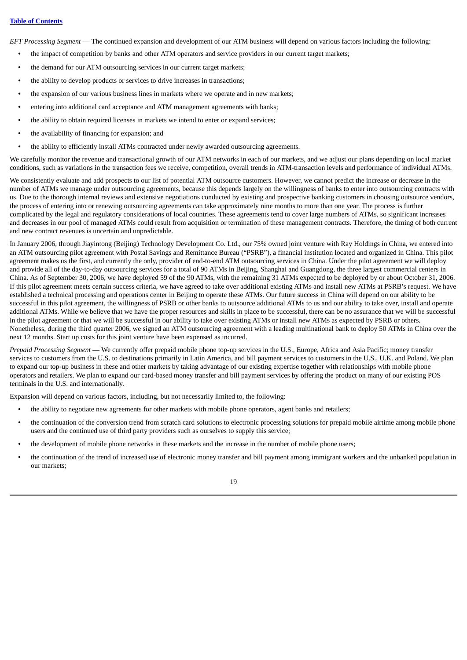*EFT Processing Segment* — The continued expansion and development of our ATM business will depend on various factors including the following:

- **•** the impact of competition by banks and other ATM operators and service providers in our current target markets;
- **•** the demand for our ATM outsourcing services in our current target markets;
- **•** the ability to develop products or services to drive increases in transactions;
- **•** the expansion of our various business lines in markets where we operate and in new markets;
- **•** entering into additional card acceptance and ATM management agreements with banks;
- **•** the ability to obtain required licenses in markets we intend to enter or expand services;
- **•** the availability of financing for expansion; and
- the ability to efficiently install ATMs contracted under newly awarded outsourcing agreements.

We carefully monitor the revenue and transactional growth of our ATM networks in each of our markets, and we adjust our plans depending on local market conditions, such as variations in the transaction fees we receive, competition, overall trends in ATM-transaction levels and performance of individual ATMs.

We consistently evaluate and add prospects to our list of potential ATM outsource customers. However, we cannot predict the increase or decrease in the number of ATMs we manage under outsourcing agreements, because this depends largely on the willingness of banks to enter into outsourcing contracts with us. Due to the thorough internal reviews and extensive negotiations conducted by existing and prospective banking customers in choosing outsource vendors, the process of entering into or renewing outsourcing agreements can take approximately nine months to more than one year. The process is further complicated by the legal and regulatory considerations of local countries. These agreements tend to cover large numbers of ATMs, so significant increases and decreases in our pool of managed ATMs could result from acquisition or termination of these management contracts. Therefore, the timing of both current and new contract revenues is uncertain and unpredictable.

In January 2006, through Jiayintong (Beijing) Technology Development Co. Ltd., our 75% owned joint venture with Ray Holdings in China, we entered into an ATM outsourcing pilot agreement with Postal Savings and Remittance Bureau ("PSRB"), a financial institution located and organized in China. This pilot agreement makes us the first, and currently the only, provider of end-to-end ATM outsourcing services in China. Under the pilot agreement we will deploy and provide all of the day-to-day outsourcing services for a total of 90 ATMs in Beijing, Shanghai and Guangdong, the three largest commercial centers in China. As of September 30, 2006, we have deployed 59 of the 90 ATMs, with the remaining 31 ATMs expected to be deployed by or about October 31, 2006. If this pilot agreement meets certain success criteria, we have agreed to take over additional existing ATMs and install new ATMs at PSRB's request. We have established a technical processing and operations center in Beijing to operate these ATMs. Our future success in China will depend on our ability to be successful in this pilot agreement, the willingness of PSRB or other banks to outsource additional ATMs to us and our ability to take over, install and operate additional ATMs. While we believe that we have the proper resources and skills in place to be successful, there can be no assurance that we will be successful in the pilot agreement or that we will be successful in our ability to take over existing ATMs or install new ATMs as expected by PSRB or others. Nonetheless, during the third quarter 2006, we signed an ATM outsourcing agreement with a leading multinational bank to deploy 50 ATMs in China over the next 12 months. Start up costs for this joint venture have been expensed as incurred.

*Prepaid Processing Segment* — We currently offer prepaid mobile phone top-up services in the U.S., Europe, Africa and Asia Pacific; money transfer services to customers from the U.S. to destinations primarily in Latin America, and bill payment services to customers in the U.S., U.K. and Poland. We plan to expand our top-up business in these and other markets by taking advantage of our existing expertise together with relationships with mobile phone operators and retailers. We plan to expand our card-based money transfer and bill payment services by offering the product on many of our existing POS terminals in the U.S. and internationally.

Expansion will depend on various factors, including, but not necessarily limited to, the following:

- **•** the ability to negotiate new agreements for other markets with mobile phone operators, agent banks and retailers;
- **•** the continuation of the conversion trend from scratch card solutions to electronic processing solutions for prepaid mobile airtime among mobile phone users and the continued use of third party providers such as ourselves to supply this service;
- **•** the development of mobile phone networks in these markets and the increase in the number of mobile phone users;
- **•** the continuation of the trend of increased use of electronic money transfer and bill payment among immigrant workers and the unbanked population in our markets;

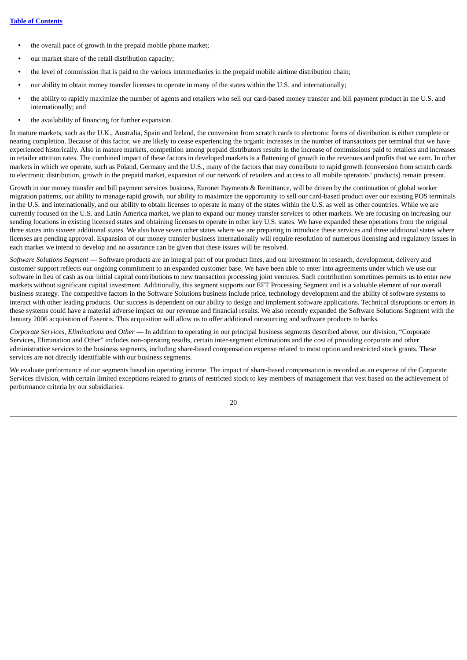- **•** the overall pace of growth in the prepaid mobile phone market;
- **•** our market share of the retail distribution capacity;
- **•** the level of commission that is paid to the various intermediaries in the prepaid mobile airtime distribution chain;
- **•** our ability to obtain money transfer licenses to operate in many of the states within the U.S. and internationally;
- **•** the ability to rapidly maximize the number of agents and retailers who sell our card-based money transfer and bill payment product in the U.S. and internationally; and
- **•** the availability of financing for further expansion.

In mature markets, such as the U.K., Australia, Spain and Ireland, the conversion from scratch cards to electronic forms of distribution is either complete or nearing completion. Because of this factor, we are likely to cease experiencing the organic increases in the number of transactions per terminal that we have experienced historically. Also in mature markets, competition among prepaid distributors results in the increase of commissions paid to retailers and increases in retailer attrition rates. The combined impact of these factors in developed markets is a flattening of growth in the revenues and profits that we earn. In other markets in which we operate, such as Poland, Germany and the U.S., many of the factors that may contribute to rapid growth (conversion from scratch cards to electronic distribution, growth in the prepaid market, expansion of our network of retailers and access to all mobile operators' products) remain present.

Growth in our money transfer and bill payment services business, Euronet Payments & Remittance, will be driven by the continuation of global worker migration patterns, our ability to manage rapid growth, our ability to maximize the opportunity to sell our card-based product over our existing POS terminals in the U.S. and internationally, and our ability to obtain licenses to operate in many of the states within the U.S. as well as other countries. While we are currently focused on the U.S. and Latin America market, we plan to expand our money transfer services to other markets. We are focusing on increasing our sending locations in existing licensed states and obtaining licenses to operate in other key U.S. states. We have expanded these operations from the original three states into sixteen additional states. We also have seven other states where we are preparing to introduce these services and three additional states where licenses are pending approval. Expansion of our money transfer business internationally will require resolution of numerous licensing and regulatory issues in each market we intend to develop and no assurance can be given that these issues will be resolved.

*Software Solutions Segment* — Software products are an integral part of our product lines, and our investment in research, development, delivery and customer support reflects our ongoing commitment to an expanded customer base. We have been able to enter into agreements under which we use our software in lieu of cash as our initial capital contributions to new transaction processing joint ventures. Such contribution sometimes permits us to enter new markets without significant capital investment. Additionally, this segment supports our EFT Processing Segment and is a valuable element of our overall business strategy. The competitive factors in the Software Solutions business include price, technology development and the ability of software systems to interact with other leading products. Our success is dependent on our ability to design and implement software applications. Technical disruptions or errors in these systems could have a material adverse impact on our revenue and financial results. We also recently expanded the Software Solutions Segment with the January 2006 acquisition of Essentis. This acquisition will allow us to offer additional outsourcing and software products to banks.

*Corporate Services, Eliminations and Other* — In addition to operating in our principal business segments described above, our division, "Corporate Services, Elimination and Other" includes non-operating results, certain inter-segment eliminations and the cost of providing corporate and other administrative services to the business segments, including share-based compensation expense related to most option and restricted stock grants. These services are not directly identifiable with our business segments.

We evaluate performance of our segments based on operating income. The impact of share-based compensation is recorded as an expense of the Corporate Services division, with certain limited exceptions related to grants of restricted stock to key members of management that vest based on the achievement of performance criteria by our subsidiaries.

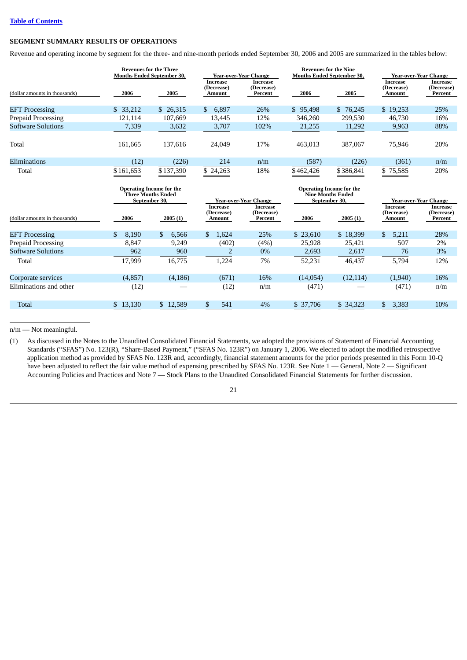# **SEGMENT SUMMARY RESULTS OF OPERATIONS**

Revenue and operating income by segment for the three- and nine-month periods ended September 30, 2006 and 2005 are summarized in the tables below:

|                               | <b>Revenues for the Three</b><br><b>Months Ended September 30,</b> |           | <b>Year-over-Year Change</b>     |                                   | <b>Revenues for the Nine</b><br><b>Months Ended September 30,</b> |           | <b>Year-over-Year Change</b>            |                                   |
|-------------------------------|--------------------------------------------------------------------|-----------|----------------------------------|-----------------------------------|-------------------------------------------------------------------|-----------|-----------------------------------------|-----------------------------------|
| (dollar amounts in thousands) | 2006                                                               | 2005      | Increase<br>(Decrease)<br>Amount | Increase<br>(Decrease)<br>Percent | 2006                                                              | 2005      | Increase<br>(Decrease)<br><b>Amount</b> | Increase<br>(Decrease)<br>Percent |
| <b>EFT Processing</b>         | \$33,212                                                           | \$26,315  | 6,897<br>\$.                     | 26%                               | \$95,498                                                          | \$76,245  | \$19,253                                | 25%                               |
| Prepaid Processing            | 121.114                                                            | 107.669   | 13,445                           | 12%                               | 346,260                                                           | 299,530   | 46,730                                  | 16%                               |
| <b>Software Solutions</b>     | 7,339                                                              | 3,632     | 3,707                            | 102%                              | 21,255                                                            | 11,292    | 9,963                                   | 88%                               |
| Total                         | 161,665                                                            | 137,616   | 24.049                           | 17%                               | 463.013                                                           | 387,067   | 75,946                                  | 20%                               |
| Eliminations                  | (12)                                                               | (226)     | 214                              | n/m                               | (587)                                                             | (226)     | (361)                                   | n/m                               |
| Total                         | \$161,653                                                          | \$137,390 | \$24,263                         | 18%                               | \$462,426                                                         | \$386,841 | \$75,585                                | 20%                               |

| (dollar amounts in thousands) |                    | <b>Operating Income for the</b><br>Three Months Ended<br>September 30, |                                  | Year-over-Year Change             |           | <b>Operating Income for the</b><br><b>Nine Months Ended</b><br>September 30, |                                         | Year-over-Year Change             |  |
|-------------------------------|--------------------|------------------------------------------------------------------------|----------------------------------|-----------------------------------|-----------|------------------------------------------------------------------------------|-----------------------------------------|-----------------------------------|--|
|                               | 2006               | 2005(1)                                                                | Increase<br>(Decrease)<br>Amount | Increase<br>(Decrease)<br>Percent | 2006      | 2005(1)                                                                      | Increase<br>(Decrease)<br><b>Amount</b> | Increase<br>(Decrease)<br>Percent |  |
| <b>EFT Processing</b>         | \$<br>8,190        | 6,566<br>\$.                                                           | 1,624<br>\$.                     | 25%                               | \$23,610  | \$18,399                                                                     | $\mathbb{S}^-$<br>5,211                 | 28%                               |  |
| Prepaid Processing            | 8.847              | 9.249                                                                  | (402)                            | (4%)                              | 25,928    | 25.421                                                                       | 507                                     | 2%                                |  |
| <b>Software Solutions</b>     | 962                | 960                                                                    |                                  | $0\%$                             | 2,693     | 2,617                                                                        | 76                                      | 3%                                |  |
| Total                         | 17,999             | 16,775                                                                 | 1,224                            | 7%                                | 52,231    | 46,437                                                                       | 5,794                                   | 12%                               |  |
| Corporate services            | (4,857)            | (4, 186)                                                               | (671)                            | 16%                               | (14,054)  | (12, 114)                                                                    | (1,940)                                 | 16%                               |  |
| Eliminations and other        | $\left( 12\right)$ |                                                                        | (12)                             | n/m                               | (471)     |                                                                              | (471)                                   | n/m                               |  |
| Total                         | \$13,130           | 12,589                                                                 | 541                              | 4%                                | \$ 37,706 | \$ 34,323                                                                    | 3,383                                   | 10%                               |  |

n/m — Not meaningful.

(1) As discussed in the Notes to the Unaudited Consolidated Financial Statements, we adopted the provisions of Statement of Financial Accounting Standards ("SFAS") No. 123(R), "Share-Based Payment," ("SFAS No. 123R") on January 1, 2006. We elected to adopt the modified retrospective application method as provided by SFAS No. 123R and, accordingly, financial statement amounts for the prior periods presented in this Form 10-Q have been adjusted to reflect the fair value method of expensing prescribed by SFAS No. 123R. See Note 1—General, Note 2—Significant Accounting Policies and Practices and Note 7 — Stock Plans to the Unaudited Consolidated Financial Statements for further discussion.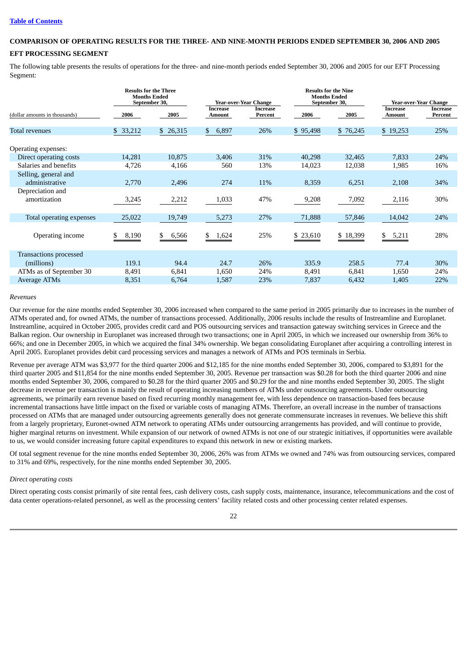#### **COMPARISON OF OPERATING RESULTS FOR THE THREE- AND NINE-MONTH PERIODS ENDED SEPTEMBER 30, 2006 AND 2005**

#### **EFT PROCESSING SEGMENT**

The following table presents the results of operations for the three- and nine-month periods ended September 30, 2006 and 2005 for our EFT Processing Segment:

|                                  | <b>Results for the Three</b><br><b>Months Ended</b><br>September 30, |              | Year-over-Year Change     |                            | <b>Results for the Nine</b><br><b>Months Ended</b><br>September 30, |          | <b>Year-over-Year Change</b>     |                     |
|----------------------------------|----------------------------------------------------------------------|--------------|---------------------------|----------------------------|---------------------------------------------------------------------|----------|----------------------------------|---------------------|
| (dollar amounts in thousands)    | 2006                                                                 | 2005         | <b>Increase</b><br>Amount | <b>Increase</b><br>Percent | 2006                                                                | 2005     | <b>Increase</b><br><b>Amount</b> | Increase<br>Percent |
| Total revenues                   | 33,212<br>\$                                                         | 26,315<br>\$ | 6,897<br>\$               | 26%                        | \$95,498                                                            | \$76,245 | \$19,253                         | 25%                 |
| Operating expenses:              |                                                                      |              |                           |                            |                                                                     |          |                                  |                     |
| Direct operating costs           | 14,281                                                               | 10,875       | 3,406                     | 31%                        | 40,298                                                              | 32,465   | 7,833                            | 24%                 |
| Salaries and benefits            | 4,726                                                                | 4,166        | 560                       | 13%                        | 14,023                                                              | 12,038   | 1,985                            | 16%                 |
| Selling, general and             |                                                                      |              |                           |                            |                                                                     |          |                                  |                     |
| administrative                   | 2,770                                                                | 2,496        | 274                       | 11%                        | 8,359                                                               | 6,251    | 2,108                            | 34%                 |
| Depreciation and<br>amortization | 3,245                                                                | 2,212        | 1,033                     | 47%                        | 9,208                                                               | 7,092    | 2,116                            | 30%                 |
| Total operating expenses         | 25,022                                                               | 19,749       | 5,273                     | 27%                        | 71,888                                                              | 57,846   | 14,042                           | 24%                 |
| Operating income                 | 8,190<br>S.                                                          | 6,566<br>\$. | 1,624<br>S.               | 25%                        | \$23,610                                                            | \$18,399 | \$<br>5,211                      | 28%                 |
| <b>Transactions processed</b>    |                                                                      |              |                           |                            |                                                                     |          |                                  |                     |
| (millions)                       | 119.1                                                                | 94.4         | 24.7                      | 26%                        | 335.9                                                               | 258.5    | 77.4                             | 30%                 |
| ATMs as of September 30          | 8,491                                                                | 6,841        | 1,650                     | 24%                        | 8,491                                                               | 6,841    | 1,650                            | 24%                 |
| Average ATMs                     | 8,351                                                                | 6,764        | 1,587                     | 23%                        | 7,837                                                               | 6,432    | 1,405                            | 22%                 |

#### *Revenues*

Our revenue for the nine months ended September 30, 2006 increased when compared to the same period in 2005 primarily due to increases in the number of ATMs operated and, for owned ATMs, the number of transactions processed. Additionally, 2006 results include the results of Instreamline and Europlanet. Instreamline, acquired in October 2005, provides credit card and POS outsourcing services and transaction gateway switching services in Greece and the Balkan region. Our ownership in Europlanet was increased through two transactions; one in April 2005, in which we increased our ownership from 36% to 66%; and one in December 2005, in which we acquired the final 34% ownership. We began consolidating Europlanet after acquiring a controlling interest in April 2005. Europlanet provides debit card processing services and manages a network of ATMs and POS terminals in Serbia.

Revenue per average ATM was \$3,977 for the third quarter 2006 and \$12,185 for the nine months ended September 30, 2006, compared to \$3,891 for the third quarter 2005 and \$11,854 for the nine months ended September 30, 2005. Revenue per transaction was \$0.28 for both the third quarter 2006 and nine months ended September 30, 2006, compared to \$0.28 for the third quarter 2005 and \$0.29 for the and nine months ended September 30, 2005. The slight decrease in revenue per transaction is mainly the result of operating increasing numbers of ATMs under outsourcing agreements. Under outsourcing agreements, we primarily earn revenue based on fixed recurring monthly management fee, with less dependence on transaction-based fees because incremental transactions have little impact on the fixed or variable costs of managing ATMs. Therefore, an overall increase in the number of transactions processed on ATMs that are managed under outsourcing agreements generally does not generate commensurate increases in revenues. We believe this shift from a largely proprietary, Euronet-owned ATM network to operating ATMs under outsourcing arrangements has provided, and will continue to provide, higher marginal returns on investment. While expansion of our network of owned ATMs is not one of our strategic initiatives, if opportunities were available to us, we would consider increasing future capital expenditures to expand this network in new or existing markets.

Of total segment revenue for the nine months ended September 30, 2006, 26% was from ATMs we owned and 74% was from outsourcing services, compared to 31% and 69%, respectively, for the nine months ended September 30, 2005.

#### *Direct operating costs*

Direct operating costs consist primarily of site rental fees, cash delivery costs, cash supply costs, maintenance, insurance, telecommunications and the cost of data center operations-related personnel, as well as the processing centers' facility related costs and other processing center related expenses.

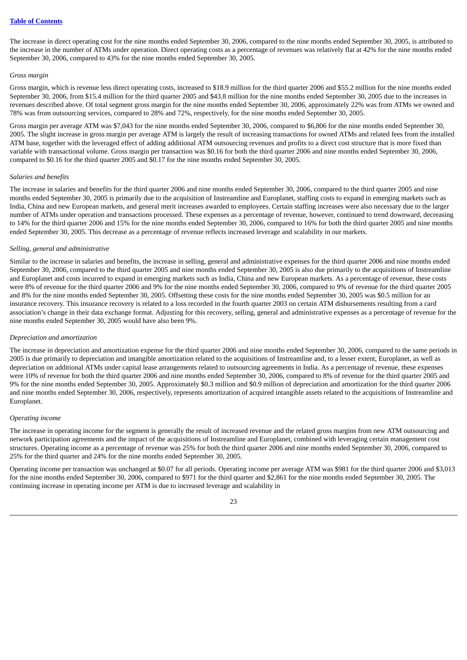The increase in direct operating cost for the nine months ended September 30, 2006, compared to the nine months ended September 30, 2005, is attributed to the increase in the number of ATMs under operation. Direct operating costs as a percentage of revenues was relatively flat at 42% for the nine months ended September 30, 2006, compared to 43% for the nine months ended September 30, 2005.

#### *Gross margin*

Gross margin, which is revenue less direct operating costs, increased to \$18.9 million for the third quarter 2006 and \$55.2 million for the nine months ended September 30, 2006, from \$15.4 million for the third quarter 2005 and \$43.8 million for the nine months ended September 30, 2005 due to the increases in revenues described above. Of total segment gross margin for the nine months ended September 30, 2006, approximately 22% was from ATMs we owned and 78% was from outsourcing services, compared to 28% and 72%, respectively, for the nine months ended September 30, 2005.

Gross margin per average ATM was \$7,043 for the nine months ended September 30, 2006, compared to \$6,806 for the nine months ended September 30, 2005. The slight increase in gross margin per average ATM is largely the result of increasing transactions for owned ATMs and related fees from the installed ATM base, together with the leveraged effect of adding additional ATM outsourcing revenues and profits to a direct cost structure that is more fixed than variable with transactional volume. Gross margin per transaction was \$0.16 for both the third quarter 2006 and nine months ended September 30, 2006, compared to \$0.16 for the third quarter 2005 and \$0.17 for the nine months ended September 30, 2005.

#### *Salaries and benefits*

The increase in salaries and benefits for the third quarter 2006 and nine months ended September 30, 2006, compared to the third quarter 2005 and nine months ended September 30, 2005 is primarily due to the acquisition of Instreamline and Europlanet, staffing costs to expand in emerging markets such as India, China and new European markets, and general merit increases awarded to employees. Certain staffing increases were also necessary due to the larger number of ATMs under operation and transactions processed. These expenses as a percentage of revenue, however, continued to trend downward, decreasing to 14% for the third quarter 2006 and 15% for the nine months ended September 30, 2006, compared to 16% for both the third quarter 2005 and nine months ended September 30, 2005. This decrease as a percentage of revenue reflects increased leverage and scalability in our markets.

#### *Selling, general and administrative*

Similar to the increase in salaries and benefits, the increase in selling, general and administrative expenses for the third quarter 2006 and nine months ended September 30, 2006, compared to the third quarter 2005 and nine months ended September 30, 2005 is also due primarily to the acquisitions of Instreamline and Europlanet and costs incurred to expand in emerging markets such as India, China and new European markets. As a percentage of revenue, these costs were 8% of revenue for the third quarter 2006 and 9% for the nine months ended September 30, 2006, compared to 9% of revenue for the third quarter 2005 and 8% for the nine months ended September 30, 2005. Offsetting these costs for the nine months ended September 30, 2005 was \$0.5 million for an insurance recovery. This insurance recovery is related to a loss recorded in the fourth quarter 2003 on certain ATM disbursements resulting from a card association's change in their data exchange format. Adjusting for this recovery, selling, general and administrative expenses as a percentage of revenue for the nine months ended September 30, 2005 would have also been 9%.

# *Depreciation and amortization*

The increase in depreciation and amortization expense for the third quarter 2006 and nine months ended September 30, 2006, compared to the same periods in 2005 is due primarily to depreciation and intangible amortization related to the acquisitions of Instreamline and, to a lesser extent, Europlanet, as well as depreciation on additional ATMs under capital lease arrangements related to outsourcing agreements in India. As a percentage of revenue, these expenses were 10% of revenue for both the third quarter 2006 and nine months ended September 30, 2006, compared to 8% of revenue for the third quarter 2005 and 9% for the nine months ended September 30, 2005. Approximately \$0.3 million and \$0.9 million of depreciation and amortization for the third quarter 2006 and nine months ended September 30, 2006, respectively, represents amortization of acquired intangible assets related to the acquisitions of Instreamline and Europlanet.

#### *Operating income*

The increase in operating income for the segment is generally the result of increased revenue and the related gross margins from new ATM outsourcing and network participation agreements and the impact of the acquisitions of Instreamline and Europlanet, combined with leveraging certain management cost structures. Operating income as a percentage of revenue was 25% for both the third quarter 2006 and nine months ended September 30, 2006, compared to 25% for the third quarter and 24% for the nine months ended September 30, 2005.

Operating income per transaction was unchanged at \$0.07 for all periods. Operating income per average ATM was \$981 for the third quarter 2006 and \$3,013 for the nine months ended September 30, 2006, compared to \$971 for the third quarter and \$2,861 for the nine months ended September 30, 2005. The continuing increase in operating income per ATM is due to increased leverage and scalability in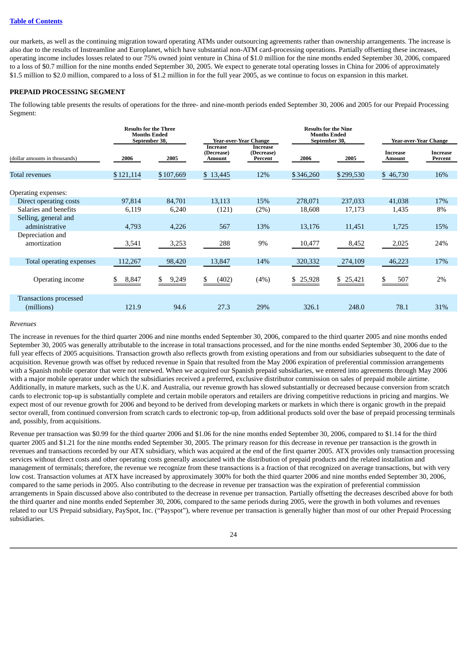our markets, as well as the continuing migration toward operating ATMs under outsourcing agreements rather than ownership arrangements. The increase is also due to the results of Instreamline and Europlanet, which have substantial non-ATM card-processing operations. Partially offsetting these increases, operating income includes losses related to our 75% owned joint venture in China of \$1.0 million for the nine months ended September 30, 2006, compared to a loss of \$0.7 million for the nine months ended September 30, 2005. We expect to generate total operating losses in China for 2006 of approximately \$1.5 million to \$2.0 million, compared to a loss of \$1.2 million in for the full year 2005, as we continue to focus on expansion in this market.

# **PREPAID PROCESSING SEGMENT**

The following table presents the results of operations for the three- and nine-month periods ended September 30, 2006 and 2005 for our Prepaid Processing Segment:

|                                             | <b>Results for the Three</b><br><b>Months Ended</b><br>September 30, |             | <b>Year-over-Year Change</b>                   |                                   | <b>Results for the Nine</b><br><b>Months Ended</b><br>September 30, |           | <b>Year-over-Year Change</b>     |                            |
|---------------------------------------------|----------------------------------------------------------------------|-------------|------------------------------------------------|-----------------------------------|---------------------------------------------------------------------|-----------|----------------------------------|----------------------------|
| (dollar amounts in thousands)               | 2006                                                                 | 2005        | <b>Increase</b><br>(Decrease)<br><b>Amount</b> | Increase<br>(Decrease)<br>Percent | 2006                                                                | 2005      | <b>Increase</b><br><b>Amount</b> | <b>Increase</b><br>Percent |
| Total revenues                              | \$121,114                                                            | \$107,669   | \$13,445                                       | 12%                               | \$346,260                                                           | \$299,530 | \$46,730                         | 16%                        |
| Operating expenses:                         |                                                                      |             |                                                |                                   |                                                                     |           |                                  |                            |
| Direct operating costs                      | 97,814                                                               | 84,701      | 13,113                                         | 15%                               | 278,071                                                             | 237,033   | 41,038                           | 17%                        |
| Salaries and benefits                       | 6,119                                                                | 6,240       | (121)                                          | (2%)                              | 18,608                                                              | 17,173    | 1,435                            | 8%                         |
| Selling, general and                        |                                                                      |             |                                                |                                   |                                                                     |           |                                  |                            |
| administrative                              | 4,793                                                                | 4,226       | 567                                            | 13%                               | 13,176                                                              | 11,451    | 1,725                            | 15%                        |
| Depreciation and                            |                                                                      |             |                                                |                                   |                                                                     |           |                                  |                            |
| amortization                                | 3,541                                                                | 3,253       | 288                                            | 9%                                | 10,477                                                              | 8,452     | 2,025                            | 24%                        |
| Total operating expenses                    | 112,267                                                              | 98,420      | 13,847                                         | 14%                               | 320,332                                                             | 274,109   | 46,223                           | 17%                        |
| Operating income                            | 8,847                                                                | 9,249<br>\$ | S.<br>(402)                                    | (4%)                              | \$25,928                                                            | \$25,421  | \$<br>507                        | 2%                         |
| <b>Transactions processed</b><br>(millions) | 121.9                                                                | 94.6        | 27.3                                           | 29%                               | 326.1                                                               | 248.0     | 78.1                             | 31%                        |

#### *Revenues*

The increase in revenues for the third quarter 2006 and nine months ended September 30, 2006, compared to the third quarter 2005 and nine months ended September 30, 2005 was generally attributable to the increase in total transactions processed, and for the nine months ended September 30, 2006 due to the full year effects of 2005 acquisitions. Transaction growth also reflects growth from existing operations and from our subsidiaries subsequent to the date of acquisition. Revenue growth was offset by reduced revenue in Spain that resulted from the May 2006 expiration of preferential commission arrangements with a Spanish mobile operator that were not renewed. When we acquired our Spanish prepaid subsidiaries, we entered into agreements through May 2006 with a major mobile operator under which the subsidiaries received a preferred, exclusive distributor commission on sales of prepaid mobile airtime. Additionally, in mature markets, such as the U.K. and Australia, our revenue growth has slowed substantially or decreased because conversion from scratch cards to electronic top-up is substantially complete and certain mobile operators and retailers are driving competitive reductions in pricing and margins. We expect most of our revenue growth for 2006 and beyond to be derived from developing markets or markets in which there is organic growth in the prepaid sector overall, from continued conversion from scratch cards to electronic top-up, from additional products sold over the base of prepaid processing terminals and, possibly, from acquisitions.

Revenue per transaction was \$0.99 for the third quarter 2006 and \$1.06 for the nine months ended September 30, 2006, compared to \$1.14 for the third quarter 2005 and \$1.21 for the nine months ended September 30, 2005. The primary reason for this decrease in revenue per transaction is the growth in revenues and transactions recorded by our ATX subsidiary, which was acquired at the end of the first quarter 2005. ATX provides only transaction processing services without direct costs and other operating costs generally associated with the distribution of prepaid products and the related installation and management of terminals; therefore, the revenue we recognize from these transactions is a fraction of that recognized on average transactions, but with very low cost. Transaction volumes at ATX have increased by approximately 300% for both the third quarter 2006 and nine months ended September 30, 2006, compared to the same periods in 2005. Also contributing to the decrease in revenue per transaction was the expiration of preferential commission arrangements in Spain discussed above also contributed to the decrease in revenue per transaction. Partially offsetting the decreases described above for both the third quarter and nine months ended September 30, 2006, compared to the same periods during 2005, were the growth in both volumes and revenues related to our US Prepaid subsidiary, PaySpot, Inc. ("Payspot"), where revenue per transaction is generally higher than most of our other Prepaid Processing subsidiaries.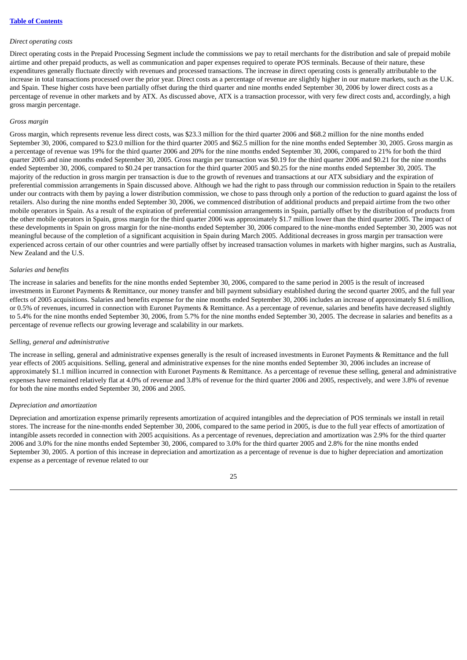#### *Direct operating costs*

Direct operating costs in the Prepaid Processing Segment include the commissions we pay to retail merchants for the distribution and sale of prepaid mobile airtime and other prepaid products, as well as communication and paper expenses required to operate POS terminals. Because of their nature, these expenditures generally fluctuate directly with revenues and processed transactions. The increase in direct operating costs is generally attributable to the increase in total transactions processed over the prior year. Direct costs as a percentage of revenue are slightly higher in our mature markets, such as the U.K. and Spain. These higher costs have been partially offset during the third quarter and nine months ended September 30, 2006 by lower direct costs as a percentage of revenue in other markets and by ATX. As discussed above, ATX is a transaction processor, with very few direct costs and, accordingly, a high gross margin percentage.

#### *Gross margin*

Gross margin, which represents revenue less direct costs, was \$23.3 million for the third quarter 2006 and \$68.2 million for the nine months ended September 30, 2006, compared to \$23.0 million for the third quarter 2005 and \$62.5 million for the nine months ended September 30, 2005. Gross margin as a percentage of revenue was 19% for the third quarter 2006 and 20% for the nine months ended September 30, 2006, compared to 21% for both the third quarter 2005 and nine months ended September 30, 2005. Gross margin per transaction was \$0.19 for the third quarter 2006 and \$0.21 for the nine months ended September 30, 2006, compared to \$0.24 per transaction for the third quarter 2005 and \$0.25 for the nine months ended September 30, 2005. The majority of the reduction in gross margin per transaction is due to the growth of revenues and transactions at our ATX subsidiary and the expiration of preferential commission arrangements in Spain discussed above. Although we had the right to pass through our commission reduction in Spain to the retailers under our contracts with them by paying a lower distribution commission, we chose to pass through only a portion of the reduction to guard against the loss of retailers. Also during the nine months ended September 30, 2006, we commenced distribution of additional products and prepaid airtime from the two other mobile operators in Spain. As a result of the expiration of preferential commission arrangements in Spain, partially offset by the distribution of products from the other mobile operators in Spain, gross margin for the third quarter 2006 was approximately \$1.7 million lower than the third quarter 2005. The impact of these developments in Spain on gross margin for the nine-months ended September 30, 2006 compared to the nine-months ended September 30, 2005 was not meaningful because of the completion of a significant acquisition in Spain during March 2005. Additional decreases in gross margin per transaction were experienced across certain of our other countries and were partially offset by increased transaction volumes in markets with higher margins, such as Australia, New Zealand and the U.S.

#### *Salaries and benefits*

The increase in salaries and benefits for the nine months ended September 30, 2006, compared to the same period in 2005 is the result of increased investments in Euronet Payments & Remittance, our money transfer and bill payment subsidiary established during the second quarter 2005, and the full year effects of 2005 acquisitions. Salaries and benefits expense for the nine months ended September 30, 2006 includes an increase of approximately \$1.6 million, or 0.5% of revenues, incurred in connection with Euronet Payments & Remittance. As a percentage of revenue, salaries and benefits have decreased slightly to 5.4% for the nine months ended September 30, 2006, from 5.7% for the nine months ended September 30, 2005. The decrease in salaries and benefits as a percentage of revenue reflects our growing leverage and scalability in our markets.

#### *Selling, general and administrative*

The increase in selling, general and administrative expenses generally is the result of increased investments in Euronet Payments & Remittance and the full year effects of 2005 acquisitions. Selling, general and administrative expenses for the nine months ended September 30, 2006 includes an increase of approximately \$1.1 million incurred in connection with Euronet Payments & Remittance. As a percentage of revenue these selling, general and administrative expenses have remained relatively flat at 4.0% of revenue and 3.8% of revenue for the third quarter 2006 and 2005, respectively, and were 3.8% of revenue for both the nine months ended September 30, 2006 and 2005.

# *Depreciation and amortization*

Depreciation and amortization expense primarily represents amortization of acquired intangibles and the depreciation of POS terminals we install in retail stores. The increase for the nine-months ended September 30, 2006, compared to the same period in 2005, is due to the full year effects of amortization of intangible assets recorded in connection with 2005 acquisitions. As a percentage of revenues, depreciation and amortization was 2.9% for the third quarter 2006 and 3.0% for the nine months ended September 30, 2006, compared to 3.0% for the third quarter 2005 and 2.8% for the nine months ended September 30, 2005. A portion of this increase in depreciation and amortization as a percentage of revenue is due to higher depreciation and amortization expense as a percentage of revenue related to our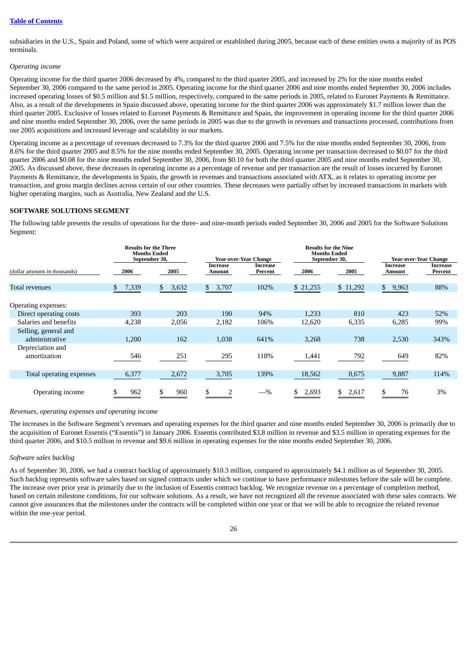# **Table of [Contents](#page-2-0)**

subsidiaries in the U.S., Spain and Poland, some of which were acquired or established during 2005, because each of these entities owns a majority of its POS terminals.

# *Operating income*

Operating income for the third quarter 2006 decreased by 4%, compared to the third quarter 2005, and increased by 2% for the nine months ended September 30, 2006 compared to the same period in 2005. Operating income for the third quarter 2006 and nine months ended September 30, 2006 includes increased operating losses of \$0.5 million and \$1.5 million, respectively, compared to the same periods in 2005, related to Euronet Payments & Remittance. Also, as a result of the developments in Spain discussed above, operating income for the third quarter 2006 was approximately \$1.7 million lower than the third quarter 2005. Exclusive of losses related to Euronet Payments & Remittance and Spain, the improvement in operating income for the third quarter 2006 and nine months ended September 30, 2006, over the same periods in 2005 was due to the growth in revenues and transactions processed, contributions from our 2005 acquisitions and increased leverage and scalability in our markets.

Operating income as a percentage of revenues decreased to 7.3% for the third quarter 2006 and 7.5% for the nine months ended September 30, 2006, from 8.6% for the third quarter 2005 and 8.5% for the nine months ended September 30, 2005. Operating income per transaction decreased to \$0.07 for the third quarter 2006 and \$0.08 for the nine months ended September 30, 2006, from \$0.10 for both the third quarter 2005 and nine months ended September 30, 2005. As discussed above, these decreases in operating income as a percentage of revenue and per transaction are the result of losses incurred by Euronet Payments & Remittance, the developments in Spain, the growth in revenues and transactions associated with ATX, as it relates to operating income per transaction, and gross margin declines across certain of our other countries. These decreases were partially offset by increased transactions in markets with higher operating margins, such as Australia, New Zealand and the U.S.

# **SOFTWARE SOLUTIONS SEGMENT**

The following table presents the results of operations for the three- and nine-month periods ended September 30, 2006 and 2005 for the Software Solutions Segment:

|                               | <b>Results for the Three</b><br><b>Months Ended</b><br>September 30, |             | Year-over-Year Change     |                     | <b>Results for the Nine</b><br><b>Months Ended</b><br>September 30, |              | Year-over-Year Change     |                     |
|-------------------------------|----------------------------------------------------------------------|-------------|---------------------------|---------------------|---------------------------------------------------------------------|--------------|---------------------------|---------------------|
| (dollar amounts in thousands) | 2006                                                                 | 2005        | <b>Increase</b><br>Amount | Increase<br>Percent | 2006                                                                | 2005         | <b>Increase</b><br>Amount | Increase<br>Percent |
| <b>Total revenues</b>         | 7,339                                                                | 3,632<br>\$ | 3,707<br>\$               | 102%                | \$21,255                                                            | \$11,292     | \$<br>9,963               | 88%                 |
| Operating expenses:           |                                                                      |             |                           |                     |                                                                     |              |                           |                     |
| Direct operating costs        | 393                                                                  | 203         | 190                       | 94%                 | 1,233                                                               | 810          | 423                       | 52%                 |
| Salaries and benefits         | 4,238                                                                | 2,056       | 2,182                     | 106%                | 12,620                                                              | 6,335        | 6,285                     | 99%                 |
| Selling, general and          |                                                                      |             |                           |                     |                                                                     |              |                           |                     |
| administrative                | 1,200                                                                | 162         | 1,038                     | 641%                | 3,268                                                               | 738          | 2,530                     | 343%                |
| Depreciation and              |                                                                      |             |                           |                     |                                                                     |              |                           |                     |
| amortization                  | 546                                                                  | 251         | 295                       | 118%                | 1,441                                                               | 792          | 649                       | 82%                 |
|                               |                                                                      |             |                           |                     |                                                                     |              |                           |                     |
| Total operating expenses      | 6,377                                                                | 2,672       | 3,705                     | 139%                | 18,562                                                              | 8,675        | 9,887                     | 114%                |
| Operating income              | 962                                                                  | \$<br>960   |                           | $-$ %               | \$<br>2,693                                                         | 2,617<br>\$. | 76<br>\$                  | 3%                  |

*Revenues, operating expenses and operating income*

The increases in the Software Segment's revenues and operating expenses for the third quarter and nine months ended September 30, 2006 is primarily due to the acquisition of Euronet Essentis ("Essentis") in January 2006. Essentis contributed \$3.8 million in revenue and \$3.5 million in operating expenses for the third quarter 2006, and \$10.5 million in revenue and \$9.6 million in operating expenses for the nine months ended September 30, 2006.

# *Software sales backlog*

As of September 30, 2006, we had a contract backlog of approximately \$10.3 million, compared to approximately \$4.1 million as of September 30, 2005. Such backlog represents software sales based on signed contracts under which we continue to have performance milestones before the sale will be complete. The increase over prior year is primarily due to the inclusion of Essentis contract backlog. We recognize revenue on a percentage of completion method, based on certain milestone conditions, for our software solutions. As a result, we have not recognized all the revenue associated with these sales contracts. We cannot give assurances that the milestones under the contracts will be completed within one year or that we will be able to recognize the related revenue within the one-year period.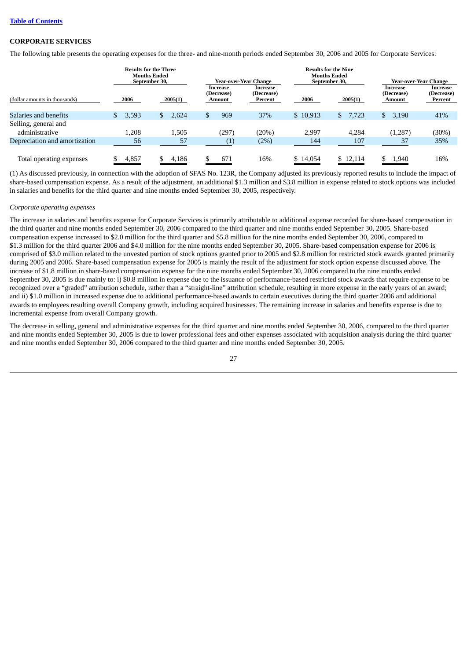# **CORPORATE SERVICES**

The following table presents the operating expenses for the three- and nine-month periods ended September 30, 2006 and 2005 for Corporate Services:

|                                        |       | <b>Results for the Three</b><br><b>Months Ended</b><br>September 30, |                                  | <b>Results for the Nine</b><br><b>Months Ended</b><br>Year-over-Year Change<br>September 30, |          |             |                                  | Year-over-Year Change             |  |
|----------------------------------------|-------|----------------------------------------------------------------------|----------------------------------|----------------------------------------------------------------------------------------------|----------|-------------|----------------------------------|-----------------------------------|--|
| (dollar amounts in thousands)          | 2006  | 2005(1)                                                              | Increase<br>(Decrease)<br>Amount | Increase<br>(Decrease)<br>Percent                                                            | 2006     | 2005(1)     | Increase<br>(Decrease)<br>Amount | Increase<br>(Decrease)<br>Percent |  |
| Salaries and benefits                  | 3,593 | 2.624<br>\$                                                          | 969                              | 37%                                                                                          | \$10,913 | \$<br>7.723 | 3,190<br>\$                      | 41%                               |  |
| Selling, general and<br>administrative | .208  | 1,505                                                                | (297)                            | (20%)                                                                                        | 2,997    | 4.284       | (1, 287)                         | (30%)                             |  |
| Depreciation and amortization          | 56    | 57                                                                   |                                  | (2%)                                                                                         | 144      | 107         | 37                               | 35%                               |  |
| Total operating expenses               | 4,857 | 4,186                                                                | 671                              | 16%                                                                                          | \$14,054 | \$12,114    | 1,940                            | 16%                               |  |

(1) As discussed previously, in connection with the adoption of SFAS No. 123R, the Company adjusted its previously reported results to include the impact of share-based compensation expense. As a result of the adjustment, an additional \$1.3 million and \$3.8 million in expense related to stock options was included in salaries and benefits for the third quarter and nine months ended September 30, 2005, respectively.

#### *Corporate operating expenses*

The increase in salaries and benefits expense for Corporate Services is primarily attributable to additional expense recorded for share-based compensation in the third quarter and nine months ended September 30, 2006 compared to the third quarter and nine months ended September 30, 2005. Share-based compensation expense increased to \$2.0 million for the third quarter and \$5.8 million for the nine months ended September 30, 2006, compared to \$1.3 million for the third quarter 2006 and \$4.0 million for the nine months ended September 30, 2005. Share-based compensation expense for 2006 is comprised of \$3.0 million related to the unvested portion of stock options granted prior to 2005 and \$2.8 million for restricted stock awards granted primarily during 2005 and 2006. Share-based compensation expense for 2005 is mainly the result of the adjustment for stock option expense discussed above. The increase of \$1.8 million in share-based compensation expense for the nine months ended September 30, 2006 compared to the nine months ended September 30, 2005 is due mainly to: i) \$0.8 million in expense due to the issuance of performance-based restricted stock awards that require expense to be recognized over a "graded" attribution schedule, rather than a "straight-line" attribution schedule, resulting in more expense in the early years of an award; and ii) \$1.0 million in increased expense due to additional performance-based awards to certain executives during the third quarter 2006 and additional awards to employees resulting overall Company growth, including acquired businesses. The remaining increase in salaries and benefits expense is due to incremental expense from overall Company growth.

The decrease in selling, general and administrative expenses for the third quarter and nine months ended September 30, 2006, compared to the third quarter and nine months ended September 30, 2005 is due to lower professional fees and other expenses associated with acquisition analysis during the third quarter and nine months ended September 30, 2006 compared to the third quarter and nine months ended September 30, 2005.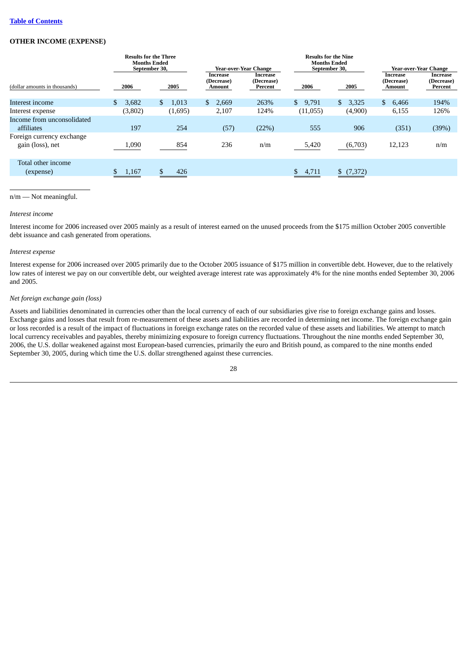# **OTHER INCOME (EXPENSE)**

|                                               | <b>Results for the Three</b><br><b>Months Ended</b><br>September 30, |             | <b>Year-over-Year Change</b>     |                                   | <b>Results for the Nine</b><br><b>Months Ended</b><br>September 30, |                       | <b>Year-over-Year Change</b>     |                                   |
|-----------------------------------------------|----------------------------------------------------------------------|-------------|----------------------------------|-----------------------------------|---------------------------------------------------------------------|-----------------------|----------------------------------|-----------------------------------|
| (dollar amounts in thousands)                 | 2006                                                                 | 2005        | Increase<br>(Decrease)<br>Amount | Increase<br>(Decrease)<br>Percent | 2006                                                                | 2005                  | Increase<br>(Decrease)<br>Amount | Increase<br>(Decrease)<br>Percent |
| Interest income                               | 3,682<br>\$.                                                         | \$<br>1,013 | 2,669<br>\$                      | 263%                              | \$9,791                                                             | $\mathbb{S}$<br>3,325 | \$<br>6,466                      | 194%                              |
| Interest expense                              | (3,802)                                                              | (1,695)     | 2,107                            | 124%                              | (11,055)                                                            | (4,900)               | 6,155                            | 126%                              |
| Income from unconsolidated<br>affiliates      | 197                                                                  | 254         | (57)                             | (22%)                             | 555                                                                 | 906                   | (351)                            | (39%)                             |
| Foreign currency exchange<br>gain (loss), net | 1,090                                                                | 854         | 236                              | n/m                               | 5,420                                                               | (6,703)               | 12,123                           | n/m                               |
| Total other income<br>(expense)               | 1,167                                                                | 426<br>\$   |                                  |                                   | 4,711                                                               | \$(7,372)             |                                  |                                   |

#### n/m — Not meaningful.

#### *Interest income*

Interest income for 2006 increased over 2005 mainly as a result of interest earned on the unused proceeds from the \$175 million October 2005 convertible debt issuance and cash generated from operations.

#### *Interest expense*

Interest expense for 2006 increased over 2005 primarily due to the October 2005 issuance of \$175 million in convertible debt. However, due to the relatively low rates of interest we pay on our convertible debt, our weighted average interest rate was approximately 4% for the nine months ended September 30, 2006 and 2005.

## *Net foreign exchange gain (loss)*

Assets and liabilities denominated in currencies other than the local currency of each of our subsidiaries give rise to foreign exchange gains and losses. Exchange gains and losses that result from re-measurement of these assets and liabilities are recorded in determining net income. The foreign exchange gain or loss recorded is a result of the impact of fluctuations in foreign exchange rates on the recorded value of these assets and liabilities. We attempt to match local currency receivables and payables, thereby minimizing exposure to foreign currency fluctuations. Throughout the nine months ended September 30, 2006, the U.S. dollar weakened against most European-based currencies, primarily the euro and British pound, as compared to the nine months ended September 30, 2005, during which time the U.S. dollar strengthened against these currencies.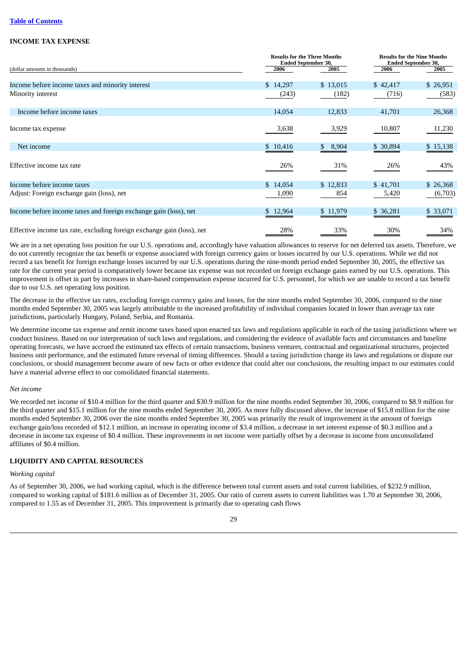# **INCOME TAX EXPENSE**

| (dollar amounts in thousands)                                          | 2006     | <b>Results for the Three Months</b><br><b>Ended September 30,</b><br>2005 | 2006      | <b>Results for the Nine Months</b><br><b>Ended September 30,</b><br>2005 |
|------------------------------------------------------------------------|----------|---------------------------------------------------------------------------|-----------|--------------------------------------------------------------------------|
|                                                                        |          |                                                                           |           |                                                                          |
| Income before income taxes and minority interest                       | \$14,297 | \$13,015                                                                  | \$42,417  | \$26,951                                                                 |
| Minority interest                                                      | (243)    | (182)                                                                     | (716)     | (583)                                                                    |
| Income before income taxes                                             | 14,054   | 12,833                                                                    | 41,701    | 26,368                                                                   |
| Income tax expense                                                     | 3,638    | 3,929                                                                     | 10,807    | 11,230                                                                   |
| Net income                                                             | \$10,416 | 8,904                                                                     | \$ 30,894 | \$15,138                                                                 |
| Effective income tax rate                                              | 26%      | 31%                                                                       | 26%       | 43%                                                                      |
| Income before income taxes                                             | \$14,054 | \$12,833                                                                  | \$41,701  | \$26,368                                                                 |
| Adjust: Foreign exchange gain (loss), net                              | 1,090    | 854                                                                       | 5,420     | (6,703)                                                                  |
| Income before income taxes and foreign exchange gain (loss), net       | \$12,964 | \$11,979                                                                  | \$36,281  | \$ 33,071                                                                |
| Effective income tax rate, excluding foreign exchange gain (loss), net | 28%      | 33%                                                                       | 30%       | 34%                                                                      |

We are in a net operating loss position for our U.S. operations and, accordingly have valuation allowances to reserve for net deferred tax assets. Therefore, we do not currently recognize the tax benefit or expense associated with foreign currency gains or losses incurred by our U.S. operations. While we did not record a tax benefit for foreign exchange losses incurred by our U.S. operations during the nine-month period ended September 30, 2005, the effective tax rate for the current year period is comparatively lower because tax expense was not recorded on foreign exchange gains earned by our U.S. operations. This improvement is offset in part by increases in share-based compensation expense incurred for U.S. personnel, for which we are unable to record a tax benefit due to our U.S. net operating loss position.

The decrease in the effective tax rates, excluding foreign currency gains and losses, for the nine months ended September 30, 2006, compared to the nine months ended September 30, 2005 was largely attributable to the increased profitability of individual companies located in lower than average tax rate jurisdictions, particularly Hungary, Poland, Serbia, and Romania.

We determine income tax expense and remit income taxes based upon enacted tax laws and regulations applicable in each of the taxing jurisdictions where we conduct business. Based on our interpretation of such laws and regulations, and considering the evidence of available facts and circumstances and baseline operating forecasts, we have accrued the estimated tax effects of certain transactions, business ventures, contractual and organizational structures, projected business unit performance, and the estimated future reversal of timing differences. Should a taxing jurisdiction change its laws and regulations or dispute our conclusions, or should management become aware of new facts or other evidence that could alter our conclusions, the resulting impact to our estimates could have a material adverse effect to our consolidated financial statements.

#### *Net income*

We recorded net income of \$10.4 million for the third quarter and \$30.9 million for the nine months ended September 30, 2006, compared to \$8.9 million for the third quarter and \$15.1 million for the nine months ended September 30, 2005. As more fully discussed above, the increase of \$15.8 million for the nine months ended September 30, 2006 over the nine months ended September 30, 2005 was primarily the result of improvement in the amount of foreign exchange gain/loss recorded of \$12.1 million, an increase in operating income of \$3.4 million, a decrease in net interest expense of \$0.3 million and a decrease in income tax expense of \$0.4 million. These improvements in net income were partially offset by a decrease in income from unconsolidated affiliates of \$0.4 million.

# **LIQUIDITY AND CAPITAL RESOURCES**

#### *Working capital*

As of September 30, 2006, we had working capital, which is the difference between total current assets and total current liabilities, of \$232.9 million, compared to working capital of \$181.6 million as of December 31, 2005. Our ratio of current assets to current liabilities was 1.70 at September 30, 2006, compared to 1.55 as of December 31, 2005. This improvement is primarily due to operating cash flows

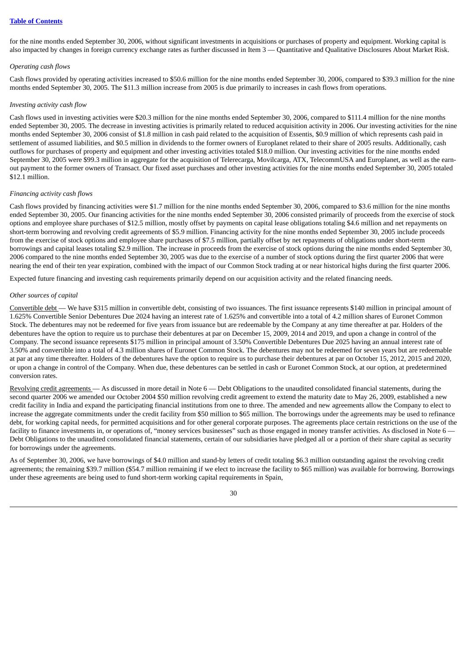for the nine months ended September 30, 2006, without significant investments in acquisitions or purchases of property and equipment. Working capital is also impacted by changes in foreign currency exchange rates as further discussed in Item 3 — Quantitative and Qualitative Disclosures About Market Risk.

# *Operating cash flows*

Cash flows provided by operating activities increased to \$50.6 million for the nine months ended September 30, 2006, compared to \$39.3 million for the nine months ended September 30, 2005. The \$11.3 million increase from 2005 is due primarily to increases in cash flows from operations.

# *Investing activity cash flow*

Cash flows used in investing activities were \$20.3 million for the nine months ended September 30, 2006, compared to \$111.4 million for the nine months ended September 30, 2005. The decrease in investing activities is primarily related to reduced acquisition activity in 2006. Our investing activities for the nine months ended September 30, 2006 consist of \$1.8 million in cash paid related to the acquisition of Essentis, \$0.9 million of which represents cash paid in settlement of assumed liabilities, and \$0.5 million in dividends to the former owners of Europlanet related to their share of 2005 results. Additionally, cash outflows for purchases of property and equipment and other investing activities totaled \$18.0 million. Our investing activities for the nine months ended September 30, 2005 were \$99.3 million in aggregate for the acquisition of Telerecarga, Movilcarga, ATX, TelecommUSA and Europlanet, as well as the earnout payment to the former owners of Transact. Our fixed asset purchases and other investing activities for the nine months ended September 30, 2005 totaled \$12.1 million.

## *Financing activity cash flows*

Cash flows provided by financing activities were \$1.7 million for the nine months ended September 30, 2006, compared to \$3.6 million for the nine months ended September 30, 2005. Our financing activities for the nine months ended September 30, 2006 consisted primarily of proceeds from the exercise of stock options and employee share purchases of \$12.5 million, mostly offset by payments on capital lease obligations totaling \$4.6 million and net repayments on short-term borrowing and revolving credit agreements of \$5.9 million. Financing activity for the nine months ended September 30, 2005 include proceeds from the exercise of stock options and employee share purchases of \$7.5 million, partially offset by net repayments of obligations under short-term borrowings and capital leases totaling \$2.9 million. The increase in proceeds from the exercise of stock options during the nine months ended September 30, 2006 compared to the nine months ended September 30, 2005 was due to the exercise of a number of stock options during the first quarter 2006 that were nearing the end of their ten year expiration, combined with the impact of our Common Stock trading at or near historical highs during the first quarter 2006.

Expected future financing and investing cash requirements primarily depend on our acquisition activity and the related financing needs.

# *Other sources of capital*

Convertible debt — We have \$315 million in convertible debt, consisting of two issuances. The first issuance represents \$140 million in principal amount of 1.625% Convertible Senior Debentures Due 2024 having an interest rate of 1.625% and convertible into a total of 4.2 million shares of Euronet Common Stock. The debentures may not be redeemed for five years from issuance but are redeemable by the Company at any time thereafter at par. Holders of the debentures have the option to require us to purchase their debentures at par on December 15, 2009, 2014 and 2019, and upon a change in control of the Company. The second issuance represents \$175 million in principal amount of 3.50% Convertible Debentures Due 2025 having an annual interest rate of 3.50% and convertible into a total of 4.3 million shares of Euronet Common Stock. The debentures may not be redeemed for seven years but are redeemable at par at any time thereafter. Holders of the debentures have the option to require us to purchase their debentures at par on October 15, 2012, 2015 and 2020, or upon a change in control of the Company. When due, these debentures can be settled in cash or Euronet Common Stock, at our option, at predetermined conversion rates.

Revolving credit agreements — As discussed in more detail in Note 6 — Debt Obligations to the unaudited consolidated financial statements, during the second quarter 2006 we amended our October 2004 \$50 million revolving credit agreement to extend the maturity date to May 26, 2009, established a new credit facility in India and expand the participating financial institutions from one to three. The amended and new agreements allow the Company to elect to increase the aggregate commitments under the credit facility from \$50 million to \$65 million. The borrowings under the agreements may be used to refinance debt, for working capital needs, for permitted acquisitions and for other general corporate purposes. The agreements place certain restrictions on the use of the facility to finance investments in, or operations of, "money services businesses" such as those engaged in money transfer activities. As disclosed in Note 6 -Debt Obligations to the unaudited consolidated financial statements, certain of our subsidiaries have pledged all or a portion of their share capital as security for borrowings under the agreements.

As of September 30, 2006, we have borrowings of \$4.0 million and stand-by letters of credit totaling \$6.3 million outstanding against the revolving credit agreements; the remaining \$39.7 million (\$54.7 million remaining if we elect to increase the facility to \$65 million) was available for borrowing. Borrowings under these agreements are being used to fund short-term working capital requirements in Spain,

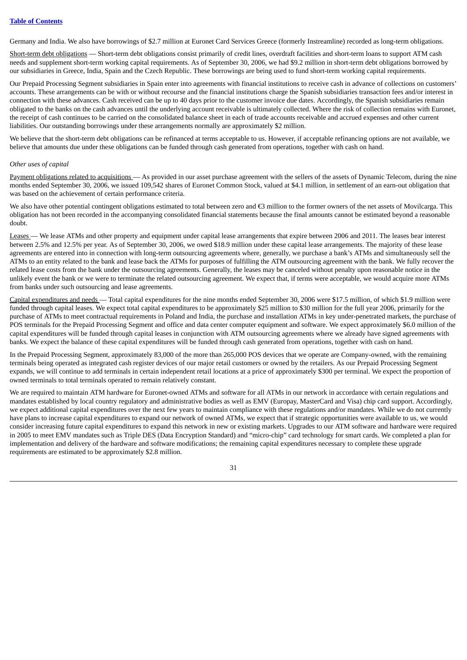Germany and India. We also have borrowings of \$2.7 million at Euronet Card Services Greece (formerly Instreamline) recorded as long-term obligations.

Short-term debt obligations — Short-term debt obligations consist primarily of credit lines, overdraft facilities and short-term loans to support ATM cash needs and supplement short-term working capital requirements. As of September 30, 2006, we had \$9.2 million in short-term debt obligations borrowed by our subsidiaries in Greece, India, Spain and the Czech Republic. These borrowings are being used to fund short-term working capital requirements.

Our Prepaid Processing Segment subsidiaries in Spain enter into agreements with financial institutions to receive cash in advance of collections on customers' accounts. These arrangements can be with or without recourse and the financial institutions charge the Spanish subsidiaries transaction fees and/or interest in connection with these advances. Cash received can be up to 40 days prior to the customer invoice due dates. Accordingly, the Spanish subsidiaries remain obligated to the banks on the cash advances until the underlying account receivable is ultimately collected. Where the risk of collection remains with Euronet, the receipt of cash continues to be carried on the consolidated balance sheet in each of trade accounts receivable and accrued expenses and other current liabilities. Our outstanding borrowings under these arrangements normally are approximately \$2 million.

We believe that the short-term debt obligations can be refinanced at terms acceptable to us. However, if acceptable refinancing options are not available, we believe that amounts due under these obligations can be funded through cash generated from operations, together with cash on hand.

#### *Other uses of capital*

Payment obligations related to acquisitions - As provided in our asset purchase agreement with the sellers of the assets of Dynamic Telecom, during the nine months ended September 30, 2006, we issued 109,542 shares of Euronet Common Stock, valued at \$4.1 million, in settlement of an earn-out obligation that was based on the achievement of certain performance criteria.

We also have other potential contingent obligations estimated to total between zero and  $\epsilon$ 3 million to the former owners of the net assets of Movilcarga. This obligation has not been recorded in the accompanying consolidated financial statements because the final amounts cannot be estimated beyond a reasonable doubt.

Leases — We lease ATMs and other property and equipment under capital lease arrangements that expire between 2006 and 2011. The leases bear interest between 2.5% and 12.5% per year. As of September 30, 2006, we owed \$18.9 million under these capital lease arrangements. The majority of these lease agreements are entered into in connection with long-term outsourcing agreements where, generally, we purchase a bank's ATMs and simultaneously sell the ATMs to an entity related to the bank and lease back the ATMs for purposes of fulfilling the ATM outsourcing agreement with the bank. We fully recover the related lease costs from the bank under the outsourcing agreements. Generally, the leases may be canceled without penalty upon reasonable notice in the unlikely event the bank or we were to terminate the related outsourcing agreement. We expect that, if terms were acceptable, we would acquire more ATMs from banks under such outsourcing and lease agreements.

Capital expenditures and needs — Total capital expenditures for the nine months ended September 30, 2006 were \$17.5 million, of which \$1.9 million were funded through capital leases. We expect total capital expenditures to be approximately \$25 million to \$30 million for the full year 2006, primarily for the purchase of ATMs to meet contractual requirements in Poland and India, the purchase and installation ATMs in key under-penetrated markets, the purchase of POS terminals for the Prepaid Processing Segment and office and data center computer equipment and software. We expect approximately \$6.0 million of the capital expenditures will be funded through capital leases in conjunction with ATM outsourcing agreements where we already have signed agreements with banks. We expect the balance of these capital expenditures will be funded through cash generated from operations, together with cash on hand.

In the Prepaid Processing Segment, approximately 83,000 of the more than 265,000 POS devices that we operate are Company-owned, with the remaining terminals being operated as integrated cash register devices of our major retail customers or owned by the retailers. As our Prepaid Processing Segment expands, we will continue to add terminals in certain independent retail locations at a price of approximately \$300 per terminal. We expect the proportion of owned terminals to total terminals operated to remain relatively constant.

We are required to maintain ATM hardware for Euronet-owned ATMs and software for all ATMs in our network in accordance with certain regulations and mandates established by local country regulatory and administrative bodies as well as EMV (Europay, MasterCard and Visa) chip card support. Accordingly, we expect additional capital expenditures over the next few years to maintain compliance with these regulations and/or mandates. While we do not currently have plans to increase capital expenditures to expand our network of owned ATMs, we expect that if strategic opportunities were available to us, we would consider increasing future capital expenditures to expand this network in new or existing markets. Upgrades to our ATM software and hardware were required in 2005 to meet EMV mandates such as Triple DES (Data Encryption Standard) and "micro-chip" card technology for smart cards. We completed a plan for implementation and delivery of the hardware and software modifications; the remaining capital expenditures necessary to complete these upgrade requirements are estimated to be approximately \$2.8 million.

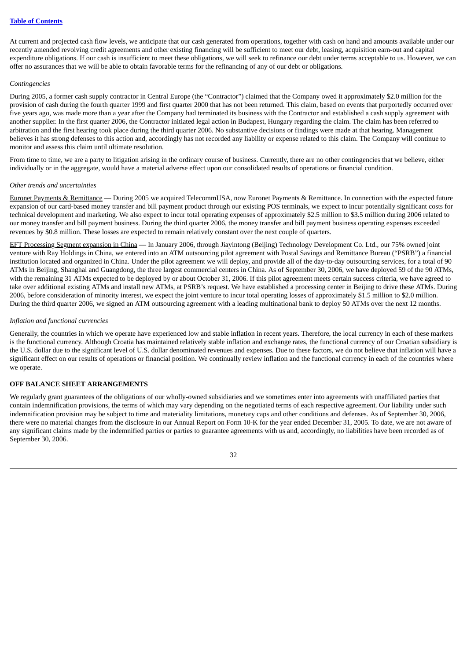At current and projected cash flow levels, we anticipate that our cash generated from operations, together with cash on hand and amounts available under our recently amended revolving credit agreements and other existing financing will be sufficient to meet our debt, leasing, acquisition earn-out and capital expenditure obligations. If our cash is insufficient to meet these obligations, we will seek to refinance our debt under terms acceptable to us. However, we can offer no assurances that we will be able to obtain favorable terms for the refinancing of any of our debt or obligations.

# *Contingencies*

During 2005, a former cash supply contractor in Central Europe (the "Contractor") claimed that the Company owed it approximately \$2.0 million for the provision of cash during the fourth quarter 1999 and first quarter 2000 that has not been returned. This claim, based on events that purportedly occurred over five years ago, was made more than a year after the Company had terminated its business with the Contractor and established a cash supply agreement with another supplier. In the first quarter 2006, the Contractor initiated legal action in Budapest, Hungary regarding the claim. The claim has been referred to arbitration and the first hearing took place during the third quarter 2006. No substantive decisions or findings were made at that hearing. Management believes it has strong defenses to this action and, accordingly has not recorded any liability or expense related to this claim. The Company will continue to monitor and assess this claim until ultimate resolution.

From time to time, we are a party to litigation arising in the ordinary course of business. Currently, there are no other contingencies that we believe, either individually or in the aggregate, would have a material adverse effect upon our consolidated results of operations or financial condition.

#### *Other trends and uncertainties*

Euronet Payments & Remittance — During 2005 we acquired TelecommUSA, now Euronet Payments & Remittance. In connection with the expected future expansion of our card-based money transfer and bill payment product through our existing POS terminals, we expect to incur potentially significant costs for technical development and marketing. We also expect to incur total operating expenses of approximately \$2.5 million to \$3.5 million during 2006 related to our money transfer and bill payment business. During the third quarter 2006, the money transfer and bill payment business operating expenses exceeded revenues by \$0.8 million. These losses are expected to remain relatively constant over the next couple of quarters.

EFT Processing Segment expansion in China — In January 2006, through Jiayintong (Beijing) Technology Development Co. Ltd., our 75% owned joint venture with Ray Holdings in China, we entered into an ATM outsourcing pilot agreement with Postal Savings and Remittance Bureau ("PSRB") a financial institution located and organized in China. Under the pilot agreement we will deploy, and provide all of the day-to-day outsourcing services, for a total of 90 ATMs in Beijing, Shanghai and Guangdong, the three largest commercial centers in China. As of September 30, 2006, we have deployed 59 of the 90 ATMs, with the remaining 31 ATMs expected to be deployed by or about October 31, 2006. If this pilot agreement meets certain success criteria, we have agreed to take over additional existing ATMs and install new ATMs, at PSRB's request. We have established a processing center in Beijing to drive these ATMs. During 2006, before consideration of minority interest, we expect the joint venture to incur total operating losses of approximately \$1.5 million to \$2.0 million. During the third quarter 2006, we signed an ATM outsourcing agreement with a leading multinational bank to deploy 50 ATMs over the next 12 months.

#### *Inflation and functional currencies*

Generally, the countries in which we operate have experienced low and stable inflation in recent years. Therefore, the local currency in each of these markets is the functional currency. Although Croatia has maintained relatively stable inflation and exchange rates, the functional currency of our Croatian subsidiary is the U.S. dollar due to the significant level of U.S. dollar denominated revenues and expenses. Due to these factors, we do not believe that inflation will have a significant effect on our results of operations or financial position. We continually review inflation and the functional currency in each of the countries where we operate.

# **OFF BALANCE SHEET ARRANGEMENTS**

We regularly grant guarantees of the obligations of our wholly-owned subsidiaries and we sometimes enter into agreements with unaffiliated parties that contain indemnification provisions, the terms of which may vary depending on the negotiated terms of each respective agreement. Our liability under such indemnification provision may be subject to time and materiality limitations, monetary caps and other conditions and defenses. As of September 30, 2006, there were no material changes from the disclosure in our Annual Report on Form 10-K for the year ended December 31, 2005. To date, we are not aware of any significant claims made by the indemnified parties or parties to guarantee agreements with us and, accordingly, no liabilities have been recorded as of September 30, 2006.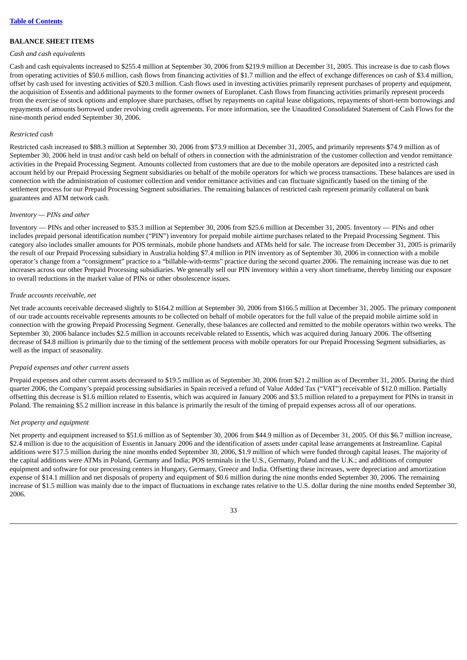# **BALANCE SHEET ITEMS**

#### *Cash and cash equivalents*

Cash and cash equivalents increased to \$255.4 million at September 30, 2006 from \$219.9 million at December 31, 2005. This increase is due to cash flows from operating activities of \$50.6 million, cash flows from financing activities of \$1.7 million and the effect of exchange differences on cash of \$3.4 million, offset by cash used for investing activities of \$20.3 million. Cash flows used in investing activities primarily represent purchases of property and equipment, the acquisition of Essentis and additional payments to the former owners of Europlanet. Cash flows from financing activities primarily represent proceeds from the exercise of stock options and employee share purchases, offset by repayments on capital lease obligations, repayments of short-term borrowings and repayments of amounts borrowed under revolving credit agreements. For more information, see the Unaudited Consolidated Statement of Cash Flows for the nine-month period ended September 30, 2006.

#### *Restricted cash*

Restricted cash increased to \$88.3 million at September 30, 2006 from \$73.9 million at December 31, 2005, and primarily represents \$74.9 million as of September 30, 2006 held in trust and/or cash held on behalf of others in connection with the administration of the customer collection and vendor remittance activities in the Prepaid Processing Segment. Amounts collected from customers that are due to the mobile operators are deposited into a restricted cash account held by our Prepaid Processing Segment subsidiaries on behalf of the mobile operators for which we process transactions. These balances are used in connection with the administration of customer collection and vendor remittance activities and can fluctuate significantly based on the timing of the settlement process for our Prepaid Processing Segment subsidiaries. The remaining balances of restricted cash represent primarily collateral on bank guarantees and ATM network cash.

#### *Inventory — PINs and other*

Inventory — PINs and other increased to \$35.3 million at September 30, 2006 from \$25.6 million at December 31, 2005. Inventory — PINs and other includes prepaid personal identification number ("PIN") inventory for prepaid mobile airtime purchases related to the Prepaid Processing Segment. This category also includes smaller amounts for POS terminals, mobile phone handsets and ATMs held for sale. The increase from December 31, 2005 is primarily the result of our Prepaid Processing subsidiary in Australia holding \$7.4 million in PIN inventory as of September 30, 2006 in connection with a mobile operator's change from a "consignment" practice to a "billable-with-terms" practice during the second quarter 2006. The remaining increase was due to net increases across our other Prepaid Processing subsidiaries. We generally sell our PIN inventory within a very short timeframe, thereby limiting our exposure to overall reductions in the market value of PINs or other obsolescence issues.

#### *Trade accounts receivable, net*

Net trade accounts receivable decreased slightly to \$164.2 million at September 30, 2006 from \$166.5 million at December 31, 2005. The primary component of our trade accounts receivable represents amounts to be collected on behalf of mobile operators for the full value of the prepaid mobile airtime sold in connection with the growing Prepaid Processing Segment. Generally, these balances are collected and remitted to the mobile operators within two weeks. The September 30, 2006 balance includes \$2.5 million in accounts receivable related to Essentis, which was acquired during January 2006. The offsetting decrease of \$4.8 million is primarily due to the timing of the settlement process with mobile operators for our Prepaid Processing Segment subsidiaries, as well as the impact of seasonality.

#### *Prepaid expenses and other current assets*

Prepaid expenses and other current assets decreased to \$19.5 million as of September 30, 2006 from \$21.2 million as of December 31, 2005. During the third quarter 2006, the Company's prepaid processing subsidiaries in Spain received a refund of Value Added Tax ("VAT") receivable of \$12.0 million. Partially offsetting this decrease is \$1.6 million related to Essentis, which was acquired in January 2006 and \$3.5 million related to a prepayment for PINs in transit in Poland. The remaining \$5.2 million increase in this balance is primarily the result of the timing of prepaid expenses across all of our operations.

#### *Net property and equipment*

Net property and equipment increased to \$51.6 million as of September 30, 2006 from \$44.9 million as of December 31, 2005. Of this \$6.7 million increase, \$2.4 million is due to the acquisition of Essentis in January 2006 and the identification of assets under capital lease arrangements at Instreamline. Capital additions were \$17.5 million during the nine months ended September 30, 2006, \$1.9 million of which were funded through capital leases. The majority of the capital additions were ATMs in Poland, Germany and India; POS terminals in the U.S., Germany, Poland and the U.K.; and additions of computer equipment and software for our processing centers in Hungary, Germany, Greece and India. Offsetting these increases, were depreciation and amortization expense of \$14.1 million and net disposals of property and equipment of \$0.6 million during the nine months ended September 30, 2006. The remaining increase of \$1.5 million was mainly due to the impact of fluctuations in exchange rates relative to the U.S. dollar during the nine months ended September 30, 2006.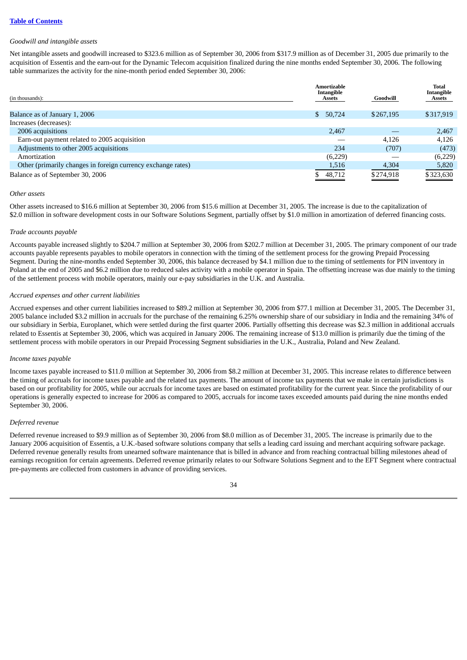## *Goodwill and intangible assets*

Net intangible assets and goodwill increased to \$323.6 million as of September 30, 2006 from \$317.9 million as of December 31, 2005 due primarily to the acquisition of Essentis and the earn-out for the Dynamic Telecom acquisition finalized during the nine months ended September 30, 2006. The following table summarizes the activity for the nine-month period ended September 30, 2006:

| (in thousands):                                              | <b>Amortizable</b><br>Intangible<br>Assets | Goodwill  | <b>Total</b><br>Intangible<br>Assets |
|--------------------------------------------------------------|--------------------------------------------|-----------|--------------------------------------|
| Balance as of January 1, 2006                                | \$50,724                                   | \$267,195 | \$317,919                            |
| Increases (decreases):                                       |                                            |           |                                      |
| 2006 acquisitions                                            | 2,467                                      |           | 2,467                                |
| Earn-out payment related to 2005 acquisition                 |                                            | 4.126     | 4,126                                |
| Adjustments to other 2005 acquisitions                       | 234                                        | (707)     | (473)                                |
| Amortization                                                 | (6,229)                                    |           | (6,229)                              |
| Other (primarily changes in foreign currency exchange rates) | 1,516                                      | 4,304     | 5,820                                |
| Balance as of September 30, 2006                             | 48,712                                     | \$274,918 | \$323,630                            |

# *Other assets*

Other assets increased to \$16.6 million at September 30, 2006 from \$15.6 million at December 31, 2005. The increase is due to the capitalization of \$2.0 million in software development costs in our Software Solutions Segment, partially offset by \$1.0 million in amortization of deferred financing costs.

#### *Trade accounts payable*

Accounts payable increased slightly to \$204.7 million at September 30, 2006 from \$202.7 million at December 31, 2005. The primary component of our trade accounts payable represents payables to mobile operators in connection with the timing of the settlement process for the growing Prepaid Processing Segment. During the nine-months ended September 30, 2006, this balance decreased by \$4.1 million due to the timing of settlements for PIN inventory in Poland at the end of 2005 and \$6.2 million due to reduced sales activity with a mobile operator in Spain. The offsetting increase was due mainly to the timing of the settlement process with mobile operators, mainly our e-pay subsidiaries in the U.K. and Australia.

## *Accrued expenses and other current liabilities*

Accrued expenses and other current liabilities increased to \$89.2 million at September 30, 2006 from \$77.1 million at December 31, 2005. The December 31, 2005 balance included \$3.2 million in accruals for the purchase of the remaining 6.25% ownership share of our subsidiary in India and the remaining 34% of our subsidiary in Serbia, Europlanet, which were settled during the first quarter 2006. Partially offsetting this decrease was \$2.3 million in additional accruals related to Essentis at September 30, 2006, which was acquired in January 2006. The remaining increase of \$13.0 million is primarily due the timing of the settlement process with mobile operators in our Prepaid Processing Segment subsidiaries in the U.K., Australia, Poland and New Zealand.

# *Income taxes payable*

Income taxes payable increased to \$11.0 million at September 30, 2006 from \$8.2 million at December 31, 2005. This increase relates to difference between the timing of accruals for income taxes payable and the related tax payments. The amount of income tax payments that we make in certain jurisdictions is based on our profitability for 2005, while our accruals for income taxes are based on estimated profitability for the current year. Since the profitability of our operations is generally expected to increase for 2006 as compared to 2005, accruals for income taxes exceeded amounts paid during the nine months ended September 30, 2006.

#### *Deferred revenue*

Deferred revenue increased to \$9.9 million as of September 30, 2006 from \$8.0 million as of December 31, 2005. The increase is primarily due to the January 2006 acquisition of Essentis, a U.K.-based software solutions company that sells a leading card issuing and merchant acquiring software package. Deferred revenue generally results from unearned software maintenance that is billed in advance and from reaching contractual billing milestones ahead of earnings recognition for certain agreements. Deferred revenue primarily relates to our Software Solutions Segment and to the EFT Segment where contractual pre-payments are collected from customers in advance of providing services.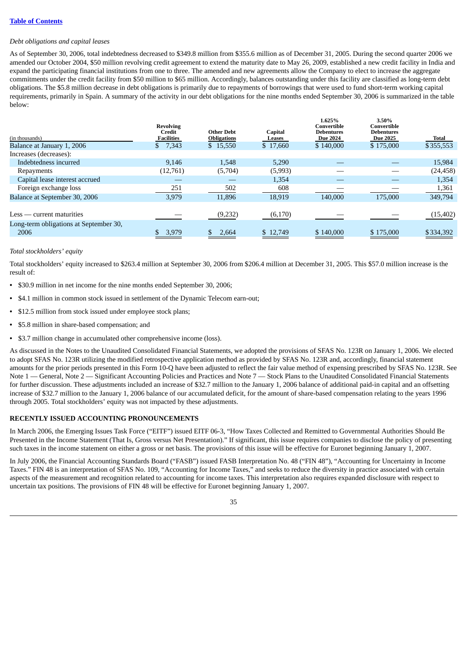## **Table of [Contents](#page-2-0)**

#### *Debt obligations and capital leases*

As of September 30, 2006, total indebtedness decreased to \$349.8 million from \$355.6 million as of December 31, 2005. During the second quarter 2006 we amended our October 2004, \$50 million revolving credit agreement to extend the maturity date to May 26, 2009, established a new credit facility in India and expand the participating financial institutions from one to three. The amended and new agreements allow the Company to elect to increase the aggregate commitments under the credit facility from \$50 million to \$65 million. Accordingly, balances outstanding under this facility are classified as long-term debt obligations. The \$5.8 million decrease in debt obligations is primarily due to repayments of borrowings that were used to fund short-term working capital requirements, primarily in Spain. A summary of the activity in our debt obligations for the nine months ended September 30, 2006 is summarized in the table below:

| (in thousands)                                 | <b>Revolving</b><br>Credit<br><b>Facilities</b> | Other Debt<br><b>Obligations</b> | Capital<br>Leases | 1.625%<br>Convertible<br><b>Debentures</b><br><b>Due 2024</b> | 3.50%<br>Convertible<br><b>Debentures</b><br><b>Due 2025</b> | Total     |
|------------------------------------------------|-------------------------------------------------|----------------------------------|-------------------|---------------------------------------------------------------|--------------------------------------------------------------|-----------|
| Balance at January 1, 2006                     | \$7,343                                         | \$15,550                         | \$17,660          | \$140,000                                                     | \$175,000                                                    | \$355,553 |
| Increases (decreases):                         |                                                 |                                  |                   |                                                               |                                                              |           |
| Indebtedness incurred                          | 9,146                                           | 1,548                            | 5,290             |                                                               |                                                              | 15,984    |
| Repayments                                     | (12,761)                                        | (5,704)                          | (5,993)           |                                                               |                                                              | (24, 458) |
| Capital lease interest accrued                 |                                                 |                                  | 1,354             |                                                               |                                                              | 1,354     |
| Foreign exchange loss                          | 251                                             | 502                              | 608               |                                                               |                                                              | 1,361     |
| Balance at September 30, 2006                  | 3,979                                           | 11,896                           | 18,919            | 140,000                                                       | 175,000                                                      | 349,794   |
| $Less$ — current maturities                    |                                                 | (9,232)                          | (6,170)           |                                                               |                                                              | (15, 402) |
| Long-term obligations at September 30,<br>2006 | 3,979                                           | 2,664                            | \$12,749          | \$140,000                                                     | \$175,000                                                    | \$334,392 |
|                                                |                                                 |                                  |                   |                                                               |                                                              |           |

#### *Total stockholders' equity*

Total stockholders' equity increased to \$263.4 million at September 30, 2006 from \$206.4 million at December 31, 2005. This \$57.0 million increase is the result of:

- **•** \$30.9 million in net income for the nine months ended September 30, 2006;
- **•** \$4.1 million in common stock issued in settlement of the Dynamic Telecom earn-out;
- **•** \$12.5 million from stock issued under employee stock plans;
- **•** \$5.8 million in share-based compensation; and
- **•** \$3.7 million change in accumulated other comprehensive income (loss).

As discussed in the Notes to the Unaudited Consolidated Financial Statements, we adopted the provisions of SFAS No. 123R on January 1, 2006. We elected to adopt SFAS No. 123R utilizing the modified retrospective application method as provided by SFAS No. 123R and, accordingly, financial statement amounts for the prior periods presented in this Form 10-Q have been adjusted to reflect the fair value method of expensing prescribed by SFAS No. 123R. See Note 1 — General, Note 2 — Significant Accounting Policies and Practices and Note 7 — Stock Plans to the Unaudited Consolidated Financial Statements for further discussion. These adjustments included an increase of \$32.7 million to the January 1, 2006 balance of additional paid-in capital and an offsetting increase of \$32.7 million to the January 1, 2006 balance of our accumulated deficit, for the amount of share-based compensation relating to the years 1996 through 2005. Total stockholders' equity was not impacted by these adjustments.

# **RECENTLY ISSUED ACCOUNTING PRONOUNCEMENTS**

In March 2006, the Emerging Issues Task Force ("EITF") issued EITF 06-3, "How Taxes Collected and Remitted to Governmental Authorities Should Be Presented in the Income Statement (That Is, Gross versus Net Presentation)." If significant, this issue requires companies to disclose the policy of presenting such taxes in the income statement on either a gross or net basis. The provisions of this issue will be effective for Euronet beginning January 1, 2007.

In July 2006, the Financial Accounting Standards Board ("FASB") issued FASB Interpretation No. 48 ("FIN 48"), "Accounting for Uncertainty in Income Taxes." FIN 48 is an interpretation of SFAS No. 109, "Accounting for Income Taxes," and seeks to reduce the diversity in practice associated with certain aspects of the measurement and recognition related to accounting for income taxes. This interpretation also requires expanded disclosure with respect to uncertain tax positions. The provisions of FIN 48 will be effective for Euronet beginning January 1, 2007.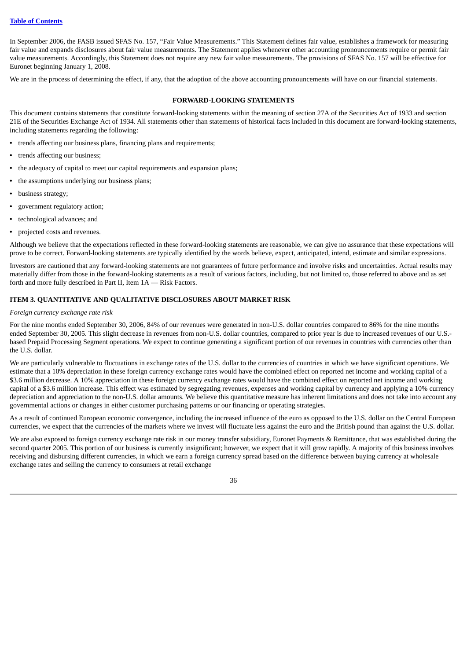In September 2006, the FASB issued SFAS No. 157, "Fair Value Measurements." This Statement defines fair value, establishes a framework for measuring fair value and expands disclosures about fair value measurements. The Statement applies whenever other accounting pronouncements require or permit fair value measurements. Accordingly, this Statement does not require any new fair value measurements. The provisions of SFAS No. 157 will be effective for Euronet beginning January 1, 2008.

We are in the process of determining the effect, if any, that the adoption of the above accounting pronouncements will have on our financial statements.

#### **FORWARD-LOOKING STATEMENTS**

This document contains statements that constitute forward-looking statements within the meaning of section 27A of the Securities Act of 1933 and section 21E of the Securities Exchange Act of 1934. All statements other than statements of historical facts included in this document are forward-looking statements, including statements regarding the following:

- **•** trends affecting our business plans, financing plans and requirements;
- **•** trends affecting our business;
- **•** the adequacy of capital to meet our capital requirements and expansion plans;
- **•** the assumptions underlying our business plans;
- **•** business strategy;
- **•** government regulatory action;
- **•** technological advances; and
- **•** projected costs and revenues.

Although we believe that the expectations reflected in these forward-looking statements are reasonable, we can give no assurance that these expectations will prove to be correct. Forward-looking statements are typically identified by the words believe, expect, anticipated, intend, estimate and similar expressions.

Investors are cautioned that any forward-looking statements are not guarantees of future performance and involve risks and uncertainties. Actual results may materially differ from those in the forward-looking statements as a result of various factors, including, but not limited to, those referred to above and as set forth and more fully described in Part II, Item 1A — Risk Factors.

# <span id="page-36-0"></span>**ITEM 3. QUANTITATIVE AND QUALITATIVE DISCLOSURES ABOUT MARKET RISK**

*Foreign currency exchange rate risk*

For the nine months ended September 30, 2006, 84% of our revenues were generated in non-U.S. dollar countries compared to 86% for the nine months ended September 30, 2005. This slight decrease in revenues from non-U.S. dollar countries, compared to prior year is due to increased revenues of our U.S. based Prepaid Processing Segment operations. We expect to continue generating a significant portion of our revenues in countries with currencies other than the U.S. dollar.

We are particularly vulnerable to fluctuations in exchange rates of the U.S. dollar to the currencies of countries in which we have significant operations. We estimate that a 10% depreciation in these foreign currency exchange rates would have the combined effect on reported net income and working capital of a \$3.6 million decrease. A 10% appreciation in these foreign currency exchange rates would have the combined effect on reported net income and working capital of a \$3.6 million increase. This effect was estimated by segregating revenues, expenses and working capital by currency and applying a 10% currency depreciation and appreciation to the non-U.S. dollar amounts. We believe this quantitative measure has inherent limitations and does not take into account any governmental actions or changes in either customer purchasing patterns or our financing or operating strategies.

As a result of continued European economic convergence, including the increased influence of the euro as opposed to the U.S. dollar on the Central European currencies, we expect that the currencies of the markets where we invest will fluctuate less against the euro and the British pound than against the U.S. dollar.

We are also exposed to foreign currency exchange rate risk in our money transfer subsidiary, Euronet Payments & Remittance, that was established during the second quarter 2005. This portion of our business is currently insignificant; however, we expect that it will grow rapidly. A majority of this business involves receiving and disbursing different currencies, in which we earn a foreign currency spread based on the difference between buying currency at wholesale exchange rates and selling the currency to consumers at retail exchange

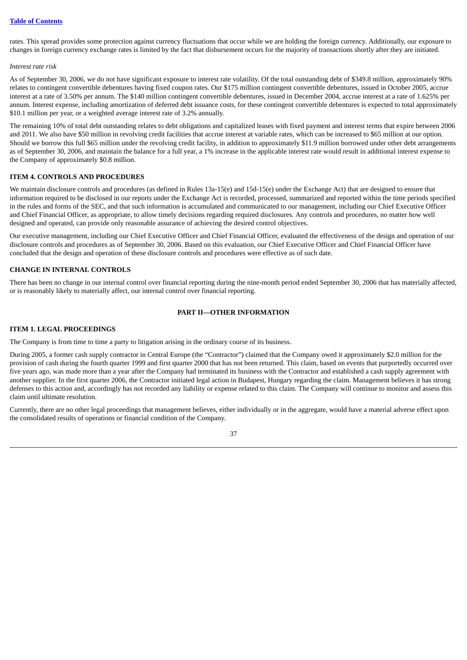rates. This spread provides some protection against currency fluctuations that occur while we are holding the foreign currency. Additionally, our exposure to changes in foreign currency exchange rates is limited by the fact that disbursement occurs for the majority of transactions shortly after they are initiated.

## *Interest rate risk*

As of September 30, 2006, we do not have significant exposure to interest rate volatility. Of the total outstanding debt of \$349.8 million, approximately 90% relates to contingent convertible debentures having fixed coupon rates. Our \$175 million contingent convertible debentures, issued in October 2005, accrue interest at a rate of 3.50% per annum. The \$140 million contingent convertible debentures, issued in December 2004, accrue interest at a rate of 1.625% per annum. Interest expense, including amortization of deferred debt issuance costs, for these contingent convertible debentures is expected to total approximately \$10.1 million per year, or a weighted average interest rate of 3.2% annually.

The remaining 10% of total debt outstanding relates to debt obligations and capitalized leases with fixed payment and interest terms that expire between 2006 and 2011. We also have \$50 million in revolving credit facilities that accrue interest at variable rates, which can be increased to \$65 million at our option. Should we borrow this full \$65 million under the revolving credit facility, in addition to approximately \$11.9 million borrowed under other debt arrangements as of September 30, 2006, and maintain the balance for a full year, a 1% increase in the applicable interest rate would result in additional interest expense to the Company of approximately \$0.8 million.

# <span id="page-37-0"></span>**ITEM 4. CONTROLS AND PROCEDURES**

We maintain disclosure controls and procedures (as defined in Rules 13a-15(e) and 15d-15(e) under the Exchange Act) that are designed to ensure that information required to be disclosed in our reports under the Exchange Act is recorded, processed, summarized and reported within the time periods specified in the rules and forms of the SEC, and that such information is accumulated and communicated to our management, including our Chief Executive Officer and Chief Financial Officer, as appropriate, to allow timely decisions regarding required disclosures. Any controls and procedures, no matter how well designed and operated, can provide only reasonable assurance of achieving the desired control objectives.

Our executive management, including our Chief Executive Officer and Chief Financial Officer, evaluated the effectiveness of the design and operation of our disclosure controls and procedures as of September 30, 2006. Based on this evaluation, our Chief Executive Officer and Chief Financial Officer have concluded that the design and operation of these disclosure controls and procedures were effective as of such date.

# **CHANGE IN INTERNAL CONTROLS**

<span id="page-37-1"></span>There has been no change in our internal control over financial reporting during the nine-month period ended September 30, 2006 that has materially affected, or is reasonably likely to materially affect, our internal control over financial reporting.

# **PART II—OTHER INFORMATION**

# <span id="page-37-2"></span>**ITEM 1. LEGAL PROCEEDINGS**

The Company is from time to time a party to litigation arising in the ordinary course of its business.

During 2005, a former cash supply contractor in Central Europe (the "Contractor") claimed that the Company owed it approximately \$2.0 million for the provision of cash during the fourth quarter 1999 and first quarter 2000 that has not been returned. This claim, based on events that purportedly occurred over five years ago, was made more than a year after the Company had terminated its business with the Contractor and established a cash supply agreement with another supplier. In the first quarter 2006, the Contractor initiated legal action in Budapest, Hungary regarding the claim. Management believes it has strong defenses to this action and, accordingly has not recorded any liability or expense related to this claim. The Company will continue to monitor and assess this claim until ultimate resolution.

Currently, there are no other legal proceedings that management believes, either individually or in the aggregate, would have a material adverse effect upon the consolidated results of operations or financial condition of the Company.

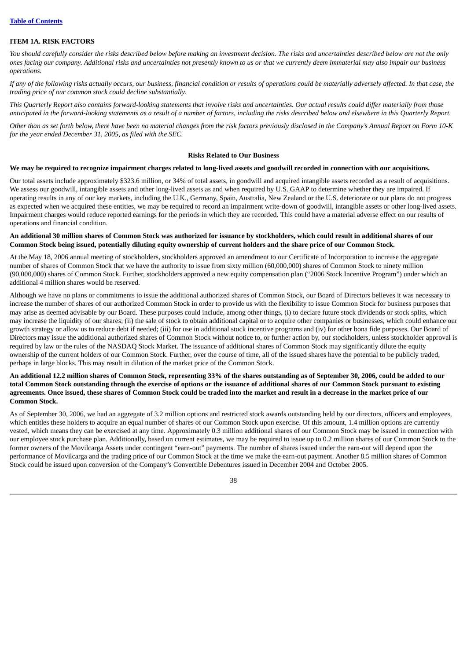# <span id="page-38-0"></span>**ITEM 1A. RISK FACTORS**

You should carefully consider the risks described below before making an investment decision. The risks and uncertainties described below are not the only ones facing our company. Additional risks and uncertainties not presently known to us or that we currently deem immaterial may also impair our business *operations.*

If any of the following risks actually occurs, our business, financial condition or results of operations could be materially adversely affected. In that case, the *trading price of our common stock could decline substantially.*

This Quarterly Report also contains forward-looking statements that involve risks and uncertainties. Our actual results could differ materially from those anticipated in the forward-looking statements as a result of a number of factors, including the risks described below and elsewhere in this Quarterly Report.

Other than as set forth below, there have been no material changes from the risk factors previously disclosed in the Company's Annual Report on Form 10-K *for the year ended December 31, 2005, as filed with the SEC.*

#### **Risks Related to Our Business**

#### We may be required to recognize impairment charges related to long-lived assets and goodwill recorded in connection with our acquisitions.

Our total assets include approximately \$323.6 million, or 34% of total assets, in goodwill and acquired intangible assets recorded as a result of acquisitions. We assess our goodwill, intangible assets and other long-lived assets as and when required by U.S. GAAP to determine whether they are impaired. If operating results in any of our key markets, including the U.K., Germany, Spain, Australia, New Zealand or the U.S. deteriorate or our plans do not progress as expected when we acquired these entities, we may be required to record an impairment write-down of goodwill, intangible assets or other long-lived assets. Impairment charges would reduce reported earnings for the periods in which they are recorded. This could have a material adverse effect on our results of operations and financial condition.

# An additional 30 million shares of Common Stock was authorized for issuance by stockholders, which could result in additional shares of our Common Stock being issued, potentially diluting equity ownership of current holders and the share price of our Common Stock.

At the May 18, 2006 annual meeting of stockholders, stockholders approved an amendment to our Certificate of Incorporation to increase the aggregate number of shares of Common Stock that we have the authority to issue from sixty million (60,000,000) shares of Common Stock to ninety million (90,000,000) shares of Common Stock. Further, stockholders approved a new equity compensation plan ("2006 Stock Incentive Program") under which an additional 4 million shares would be reserved.

Although we have no plans or commitments to issue the additional authorized shares of Common Stock, our Board of Directors believes it was necessary to increase the number of shares of our authorized Common Stock in order to provide us with the flexibility to issue Common Stock for business purposes that may arise as deemed advisable by our Board. These purposes could include, among other things, (i) to declare future stock dividends or stock splits, which may increase the liquidity of our shares; (ii) the sale of stock to obtain additional capital or to acquire other companies or businesses, which could enhance our growth strategy or allow us to reduce debt if needed; (iii) for use in additional stock incentive programs and (iv) for other bona fide purposes. Our Board of Directors may issue the additional authorized shares of Common Stock without notice to, or further action by, our stockholders, unless stockholder approval is required by law or the rules of the NASDAQ Stock Market. The issuance of additional shares of Common Stock may significantly dilute the equity ownership of the current holders of our Common Stock. Further, over the course of time, all of the issued shares have the potential to be publicly traded, perhaps in large blocks. This may result in dilution of the market price of the Common Stock.

# An additional 12.2 million shares of Common Stock, representing 33% of the shares outstanding as of September 30, 2006, could be added to our total Common Stock outstanding through the exercise of options or the issuance of additional shares of our Common Stock pursuant to existing agreements. Once issued, these shares of Common Stock could be traded into the market and result in a decrease in the market price of our **Common Stock.**

As of September 30, 2006, we had an aggregate of 3.2 million options and restricted stock awards outstanding held by our directors, officers and employees, which entitles these holders to acquire an equal number of shares of our Common Stock upon exercise. Of this amount, 1.4 million options are currently vested, which means they can be exercised at any time. Approximately 0.3 million additional shares of our Common Stock may be issued in connection with our employee stock purchase plan. Additionally, based on current estimates, we may be required to issue up to 0.2 million shares of our Common Stock to the former owners of the Movilcarga Assets under contingent "earn-out" payments. The number of shares issued under the earn-out will depend upon the performance of Movilcarga and the trading price of our Common Stock at the time we make the earn-out payment. Another 8.5 million shares of Common Stock could be issued upon conversion of the Company's Convertible Debentures issued in December 2004 and October 2005.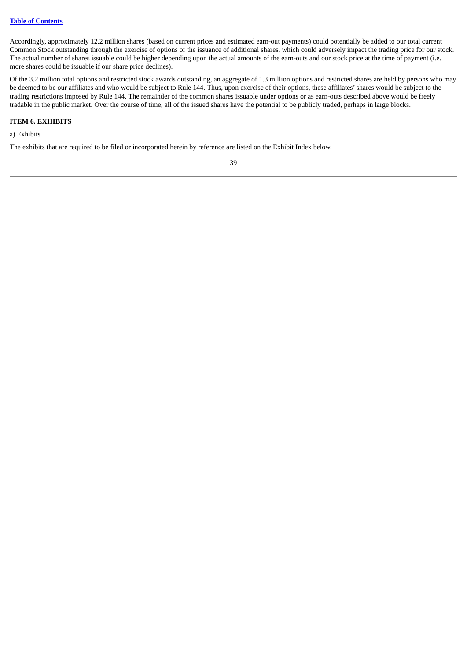Accordingly, approximately 12.2 million shares (based on current prices and estimated earn-out payments) could potentially be added to our total current Common Stock outstanding through the exercise of options or the issuance of additional shares, which could adversely impact the trading price for our stock. The actual number of shares issuable could be higher depending upon the actual amounts of the earn-outs and our stock price at the time of payment (i.e. more shares could be issuable if our share price declines).

Of the 3.2 million total options and restricted stock awards outstanding, an aggregate of 1.3 million options and restricted shares are held by persons who may be deemed to be our affiliates and who would be subject to Rule 144. Thus, upon exercise of their options, these affiliates'shares would be subject to the trading restrictions imposed by Rule 144. The remainder of the common shares issuable under options or as earn-outs described above would be freely tradable in the public market. Over the course of time, all of the issued shares have the potential to be publicly traded, perhaps in large blocks.

# <span id="page-39-0"></span>**ITEM 6. EXHIBITS**

a) Exhibits

The exhibits that are required to be filed or incorporated herein by reference are listed on the Exhibit Index below.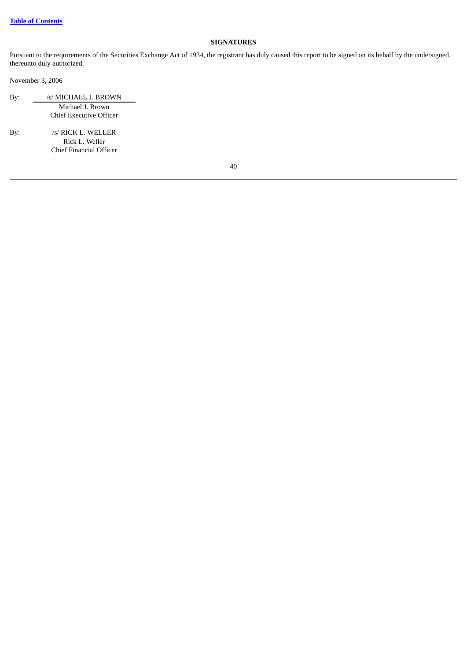# **SIGNATURES**

Pursuant to the requirements of the Securities Exchange Act of 1934, the registrant has duly caused this report to be signed on its behalf by the undersigned, thereunto duly authorized.

November 3, 2006

| By: | /s/ MICHAEL J. BROWN    |
|-----|-------------------------|
|     | Michael J. Brown        |
|     | Chief Executive Officer |

By: /s/ RICK L. WELLER Rick L. Weller Chief Financial Officer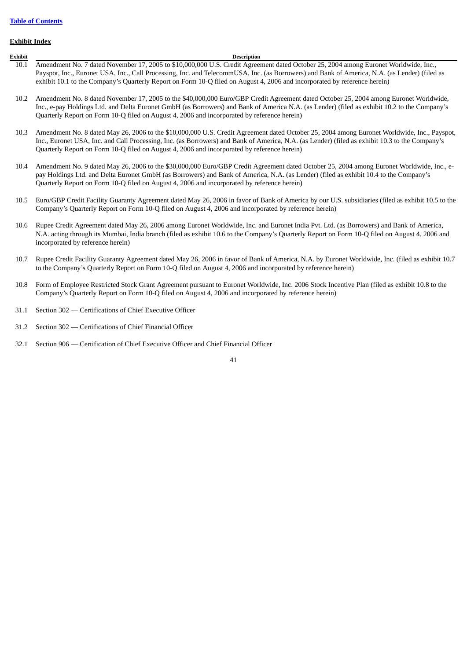# **Table of [Contents](#page-2-0)**

#### **Exhibit Index**

| Exhibit | <b>Description</b>                                                                                                                                                                                                                                                                                                                                                                                               |
|---------|------------------------------------------------------------------------------------------------------------------------------------------------------------------------------------------------------------------------------------------------------------------------------------------------------------------------------------------------------------------------------------------------------------------|
| 10.1    | Amendment No. 7 dated November 17, 2005 to \$10,000,000 U.S. Credit Agreement dated October 25, 2004 among Euronet Worldwide, Inc.,<br>Payspot, Inc., Euronet USA, Inc., Call Processing, Inc. and TelecommUSA, Inc. (as Borrowers) and Bank of America, N.A. (as Lender) (filed as<br>exhibit 10.1 to the Company's Quarterly Report on Form 10-Q filed on August 4, 2006 and incorporated by reference herein) |
| 10.2    | Amendment No. 8 dated November 17, 2005 to the \$40,000,000 Euro/GBP Credit Agreement dated October 25, 2004 among Euronet Worldwide,<br>Inc., e-pay Holdings Ltd. and Delta Euronet GmbH (as Borrowers) and Bank of America N.A. (as Lender) (filed as exhibit 10.2 to the Company's<br>Quarterly Report on Form 10-Q filed on August 4, 2006 and incorporated by reference herein)                             |
| 10.3    | Amendment No. 8 dated May 26, 2006 to the \$10,000,000 U.S. Credit Agreement dated October 25, 2004 among Euronet Worldwide, Inc., Payspot,<br>Inc., Euronet USA, Inc. and Call Processing, Inc. (as Borrowers) and Bank of America, N.A. (as Lender) (filed as exhibit 10.3 to the Company's<br>Quarterly Report on Form 10-Q filed on August 4, 2006 and incorporated by reference herein)                     |
| 10.4    | Amendment No. 9 dated May 26, 2006 to the \$30,000,000 Euro/GBP Credit Agreement dated October 25, 2004 among Euronet Worldwide, Inc., e-<br>pay Holdings Ltd. and Delta Euronet GmbH (as Borrowers) and Bank of America, N.A. (as Lender) (filed as exhibit 10.4 to the Company's<br>Quarterly Report on Form 10-Q filed on August 4, 2006 and incorporated by reference herein)                                |
| 10.5    | Euro/GBP Credit Facility Guaranty Agreement dated May 26, 2006 in favor of Bank of America by our U.S. subsidiaries (filed as exhibit 10.5 to the<br>Company's Quarterly Report on Form 10-Q filed on August 4, 2006 and incorporated by reference herein)                                                                                                                                                       |
| 10.6    | Rupee Credit Agreement dated May 26, 2006 among Euronet Worldwide, Inc. and Euronet India Pvt. Ltd. (as Borrowers) and Bank of America,<br>N.A. acting through its Mumbai, India branch (filed as exhibit 10.6 to the Company's Quarterly Report on Form 10-Q filed on August 4, 2006 and<br>incorporated by reference herein)                                                                                   |

- 10.7 Rupee Credit Facility Guaranty Agreement dated May 26, 2006 in favor of Bank of America, N.A. by Euronet Worldwide, Inc. (filed as exhibit 10.7 to the Company's Quarterly Report on Form 10-Q filed on August 4, 2006 and incorporated by reference herein)
- 10.8 Form of Employee Restricted Stock Grant Agreement pursuant to Euronet Worldwide, Inc. 2006 Stock Incentive Plan (filed as exhibit 10.8 to the Company's Quarterly Report on Form 10-Q filed on August 4, 2006 and incorporated by reference herein)
- 31.1 Section 302 Certifications of Chief Executive Officer
- 31.2 Section 302 Certifications of Chief Financial Officer
- 32.1 Section 906 Certification of Chief Executive Officer and Chief Financial Officer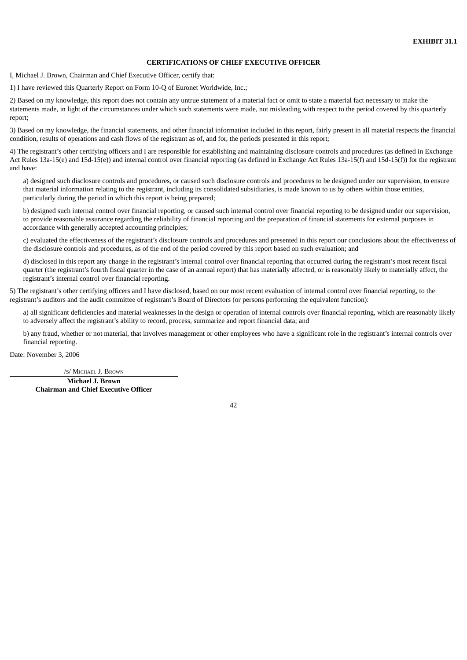#### **CERTIFICATIONS OF CHIEF EXECUTIVE OFFICER**

I, Michael J. Brown, Chairman and Chief Executive Officer, certify that:

1) I have reviewed this Quarterly Report on Form 10-Q of Euronet Worldwide, Inc.;

2) Based on my knowledge, this report does not contain any untrue statement of a material fact or omit to state a material fact necessary to make the statements made, in light of the circumstances under which such statements were made, not misleading with respect to the period covered by this quarterly report;

3) Based on my knowledge, the financial statements, and other financial information included in this report, fairly present in all material respects the financial condition, results of operations and cash flows of the registrant as of, and for, the periods presented in this report;

4) The registrant's other certifying officers and I are responsible for establishing and maintaining disclosure controls and procedures (as defined in Exchange Act Rules 13a-15(e) and 15d-15(e)) and internal control over financial reporting (as defined in Exchange Act Rules 13a-15(f) and 15d-15(f)) for the registrant and have:

a) designed such disclosure controls and procedures, or caused such disclosure controls and procedures to be designed under our supervision, to ensure that material information relating to the registrant, including its consolidated subsidiaries, is made known to us by others within those entities, particularly during the period in which this report is being prepared;

b) designed such internal control over financial reporting, or caused such internal control over financial reporting to be designed under our supervision, to provide reasonable assurance regarding the reliability of financial reporting and the preparation of financial statements for external purposes in accordance with generally accepted accounting principles;

c) evaluated the effectiveness of the registrant's disclosure controls and procedures and presented in this report our conclusions about the effectiveness of the disclosure controls and procedures, as of the end of the period covered by this report based on such evaluation; and

d) disclosed in this report any change in the registrant's internal control over financial reporting that occurred during the registrant's most recent fiscal quarter (the registrant's fourth fiscal quarter in the case of an annual report) that has materially affected, or is reasonably likely to materially affect, the registrant's internal control over financial reporting.

5) The registrant's other certifying officers and I have disclosed, based on our most recent evaluation of internal control over financial reporting, to the registrant's auditors and the audit committee of registrant's Board of Directors (or persons performing the equivalent function):

a) all significant deficiencies and material weaknesses in the design or operation of internal controls over financial reporting, which are reasonably likely to adversely affect the registrant's ability to record, process, summarize and report financial data; and

b) any fraud, whether or not material, that involves management or other employees who have a significant role in the registrant's internal controls over financial reporting.

Date: November 3, 2006

/s/ MICHAEL J. BROWN **Michael J. Brown Chairman and Chief Executive Officer**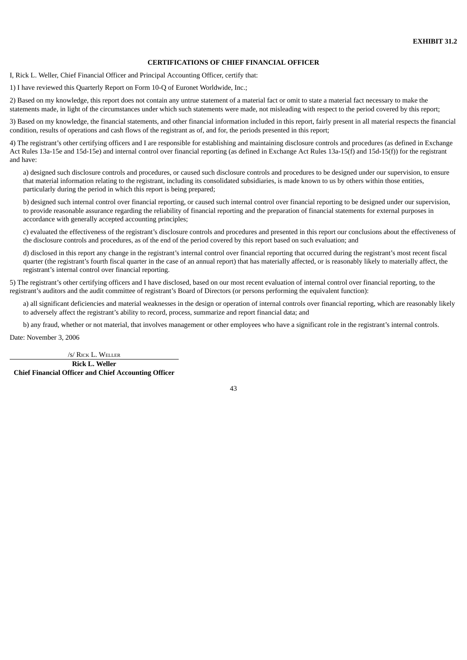# **CERTIFICATIONS OF CHIEF FINANCIAL OFFICER**

I, Rick L. Weller, Chief Financial Officer and Principal Accounting Officer, certify that:

1) I have reviewed this Quarterly Report on Form 10-Q of Euronet Worldwide, Inc.;

2) Based on my knowledge, this report does not contain any untrue statement of a material fact or omit to state a material fact necessary to make the statements made, in light of the circumstances under which such statements were made, not misleading with respect to the period covered by this report;

3) Based on my knowledge, the financial statements, and other financial information included in this report, fairly present in all material respects the financial condition, results of operations and cash flows of the registrant as of, and for, the periods presented in this report;

4) The registrant's other certifying officers and I are responsible for establishing and maintaining disclosure controls and procedures (as defined in Exchange Act Rules 13a-15e and 15d-15e) and internal control over financial reporting (as defined in Exchange Act Rules 13a-15(f) and 15d-15(f)) for the registrant and have:

a) designed such disclosure controls and procedures, or caused such disclosure controls and procedures to be designed under our supervision, to ensure that material information relating to the registrant, including its consolidated subsidiaries, is made known to us by others within those entities, particularly during the period in which this report is being prepared;

b) designed such internal control over financial reporting, or caused such internal control over financial reporting to be designed under our supervision, to provide reasonable assurance regarding the reliability of financial reporting and the preparation of financial statements for external purposes in accordance with generally accepted accounting principles;

c) evaluated the effectiveness of the registrant's disclosure controls and procedures and presented in this report our conclusions about the effectiveness of the disclosure controls and procedures, as of the end of the period covered by this report based on such evaluation; and

d) disclosed in this report any change in the registrant's internal control over financial reporting that occurred during the registrant's most recent fiscal quarter (the registrant's fourth fiscal quarter in the case of an annual report) that has materially affected, or is reasonably likely to materially affect, the registrant's internal control over financial reporting.

5) The registrant's other certifying officers and I have disclosed, based on our most recent evaluation of internal control over financial reporting, to the registrant's auditors and the audit committee of registrant's Board of Directors (or persons performing the equivalent function):

a) all significant deficiencies and material weaknesses in the design or operation of internal controls over financial reporting, which are reasonably likely to adversely affect the registrant's ability to record, process, summarize and report financial data; and

b) any fraud, whether or not material, that involves management or other employees who have a significant role in the registrant's internal controls.

Date: November 3, 2006

/s/ RICK L. WELLER

**Rick L. Weller Chief Financial Officer and Chief Accounting Officer**